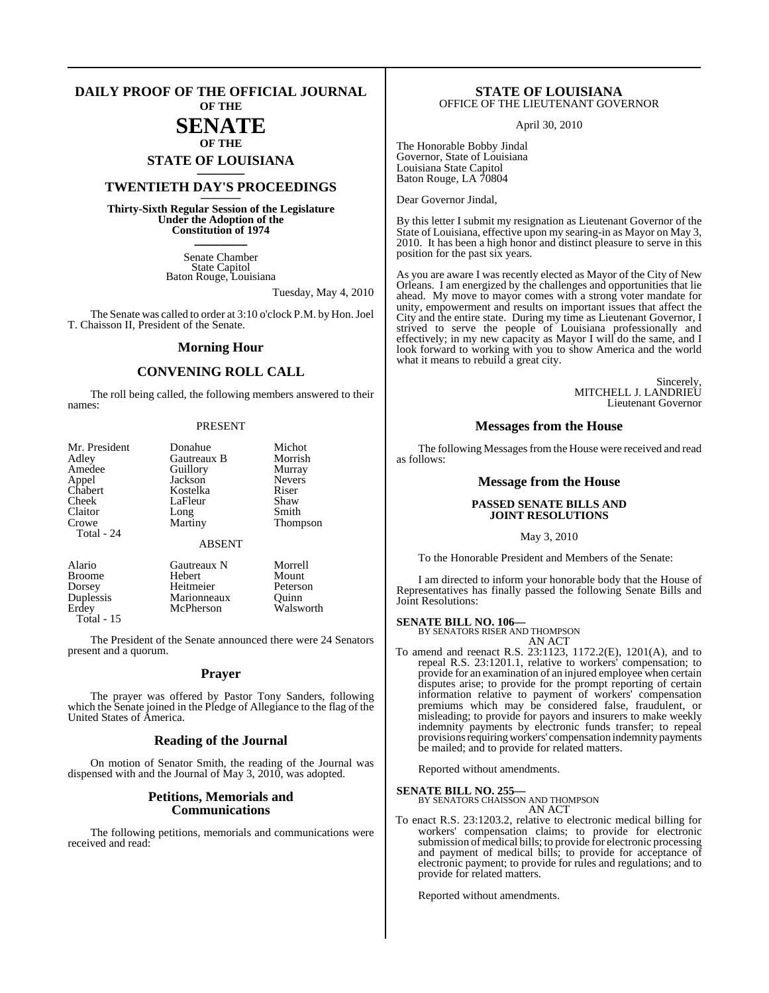#### **DAILY PROOF OF THE OFFICIAL JOURNAL OF THE**

### **SENATE OF THE**

# **STATE OF LOUISIANA \_\_\_\_\_\_\_**

### **TWENTIETH DAY'S PROCEEDINGS \_\_\_\_\_\_\_**

**Thirty-Sixth Regular Session of the Legislature Under the Adoption of the Constitution of 1974 \_\_\_\_\_\_\_**

> Senate Chamber State Capitol Baton Rouge, Louisiana

> > Tuesday, May 4, 2010

The Senate was called to order at 3:10 o'clock P.M. by Hon. Joel T. Chaisson II, President of the Senate.

#### **Morning Hour**

### **CONVENING ROLL CALL**

The roll being called, the following members answered to their names:

#### PRESENT

| Mr. President | Donahue        | Michot        |
|---------------|----------------|---------------|
| Adley         | Gautreaux B    | Morrish       |
| Amedee        | Guillory       | Murray        |
| Appel         | Jackson        | <b>Nevers</b> |
| Chabert       | Kostelka       | Riser         |
| Cheek         | LaFleur        | Shaw          |
| Claitor       | Long           | Smith         |
| Crowe         | <b>Martiny</b> | Thompson      |
| Total - 24    |                |               |
|               | <b>ABSENT</b>  |               |
| Alario        | Gautreaux N    | Morrell       |
| <b>Broome</b> | Hebert         | Mount         |
| Dorsey        | Heitmeier      | Peterson      |
| Duplessis     | Marionneaux    | Ouinn         |
| Erdev         | McPherson      | Walsworth     |

Total - 15

The President of the Senate announced there were 24 Senators present and a quorum.

#### **Prayer**

The prayer was offered by Pastor Tony Sanders, following which the Senate joined in the Pledge of Allegiance to the flag of the United States of America.

#### **Reading of the Journal**

On motion of Senator Smith, the reading of the Journal was dispensed with and the Journal of May 3, 2010, was adopted.

#### **Petitions, Memorials and Communications**

The following petitions, memorials and communications were received and read:

#### **STATE OF LOUISIANA** OFFICE OF THE LIEUTENANT GOVERNOR

April 30, 2010

The Honorable Bobby Jindal Governor, State of Louisiana Louisiana State Capitol Baton Rouge, LA 70804

Dear Governor Jindal,

By this letter I submit my resignation as Lieutenant Governor of the State of Louisiana, effective upon my searing-in as Mayor on May 3, 2010. It has been a high honor and distinct pleasure to serve in this position for the past six years.

As you are aware I was recently elected as Mayor of the City of New Orleans. I am energized by the challenges and opportunities that lie ahead. My move to mayor comes with a strong voter mandate for unity, empowerment and results on important issues that affect the City and the entire state. During my time as Lieutenant Governor, I strived to serve the people of Louisiana professionally and effectively; in my new capacity as Mayor I will do the same, and I look forward to working with you to show America and the world what it means to rebuild a great city.

> Sincerely, MITCHELL J. LANDRIEU Lieutenant Governor

#### **Messages from the House**

The following Messages from the House were received and read as follows:

#### **Message from the House**

#### **PASSED SENATE BILLS AND JOINT RESOLUTIONS**

May 3, 2010

To the Honorable President and Members of the Senate:

I am directed to inform your honorable body that the House of Representatives has finally passed the following Senate Bills and Joint Resolutions:

### **SENATE BILL NO. 106—** BY SENATORS RISER AND THOMPSON

AN ACT

To amend and reenact R.S. 23:1123, 1172.2(E), 1201(A), and to repeal R.S. 23:1201.1, relative to workers' compensation; to provide for an examination of an injured employee when certain disputes arise; to provide for the prompt reporting of certain information relative to payment of workers' compensation premiums which may be considered false, fraudulent, or misleading; to provide for payors and insurers to make weekly indemnity payments by electronic funds transfer; to repeal provisions requiring workers' compensation indemnity payments be mailed; and to provide for related matters.

Reported without amendments.

**SENATE BILL NO. 255—**

BY SENATORS CHAISSON AND THOMPSON AN ACT

To enact R.S. 23:1203.2, relative to electronic medical billing for workers' compensation claims; to provide for electronic submission of medical bills; to provide for electronic processing and payment of medical bills; to provide for acceptance of electronic payment; to provide for rules and regulations; and to provide for related matters.

Reported without amendments.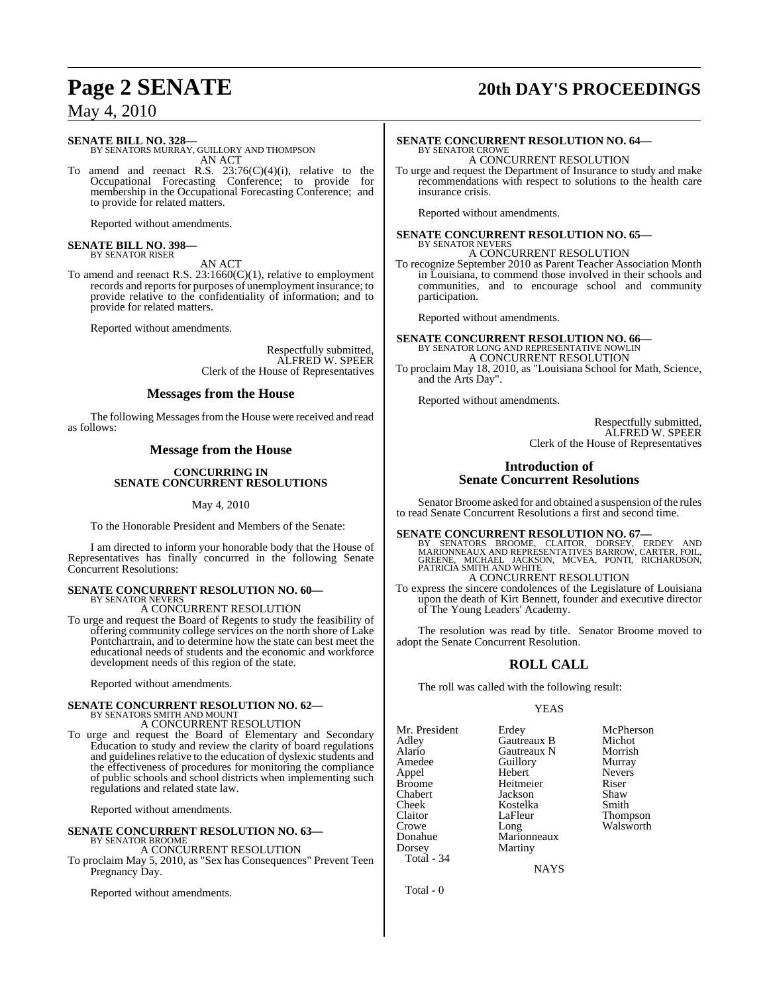# **Page 2 SENATE 20th DAY'S PROCEEDINGS**

May 4, 2010

**SENATE BILL NO. 328—** BY SENATORS MURRAY, GUILLORY AND THOMPSON AN ACT

To amend and reenact R.S. 23:76(C)(4)(i), relative to the Occupational Forecasting Conference; to provide for membership in the Occupational Forecasting Conference; and to provide for related matters.

Reported without amendments.

# **SENATE BILL NO. 398—** BY SENATOR RISER

AN ACT

To amend and reenact R.S. 23:1660(C)(1), relative to employment records and reports for purposes of unemployment insurance; to provide relative to the confidentiality of information; and to provide for related matters.

Reported without amendments.

Respectfully submitted, ALFRED W. SPEER Clerk of the House of Representatives

#### **Messages from the House**

The following Messages from the House were received and read as follows:

### **Message from the House**

#### **CONCURRING IN SENATE CONCURRENT RESOLUTIONS**

May 4, 2010

To the Honorable President and Members of the Senate:

I am directed to inform your honorable body that the House of Representatives has finally concurred in the following Senate Concurrent Resolutions:

#### **SENATE CONCURRENT RESOLUTION NO. 60—** BY SENATOR NEVERS

### A CONCURRENT RESOLUTION

To urge and request the Board of Regents to study the feasibility of offering community college services on the north shore of Lake Pontchartrain, and to determine how the state can best meet the educational needs of students and the economic and workforce development needs of this region of the state.

Reported without amendments.

# **SENATE CONCURRENT RESOLUTION NO. 62—** BY SENATORS SMITH AND MOUNT

A CONCURRENT RESOLUTION

To urge and request the Board of Elementary and Secondary Education to study and review the clarity of board regulations and guidelines relative to the education of dyslexic students and the effectiveness of procedures for monitoring the compliance of public schools and school districts when implementing such regulations and related state law.

Reported without amendments.

#### **SENATE CONCURRENT RESOLUTION NO. 63—** BY SENATOR BROOME

### A CONCURRENT RESOLUTION

To proclaim May 5, 2010, as "Sex has Consequences" Prevent Teen Pregnancy Day.

Reported without amendments.

#### **SENATE CONCURRENT RESOLUTION NO. 64—** BY SENATOR CROWE A CONCURRENT RESOLUTION

To urge and request the Department of Insurance to study and make recommendations with respect to solutions to the health care insurance crisis.

Reported without amendments.

**SENATE CONCURRENT RESOLUTION NO. 65—** BY SENATOR NEVERS A CONCURRENT RESOLUTION

To recognize September 2010 as Parent Teacher Association Month in Louisiana, to commend those involved in their schools and communities, and to encourage school and community participation.

Reported without amendments.

## **SENATE CONCURRENT RESOLUTION NO. 66—** BY SENATOR LONG AND REPRESENTATIVE NOWLIN

A CONCURRENT RESOLUTION To proclaim May 18, 2010, as "Louisiana School for Math, Science, and the Arts Day".

Reported without amendments.

Respectfully submitted, ALFRED W. SPEER Clerk of the House of Representatives

### **Introduction of Senate Concurrent Resolutions**

Senator Broome asked for and obtained a suspension of the rules to read Senate Concurrent Resolutions a first and second time.

**SENATE CONCURRENT RESOLUTION NO. 67—**

BY SENATORS BROOME, CLAITOR, DORSEY, ERDEY AND<br>MARIONNEAUXAND REPRESENTATIVES BARROW, CARTER, FOIL,<br>GREENE, MICHAEL JACKSON, MCVEA, PONTI, RICHARDSON,<br>PATRICIA SMITH AND WHITE A CONCURRENT RESOLUTION

To express the sincere condolences of the Legislature of Louisiana upon the death of Kirt Bennett, founder and executive director of The Young Leaders' Academy.

The resolution was read by title. Senator Broome moved to adopt the Senate Concurrent Resolution.

### **ROLL CALL**

The roll was called with the following result:

#### YEAS

Mr. President Erdey McPherson<br>Adley Gautreaux B Michot Adley Gautreaux B Michot Alario Gautreaux N Morrish<br>Amedee Guillory Murray Appel Hebert Nevers Broome Heitmeier Riser<br>
Chabert Jackson Shaw Chabert Jackson Shaw Cheek Kostelka<br>Claitor LaFleur Claitor LaFleur Thompson<br>Crowe Long Walsworth Crowe Long Long Walsworth<br>Donahue Marionneaux Donahue Marionneaux<br>Dorsey Martiny Total - 34

Guillory Murray<br>
Hebert Nevers Martiny

**NAYS** 

Total - 0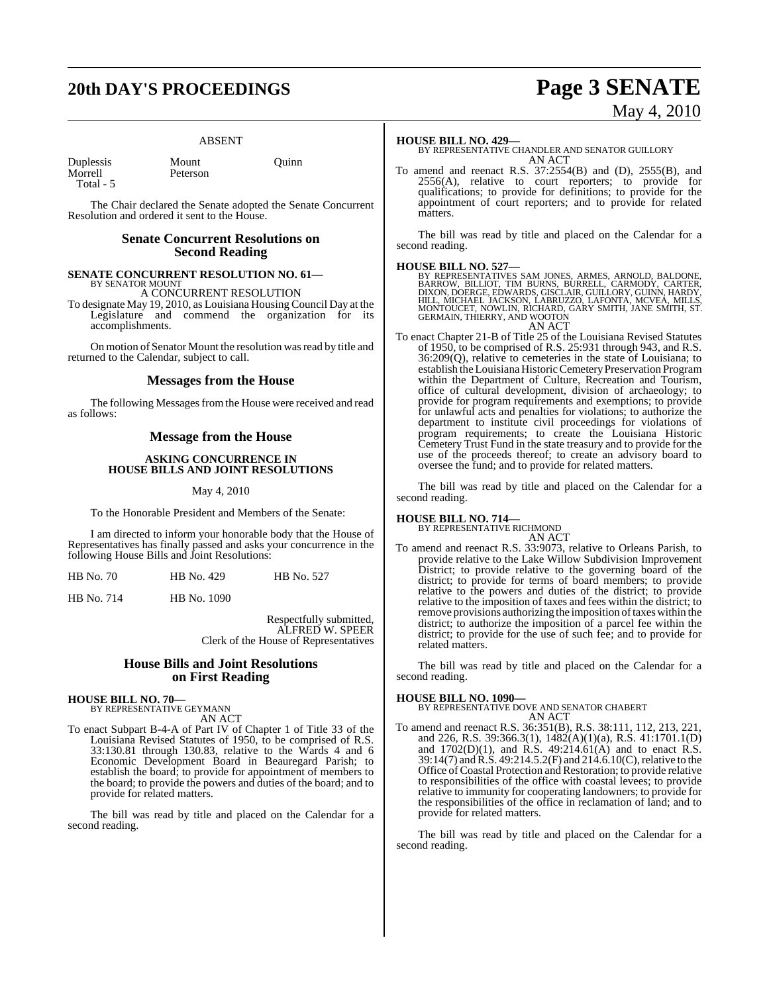# **20th DAY'S PROCEEDINGS Page 3 SENATE**

#### ABSENT

| Duplessis |       |
|-----------|-------|
| Morrell   | $P_0$ |
| Total - 5 |       |

Iount Quinn eterson

The Chair declared the Senate adopted the Senate Concurrent Resolution and ordered it sent to the House.

### **Senate Concurrent Resolutions on Second Reading**

#### **SENATE CONCURRENT RESOLUTION NO. 61—** BY SENATOR MOUNT

A CONCURRENT RESOLUTION

To designate May 19, 2010, as Louisiana Housing Council Day at the Legislature and commend the organization for its accomplishments.

On motion of Senator Mount the resolution was read by title and returned to the Calendar, subject to call.

#### **Messages from the House**

The following Messages from the House were received and read as follows:

### **Message from the House**

#### **ASKING CONCURRENCE IN HOUSE BILLS AND JOINT RESOLUTIONS**

#### May 4, 2010

To the Honorable President and Members of the Senate:

I am directed to inform your honorable body that the House of Representatives has finally passed and asks your concurrence in the following House Bills and Joint Resolutions:

HB No. 714 HB No. 1090

Respectfully submitted, ALFRED W. SPEER Clerk of the House of Representatives

#### **House Bills and Joint Resolutions on First Reading**

# **HOUSE BILL NO. 70—** BY REPRESENTATIVE GEYMANN AN ACT

To enact Subpart B-4-A of Part IV of Chapter 1 of Title 33 of the Louisiana Revised Statutes of 1950, to be comprised of R.S. 33:130.81 through 130.83, relative to the Wards 4 and 6 Economic Development Board in Beauregard Parish; to establish the board; to provide for appointment of members to the board; to provide the powers and duties of the board; and to provide for related matters.

The bill was read by title and placed on the Calendar for a second reading.

# May 4, 2010

#### **HOUSE BILL NO. 429—**

BY REPRESENTATIVE CHANDLER AND SENATOR GUILLORY AN ACT

To amend and reenact R.S. 37:2554(B) and (D), 2555(B), and  $2556(A)$ , relative to court reporters; to provide for qualifications; to provide for definitions; to provide for the appointment of court reporters; and to provide for related matters.

The bill was read by title and placed on the Calendar for a second reading.

#### **HOUSE BILL NO. 527—**

BY REPRESENTATIVES SAM JONES, ARMES, ARNOLD, BALDONE,<br>BARROW, BILLIOT, TIM BURNS, BURRELL, CARMODY, CARTER,<br>DIXON, DOERGE, EDWARDS, GISCLAIR, GUILLORY, GUINN, HARDY,<br>HILL, MICHAEL JACKSON, LABRUZZO, LAFONTA, MCVEA, MILLS,<br> GERMAIN, THIERRY, AND WOOTON AN ACT

To enact Chapter 21-B of Title 25 of the Louisiana Revised Statutes of 1950, to be comprised of R.S. 25:931 through 943, and R.S. 36:209(Q), relative to cemeteries in the state of Louisiana; to establish the Louisiana Historic Cemetery Preservation Program within the Department of Culture, Recreation and Tourism, office of cultural development, division of archaeology; to provide for program requirements and exemptions; to provide for unlawful acts and penalties for violations; to authorize the department to institute civil proceedings for violations of program requirements; to create the Louisiana Historic Cemetery Trust Fund in the state treasury and to provide for the use of the proceeds thereof; to create an advisory board to oversee the fund; and to provide for related matters.

The bill was read by title and placed on the Calendar for a second reading.

**HOUSE BILL NO. 714—** BY REPRESENTATIVE RICHMOND

AN ACT To amend and reenact R.S. 33:9073, relative to Orleans Parish, to provide relative to the Lake Willow Subdivision Improvement District; to provide relative to the governing board of the district; to provide for terms of board members; to provide relative to the powers and duties of the district; to provide relative to the imposition of taxes and fees within the district; to remove provisions authorizing the imposition of taxes within the district; to authorize the imposition of a parcel fee within the district; to provide for the use of such fee; and to provide for

The bill was read by title and placed on the Calendar for a second reading.

#### **HOUSE BILL NO. 1090—**

related matters.

BY REPRESENTATIVE DOVE AND SENATOR CHABERT AN ACT

To amend and reenact R.S. 36:351(B), R.S. 38:111, 112, 213, 221, and 226, R.S. 39:366.3(1), 1482(A)(1)(a), R.S. 41:1701.1(D) and  $1702(D)(1)$ , and R.S.  $49:214.61(A)$  and to enact R.S. 39:14(7) and R.S. 49:214.5.2(F) and 214.6.10(C), relative to the Office ofCoastal Protection and Restoration; to provide relative to responsibilities of the office with coastal levees; to provide relative to immunity for cooperating landowners; to provide for the responsibilities of the office in reclamation of land; and to provide for related matters.

The bill was read by title and placed on the Calendar for a second reading.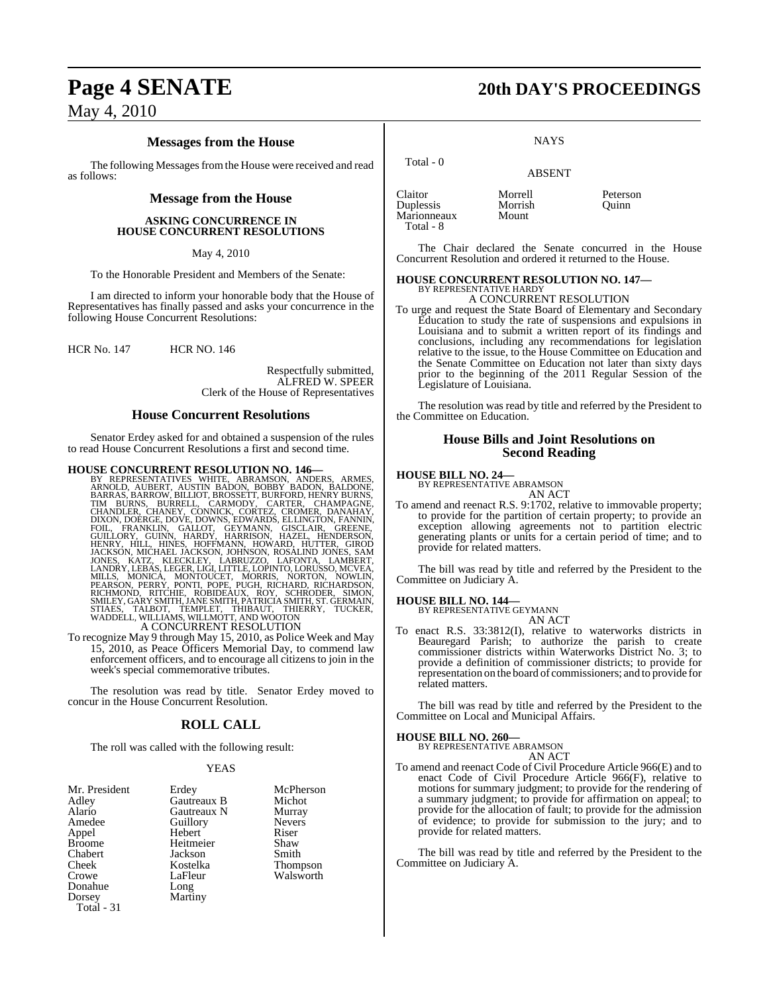### **Messages from the House**

The following Messages from the House were received and read as follows:

#### **Message from the House**

#### **ASKING CONCURRENCE IN HOUSE CONCURRENT RESOLUTIONS**

May 4, 2010

To the Honorable President and Members of the Senate:

I am directed to inform your honorable body that the House of Representatives has finally passed and asks your concurrence in the following House Concurrent Resolutions:

HCR No. 147 HCR NO. 146

Respectfully submitted, ALFRED W. SPEER Clerk of the House of Representatives

#### **House Concurrent Resolutions**

Senator Erdey asked for and obtained a suspension of the rules to read House Concurrent Resolutions a first and second time.

HOUSE CONCURRENT RESOLUTION NO. 146-<br>BY REPRESENTATIVES WHITE, ABRAMSON, ANDERS, ARMES,<br>ARNOLD, AUBERT, AUSTIN BADON, BOBBY BADON, BALDONE,<br>BARRAS, BARROW, BILLIOT, BROSSETT, BURFORD, HENRY BURNS,<br>TIM BURNS, BURRELL, CARMO

To recognize May 9 through May 15, 2010, as Police Week and May 15, 2010, as Peace Officers Memorial Day, to commend law enforcement officers, and to encourage all citizens to join in the week's special commemorative tributes.

The resolution was read by title. Senator Erdey moved to concur in the House Concurrent Resolution.

### **ROLL CALL**

The roll was called with the following result:

#### YEAS

| Mr. President<br>Adley<br>Alario<br>Amedee<br>Appel<br><b>Broome</b><br><b>Chabert</b><br>Cheek<br>Crowe<br>Donahue<br>Dorsey | Erdey<br>Gautreaux B<br>Gautreaux N<br>Guillory<br>Hebert<br>Heitmeier<br>Jackson<br>Kostelka<br>LaFleur<br>Long<br>Martiny | McPherson<br>Michot<br>Murray<br><b>Nevers</b><br>Riser<br>Shaw<br>Smith<br>Thompson<br>Walsworth |
|-------------------------------------------------------------------------------------------------------------------------------|-----------------------------------------------------------------------------------------------------------------------------|---------------------------------------------------------------------------------------------------|
| Total - 31                                                                                                                    |                                                                                                                             |                                                                                                   |

## **Page 4 SENATE 20th DAY'S PROCEEDINGS**

**NAYS** 

|                                                  | <b>ABSENT</b>               |                   |
|--------------------------------------------------|-----------------------------|-------------------|
| Claitor<br>Duplessis<br>Marionneaux<br>Total - 8 | Morrell<br>Morrish<br>Mount | Peterson<br>Ouinn |

Total - 0

The Chair declared the Senate concurred in the House Concurrent Resolution and ordered it returned to the House.

#### **HOUSE CONCURRENT RESOLUTION NO. 147—** BY REPRESENTATIVE HARDY

A CONCURRENT RESOLUTION

To urge and request the State Board of Elementary and Secondary Education to study the rate of suspensions and expulsions in Louisiana and to submit a written report of its findings and conclusions, including any recommendations for legislation relative to the issue, to the House Committee on Education and the Senate Committee on Education not later than sixty days prior to the beginning of the 2011 Regular Session of the Legislature of Louisiana.

The resolution was read by title and referred by the President to the Committee on Education.

### **House Bills and Joint Resolutions on Second Reading**

### **HOUSE BILL NO. 24—** BY REPRESENTATIVE ABRAMSON

AN ACT

To amend and reenact R.S. 9:1702, relative to immovable property; to provide for the partition of certain property; to provide an exception allowing agreements not to partition electric generating plants or units for a certain period of time; and to provide for related matters.

The bill was read by title and referred by the President to the Committee on Judiciary A.

**HOUSE BILL NO. 144—** BY REPRESENTATIVE GEYMANN AN ACT

To enact R.S. 33:3812(I), relative to waterworks districts in Beauregard Parish; to authorize the parish to create commissioner districts within Waterworks District No. 3; to provide a definition of commissioner districts; to provide for representation on the board of commissioners; and to provide for related matters.

The bill was read by title and referred by the President to the Committee on Local and Municipal Affairs.

#### **HOUSE BILL NO. 260—**

BY REPRESENTATIVE ABRAMSON AN ACT

To amend and reenact Code of Civil Procedure Article 966(E) and to enact Code of Civil Procedure Article 966(F), relative to motions for summary judgment; to provide for the rendering of a summary judgment; to provide for affirmation on appeal; to provide for the allocation of fault; to provide for the admission of evidence; to provide for submission to the jury; and to provide for related matters.

The bill was read by title and referred by the President to the Committee on Judiciary A.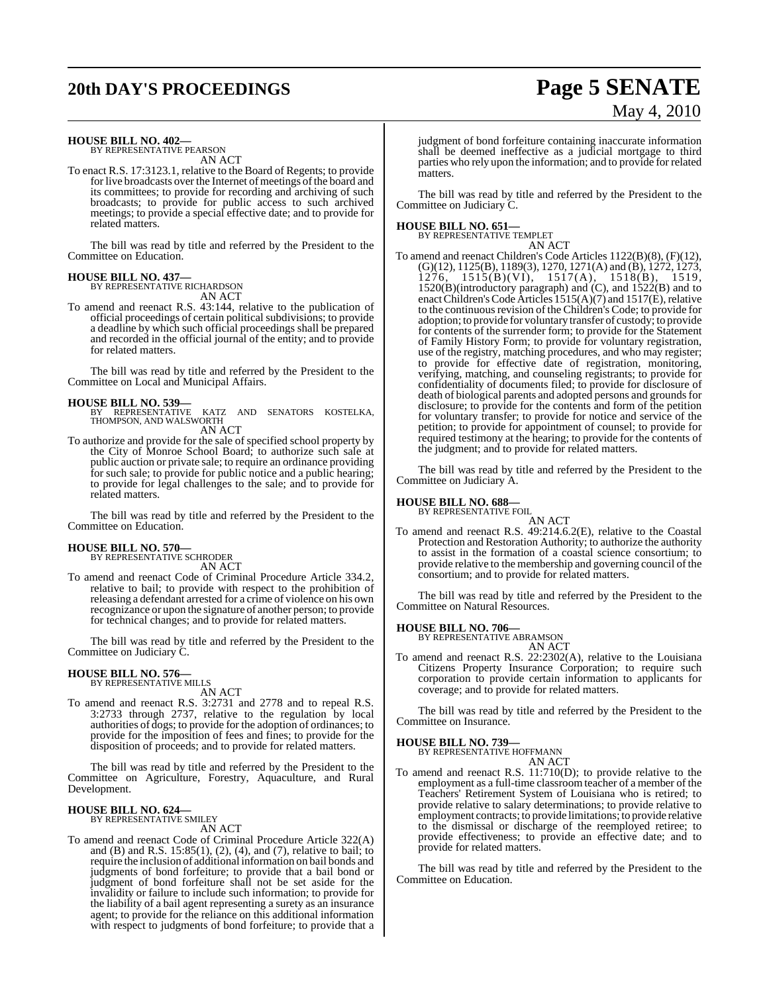# **20th DAY'S PROCEEDINGS Page 5 SENATE**

# May 4, 2010

### **HOUSE BILL NO. 402—** BY REPRESENTATIVE PEARSON

AN ACT

To enact R.S. 17:3123.1, relative to the Board of Regents; to provide for live broadcasts over the Internet of meetings of the board and its committees; to provide for recording and archiving of such broadcasts; to provide for public access to such archived meetings; to provide a special effective date; and to provide for related matters.

The bill was read by title and referred by the President to the Committee on Education.

# **HOUSE BILL NO. 437—** BY REPRESENTATIVE RICHARDSON

AN ACT

To amend and reenact R.S. 43:144, relative to the publication of official proceedings of certain political subdivisions; to provide a deadline by which such official proceedings shall be prepared and recorded in the official journal of the entity; and to provide for related matters.

The bill was read by title and referred by the President to the Committee on Local and Municipal Affairs.

#### **HOUSE BILL NO. 539—**

BY REPRESENTATIVE KATZ AND SENATORS KOSTELKA, THOMPSON, AND WALSWORTH AN ACT

To authorize and provide for the sale of specified school property by the City of Monroe School Board; to authorize such sale at public auction or private sale; to require an ordinance providing for such sale; to provide for public notice and a public hearing; to provide for legal challenges to the sale; and to provide for related matters.

The bill was read by title and referred by the President to the Committee on Education.

### **HOUSE BILL NO. 570—** BY REPRESENTATIVE SCHRODER

AN ACT

To amend and reenact Code of Criminal Procedure Article 334.2, relative to bail; to provide with respect to the prohibition of releasing a defendant arrested for a crime of violence on his own recognizance or upon the signature of another person; to provide for technical changes; and to provide for related matters.

The bill was read by title and referred by the President to the Committee on Judiciary C.

### **HOUSE BILL NO. 576—** BY REPRESENTATIVE MILLS

AN ACT

To amend and reenact R.S. 3:2731 and 2778 and to repeal R.S. 3:2733 through 2737, relative to the regulation by local authorities of dogs; to provide for the adoption of ordinances; to provide for the imposition of fees and fines; to provide for the disposition of proceeds; and to provide for related matters.

The bill was read by title and referred by the President to the Committee on Agriculture, Forestry, Aquaculture, and Rural Development.

#### **HOUSE BILL NO. 624—** BY REPRESENTATIVE SMILEY

AN ACT

To amend and reenact Code of Criminal Procedure Article 322(A) and (B) and R.S. 15:85(1), (2), (4), and (7), relative to bail; to require the inclusion of additional information on bail bonds and judgments of bond forfeiture; to provide that a bail bond or judgment of bond forfeiture shall not be set aside for the invalidity or failure to include such information; to provide for the liability of a bail agent representing a surety as an insurance agent; to provide for the reliance on this additional information with respect to judgments of bond forfeiture; to provide that a

judgment of bond forfeiture containing inaccurate information shall be deemed ineffective as a judicial mortgage to third parties who rely upon the information; and to provide for related matters.

The bill was read by title and referred by the President to the Committee on Judiciary C.

**HOUSE BILL NO. 651—** BY REPRESENTATIVE TEMPLET

AN ACT To amend and reenact Children's Code Articles 1122(B)(8), (F)(12), (G)(12), 1125(B), 1189(3), 1270, 1271(A) and (B), 1272, 1273, 1276, 1515(B)(VI), 1517(A), 1518(B), 1519, 1520(B)(introductory paragraph) and (C), and 1522(B) and to enact Children's Code Articles 1515(A)(7) and 1517(E), relative to the continuous revision of the Children's Code; to provide for adoption; to provide for voluntary transfer of custody; to provide for contents of the surrender form; to provide for the Statement of Family History Form; to provide for voluntary registration, use of the registry, matching procedures, and who may register; to provide for effective date of registration, monitoring, verifying, matching, and counseling registrants; to provide for confidentiality of documents filed; to provide for disclosure of death of biological parents and adopted persons and grounds for disclosure; to provide for the contents and form of the petition for voluntary transfer; to provide for notice and service of the petition; to provide for appointment of counsel; to provide for required testimony at the hearing; to provide for the contents of the judgment; and to provide for related matters.

The bill was read by title and referred by the President to the Committee on Judiciary A.

#### **HOUSE BILL NO. 688—**

BY REPRESENTATIVE FOIL

AN ACT To amend and reenact R.S. 49:214.6.2(E), relative to the Coastal Protection and Restoration Authority; to authorize the authority to assist in the formation of a coastal science consortium; to provide relative to the membership and governing council of the consortium; and to provide for related matters.

The bill was read by title and referred by the President to the Committee on Natural Resources.

### **HOUSE BILL NO. 706—** BY REPRESENTATIVE ABRAMSON

AN ACT To amend and reenact R.S. 22:2302(A), relative to the Louisiana Citizens Property Insurance Corporation; to require such corporation to provide certain information to applicants for coverage; and to provide for related matters.

The bill was read by title and referred by the President to the Committee on Insurance.

**HOUSE BILL NO. 739—** BY REPRESENTATIVE HOFFMANN

AN ACT

To amend and reenact R.S. 11:710(D); to provide relative to the employment as a full-time classroom teacher of a member of the Teachers' Retirement System of Louisiana who is retired; to provide relative to salary determinations; to provide relative to employment contracts; to provide limitations; to provide relative to the dismissal or discharge of the reemployed retiree; to provide effectiveness; to provide an effective date; and to provide for related matters.

The bill was read by title and referred by the President to the Committee on Education.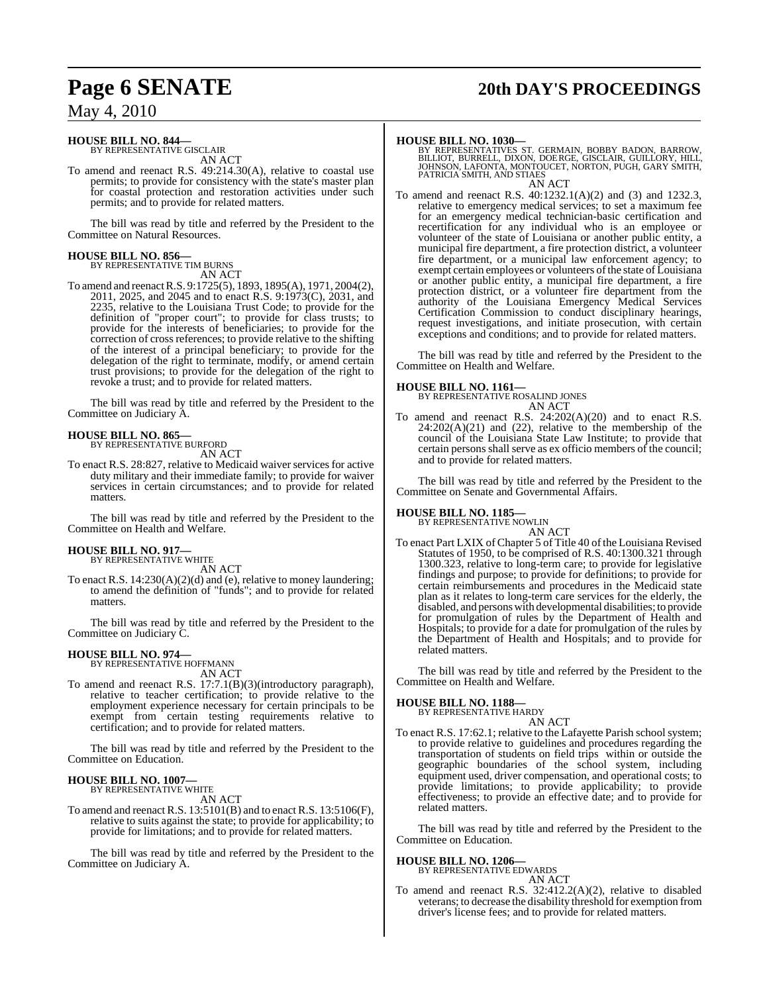# **Page 6 SENATE 20th DAY'S PROCEEDINGS**

### May 4, 2010

### **HOUSE BILL NO. 844—** BY REPRESENTATIVE GISCLAIR

AN ACT

To amend and reenact R.S. 49:214.30(A), relative to coastal use permits; to provide for consistency with the state's master plan for coastal protection and restoration activities under such permits; and to provide for related matters.

The bill was read by title and referred by the President to the Committee on Natural Resources.

# **HOUSE BILL NO. 856—** BY REPRESENTATIVE TIM BURNS

AN ACT

To amend and reenactR.S. 9:1725(5), 1893, 1895(A), 1971, 2004(2), 2011, 2025, and 2045 and to enact R.S. 9:1973(C), 2031, and 2235, relative to the Louisiana Trust Code; to provide for the definition of "proper court"; to provide for class trusts; to provide for the interests of beneficiaries; to provide for the correction of cross references; to provide relative to the shifting of the interest of a principal beneficiary; to provide for the delegation of the right to terminate, modify, or amend certain trust provisions; to provide for the delegation of the right to revoke a trust; and to provide for related matters.

The bill was read by title and referred by the President to the Committee on Judiciary A.

#### **HOUSE BILL NO. 865—**

BY REPRESENTATIVE BURFORD

AN ACT

To enact R.S. 28:827, relative to Medicaid waiver services for active duty military and their immediate family; to provide for waiver services in certain circumstances; and to provide for related matters.

The bill was read by title and referred by the President to the Committee on Health and Welfare.

### **HOUSE BILL NO. 917—** BY REPRESENTATIVE WHITE

AN ACT

To enact R.S. 14:230(A)(2)(d) and (e), relative to money laundering; to amend the definition of "funds"; and to provide for related matters.

The bill was read by title and referred by the President to the Committee on Judiciary C.

### **HOUSE BILL NO. 974—** BY REPRESENTATIVE HOFFMANN

AN ACT

To amend and reenact R.S. 17:7.1(B)(3)(introductory paragraph), relative to teacher certification; to provide relative to the employment experience necessary for certain principals to be exempt from certain testing requirements relative to certification; and to provide for related matters.

The bill was read by title and referred by the President to the Committee on Education.

#### **HOUSE BILL NO. 1007—** BY REPRESENTATIVE WHITE

AN ACT

To amend and reenact R.S. 13:5101(B) and to enact R.S. 13:5106(F), relative to suits against the state; to provide for applicability; to provide for limitations; and to provide for related matters.

The bill was read by title and referred by the President to the Committee on Judiciary A.

**HOUSE BILL NO. 1030—** BY REPRESENTATIVES ST. GERMAIN, BOBBY BADON, BARROW, BILLIOT, BURRELL, DIXON, DOERGE, GISCLAIR, GUILLORY, HILL, JOHNSON, LAFONTA, MONTOUCET, NORTON, PUGH, GARY SMITH, PATRICIA SMITH, AND STIAES

AN ACT

To amend and reenact R.S. 40:1232.1(A)(2) and (3) and 1232.3, relative to emergency medical services; to set a maximum fee for an emergency medical technician-basic certification and recertification for any individual who is an employee or volunteer of the state of Louisiana or another public entity, a municipal fire department, a fire protection district, a volunteer fire department, or a municipal law enforcement agency; to exempt certain employees or volunteers of the state of Louisiana or another public entity, a municipal fire department, a fire protection district, or a volunteer fire department from the authority of the Louisiana Emergency Medical Services Certification Commission to conduct disciplinary hearings, request investigations, and initiate prosecution, with certain exceptions and conditions; and to provide for related matters.

The bill was read by title and referred by the President to the Committee on Health and Welfare.

#### **HOUSE BILL NO. 1161—**

BY REPRESENTATIVE ROSALIND JONES AN ACT

To amend and reenact R.S. 24:202(A)(20) and to enact R.S.  $24:202(A)(21)$  and  $(22)$ , relative to the membership of the council of the Louisiana State Law Institute; to provide that certain persons shall serve as ex officio members of the council; and to provide for related matters.

The bill was read by title and referred by the President to the Committee on Senate and Governmental Affairs.

### **HOUSE BILL NO. 1185—**

BY REPRESENTATIVE NOWLIN AN ACT

To enact Part LXIX of Chapter 5 of Title 40 of the Louisiana Revised Statutes of 1950, to be comprised of R.S. 40:1300.321 through 1300.323, relative to long-term care; to provide for legislative findings and purpose; to provide for definitions; to provide for certain reimbursements and procedures in the Medicaid state plan as it relates to long-term care services for the elderly, the disabled, and persons with developmental disabilities; to provide for promulgation of rules by the Department of Health and Hospitals; to provide for a date for promulgation of the rules by the Department of Health and Hospitals; and to provide for related matters.

The bill was read by title and referred by the President to the Committee on Health and Welfare.

### **HOUSE BILL NO. 1188—** BY REPRESENTATIVE HARDY

AN ACT

To enact R.S. 17:62.1; relative to the Lafayette Parish school system; to provide relative to guidelines and procedures regarding the transportation of students on field trips within or outside the geographic boundaries of the school system, including equipment used, driver compensation, and operational costs; to provide limitations; to provide applicability; to provide effectiveness; to provide an effective date; and to provide for related matters.

The bill was read by title and referred by the President to the Committee on Education.

#### **HOUSE BILL NO. 1206—**

BY REPRESENTATIVE EDWARDS AN ACT

To amend and reenact R.S. 32:412.2(A)(2), relative to disabled veterans; to decrease the disability threshold for exemption from driver's license fees; and to provide for related matters.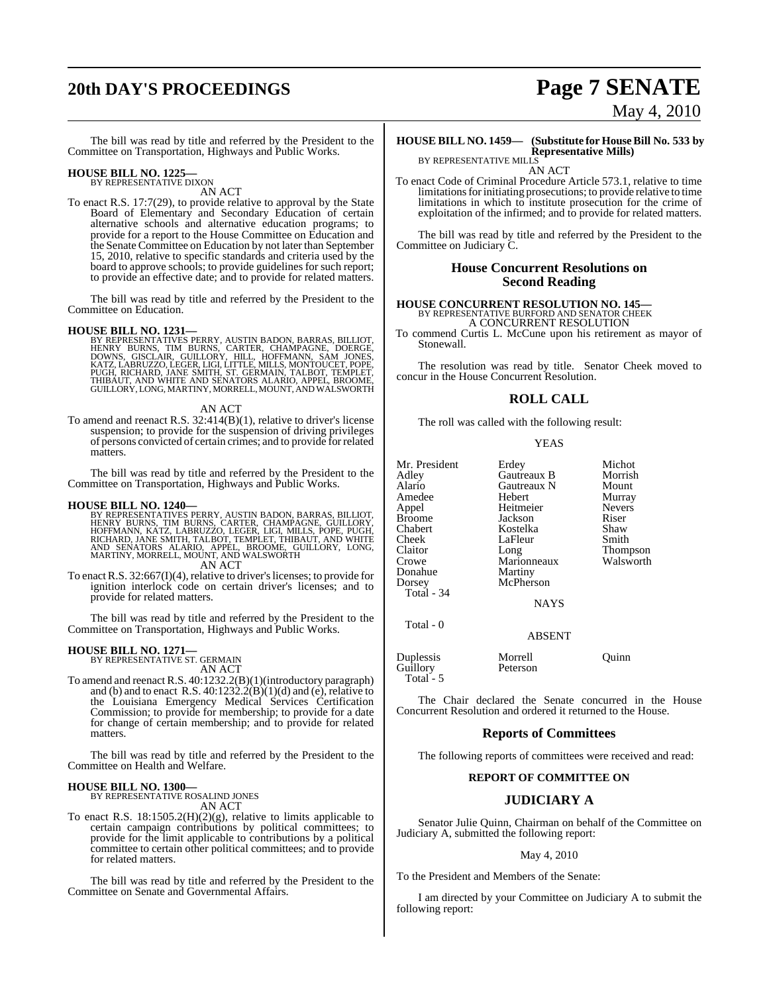# **20th DAY'S PROCEEDINGS Page 7 SENATE**

The bill was read by title and referred by the President to the Committee on Transportation, Highways and Public Works.

### **HOUSE BILL NO. 1225—** BY REPRESENTATIVE DIXON

AN ACT

To enact R.S. 17:7(29), to provide relative to approval by the State Board of Elementary and Secondary Education of certain alternative schools and alternative education programs; to provide for a report to the House Committee on Education and the Senate Committee on Education by not later than September 15, 2010, relative to specific standards and criteria used by the board to approve schools; to provide guidelines for such report; to provide an effective date; and to provide for related matters.

The bill was read by title and referred by the President to the Committee on Education.

#### **HOUSE BILL NO. 1231—**

BY REPRESENTATIVES PERRY, AUSTIN BADON, BARRAS, BILLIOT,<br>HENRY BURNS, TIM BURNS, CARTER, CHAMPAGNE, DOERGE,<br>DOWNS, GISCLAIR, GUILLORY, HILL, HOFFMANN, SAM JONES,<br>KATZ, LABRUZZO, LEGER, LIGI, LITTLE, MILLS, MONTOUCET, POPE, GUILLORY, LONG, MARTINY, MORRELL, MOUNT, AND WALSWORTH

AN ACT

To amend and reenact R.S. 32:414(B)(1), relative to driver's license suspension; to provide for the suspension of driving privileges of persons convicted of certain crimes; and to provide forrelated matters.

The bill was read by title and referred by the President to the Committee on Transportation, Highways and Public Works.

**HOUSE BILL NO. 1240—**<br>BY REPRESENTATIVES PERRY, AUSTIN BADON, BARRAS, BILLIOT,<br>HENRY BURNS, TIM BURNS, CARTER, CHAMPAGNE, GUILLORY,<br>HOFFMANN, KATZ, LABRUZZO, LEGER, LIGI, MILLS, POPE, PUGH,<br>RICHARD, JANE SMITH, TALBOT, TE AN ACT

To enact R.S.  $32:667(I)(4)$ , relative to driver's licenses; to provide for ignition interlock code on certain driver's licenses; and to provide for related matters.

The bill was read by title and referred by the President to the Committee on Transportation, Highways and Public Works.

## **HOUSE BILL NO. 1271—** BY REPRESENTATIVE ST. GERMAIN

AN ACT

To amend and reenact R.S. 40:1232.2(B)(1)(introductory paragraph) and (b) and to enact R.S.  $40:1232.2(B)(1)(d)$  and (e), relative to the Louisiana Emergency Medical Services Certification Commission; to provide for membership; to provide for a date for change of certain membership; and to provide for related matters.

The bill was read by title and referred by the President to the Committee on Health and Welfare.

**HOUSE BILL NO. 1300—** BY REPRESENTATIVE ROSALIND JONES AN ACT

To enact R.S.  $18:1505.2(H)(2)(g)$ , relative to limits applicable to certain campaign contributions by political committees; to provide for the limit applicable to contributions by a political committee to certain other political committees; and to provide for related matters.

The bill was read by title and referred by the President to the Committee on Senate and Governmental Affairs.

# May 4, 2010

#### **HOUSE BILL NO. 1459— (Substitute for HouseBill No. 533 by Representative Mills)** BY REPRESENTATIVE MILLS

AN ACT

To enact Code of Criminal Procedure Article 573.1, relative to time limitations for initiating prosecutions; to provide relative to time limitations in which to institute prosecution for the crime of exploitation of the infirmed; and to provide for related matters.

The bill was read by title and referred by the President to the Committee on Judiciary C.

#### **House Concurrent Resolutions on Second Reading**

## **HOUSE CONCURRENT RESOLUTION NO. 145—** BY REPRESENTATIVE BURFORD AND SENATOR CHEEK

A CONCURRENT RESOLUTION

To commend Curtis L. McCune upon his retirement as mayor of Stonewall.

The resolution was read by title. Senator Cheek moved to concur in the House Concurrent Resolution.

#### **ROLL CALL**

The roll was called with the following result:

|--|--|

| Mr. President<br>Adley<br>Alario<br>Amedee<br>Appel<br>Broome<br>Chabert<br>Cheek<br>Claitor<br>Crowe<br>Donahue<br>Dorsey<br>Total - 34<br>Total - 0 | Erdey<br>Gautreaux B<br>Gautreaux N<br>Hebert<br>Heitmeier<br>Jackson<br>Kostelka<br>LaFleur<br>Long<br>Marionneaux<br>Martiny<br>McPherson<br><b>NAYS</b><br><b>ABSENT</b> | Michot<br>Morrish<br>Mount<br>Murray<br><b>Nevers</b><br>Riser<br>Shaw<br>Smith<br>Thompson<br>Walsworth |
|-------------------------------------------------------------------------------------------------------------------------------------------------------|-----------------------------------------------------------------------------------------------------------------------------------------------------------------------------|----------------------------------------------------------------------------------------------------------|
|                                                                                                                                                       |                                                                                                                                                                             |                                                                                                          |
| Duplessis                                                                                                                                             | Morrell                                                                                                                                                                     | Ouinn                                                                                                    |

Guillory Peterson Total - 5

The Chair declared the Senate concurred in the House Concurrent Resolution and ordered it returned to the House.

#### **Reports of Committees**

The following reports of committees were received and read:

#### **REPORT OF COMMITTEE ON**

#### **JUDICIARY A**

Senator Julie Quinn, Chairman on behalf of the Committee on Judiciary A, submitted the following report:

#### May 4, 2010

To the President and Members of the Senate:

I am directed by your Committee on Judiciary A to submit the following report: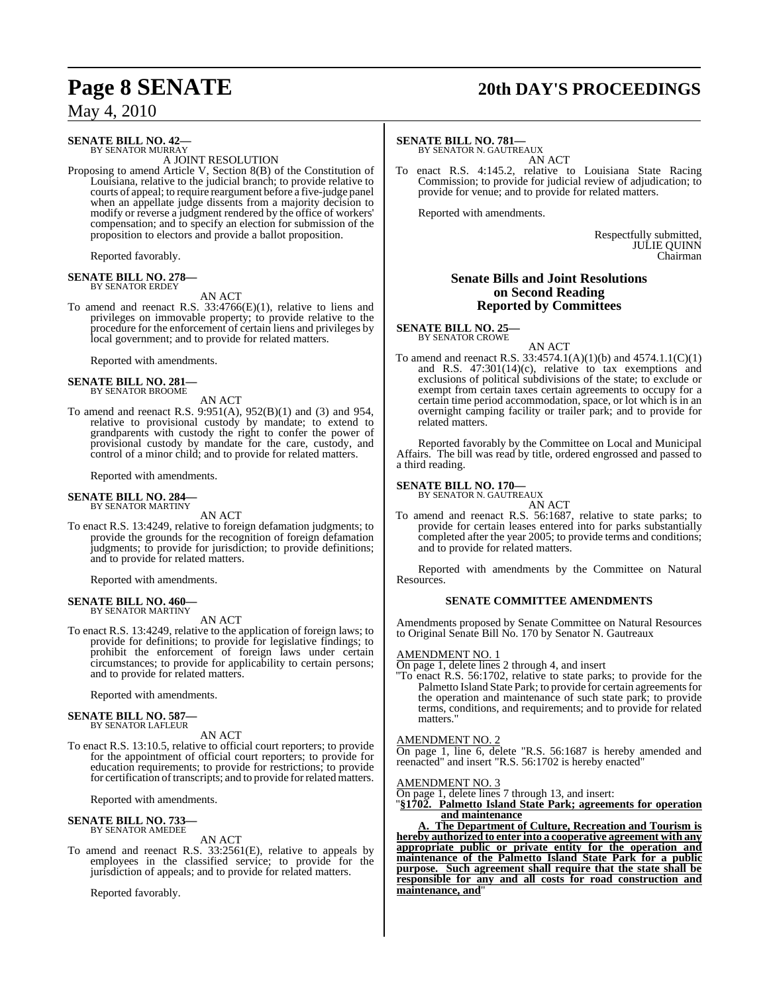#### **SENATE BILL NO. 42—** BY SENATOR MURRAY

A JOINT RESOLUTION

Proposing to amend Article V, Section 8(B) of the Constitution of Louisiana, relative to the judicial branch; to provide relative to courts of appeal; to require reargument before a five-judge panel when an appellate judge dissents from a majority decision to modify or reverse a judgment rendered by the office of workers' compensation; and to specify an election for submission of the proposition to electors and provide a ballot proposition.

Reported favorably.

### **SENATE BILL NO. 278—** BY SENATOR ERDEY

AN ACT

To amend and reenact R.S. 33:4766(E)(1), relative to liens and privileges on immovable property; to provide relative to the procedure for the enforcement of certain liens and privileges by local government; and to provide for related matters.

Reported with amendments.

### **SENATE BILL NO. 281—** BY SENATOR BROOME

AN ACT

To amend and reenact R.S. 9:951(A), 952(B)(1) and (3) and 954, relative to provisional custody by mandate; to extend to grandparents with custody the right to confer the power of provisional custody by mandate for the care, custody, and control of a minor child; and to provide for related matters.

Reported with amendments.

#### **SENATE BILL NO. 284—** BY SENATOR MARTINY

AN ACT

To enact R.S. 13:4249, relative to foreign defamation judgments; to provide the grounds for the recognition of foreign defamation judgments; to provide for jurisdiction; to provide definitions; and to provide for related matters.

Reported with amendments.

# **SENATE BILL NO. 460—** BY SENATOR MARTINY

AN ACT

To enact R.S. 13:4249, relative to the application of foreign laws; to provide for definitions; to provide for legislative findings; to prohibit the enforcement of foreign laws under certain circumstances; to provide for applicability to certain persons; and to provide for related matters.

Reported with amendments.

### **SENATE BILL NO. 587—** BY SENATOR LAFLEUR

AN ACT

To enact R.S. 13:10.5, relative to official court reporters; to provide for the appointment of official court reporters; to provide for education requirements; to provide for restrictions; to provide for certification of transcripts; and to provide for related matters.

Reported with amendments.

#### **SENATE BILL NO. 733** BY SENATOR AMEDEE

AN ACT

To amend and reenact R.S. 33:2561(E), relative to appeals by employees in the classified service; to provide for the jurisdiction of appeals; and to provide for related matters.

Reported favorably.

# **Page 8 SENATE 20th DAY'S PROCEEDINGS**

#### **SENATE BILL NO. 781—**

BY SENATOR N. GAUTREAUX AN ACT

To enact R.S. 4:145.2, relative to Louisiana State Racing Commission; to provide for judicial review of adjudication; to provide for venue; and to provide for related matters.

Reported with amendments.

Respectfully submitted, JULIE QUINN Chairman

#### **Senate Bills and Joint Resolutions on Second Reading Reported by Committees**

# **SENATE BILL NO. 25—** BY SENATOR CROWE

AN ACT

To amend and reenact R.S. 33:4574.1(A)(1)(b) and 4574.1.1(C)(1) and R.S.  $47:301(14)(c)$ , relative to tax exemptions and exclusions of political subdivisions of the state; to exclude or exempt from certain taxes certain agreements to occupy for a certain time period accommodation, space, or lot which is in an overnight camping facility or trailer park; and to provide for related matters.

Reported favorably by the Committee on Local and Municipal Affairs. The bill was read by title, ordered engrossed and passed to a third reading.

#### **SENATE BILL NO. 170—**

BY SENATOR N. GAUTREAUX AN ACT

To amend and reenact R.S. 56:1687, relative to state parks; to provide for certain leases entered into for parks substantially completed after the year 2005; to provide terms and conditions; and to provide for related matters.

Reported with amendments by the Committee on Natural Resources.

#### **SENATE COMMITTEE AMENDMENTS**

Amendments proposed by Senate Committee on Natural Resources to Original Senate Bill No. 170 by Senator N. Gautreaux

#### AMENDMENT NO. 1

On page 1, delete lines 2 through 4, and insert

"To enact R.S. 56:1702, relative to state parks; to provide for the Palmetto Island State Park; to provide for certain agreements for the operation and maintenance of such state park; to provide terms, conditions, and requirements; and to provide for related matters."

#### AMENDMENT NO. 2

On page 1, line 6, delete "R.S. 56:1687 is hereby amended and reenacted" and insert "R.S. 56:1702 is hereby enacted"

#### AMENDMENT NO. 3

On page 1, delete lines 7 through 13, and insert:

"**§1702. Palmetto Island State Park; agreements for operation and maintenance**

**The Department of Culture, Recreation and Tourism is hereby authorized to enter into a cooperative agreement with any appropriate public or private entity for the operation and maintenance of the Palmetto Island State Park for a public purpose. Such agreement shall require that the state shall be responsible for any and all costs for road construction and maintenance, and**"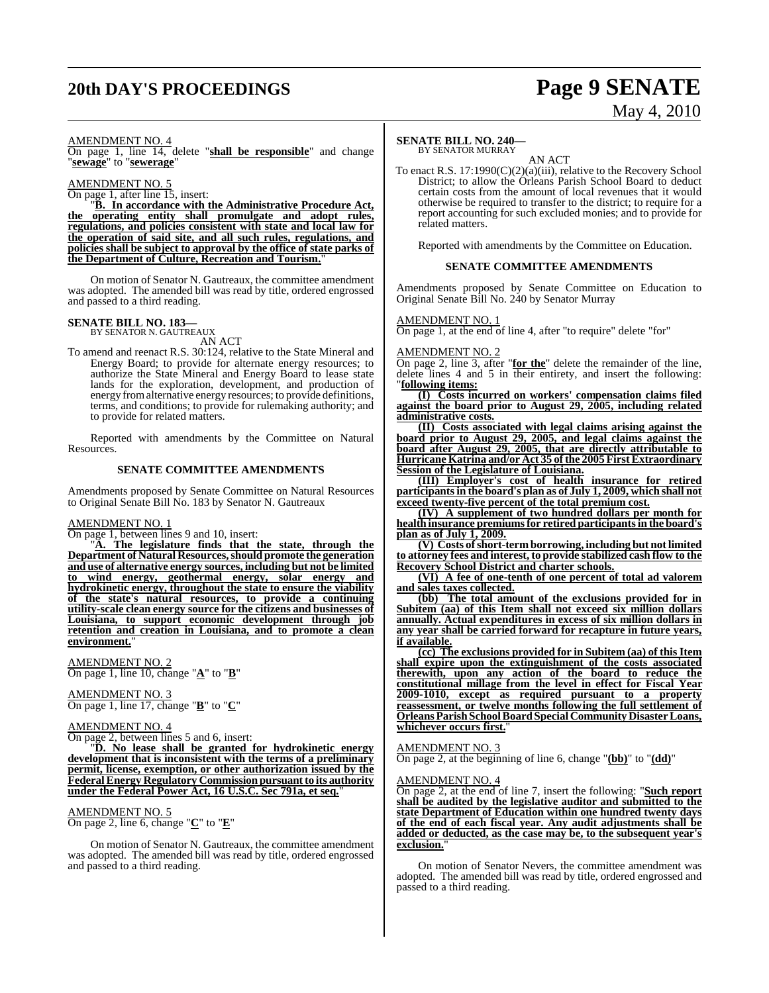# **20th DAY'S PROCEEDINGS Page 9 SENATE**

# May 4, 2010

#### AMENDMENT NO. 4

On page 1, line 14, delete "**shall be responsible**" and change "**sewage**" to "**sewerage**"

#### AMENDMENT NO. 5

On page 1, after line 15, insert:

"**B. In accordance with the Administrative Procedure Act, the operating entity shall promulgate and adopt rules, regulations, and policies consistent with state and local law for the operation of said site, and all such rules, regulations, and policies shall be subject to approval by the office of state parks of the Department of Culture, Recreation and Tourism.**"

On motion of Senator N. Gautreaux, the committee amendment was adopted. The amended bill was read by title, ordered engrossed and passed to a third reading.

### **SENATE BILL NO. 183—** BY SENATOR N. GAUTREAUX

AN ACT

To amend and reenact R.S. 30:124, relative to the State Mineral and Energy Board; to provide for alternate energy resources; to authorize the State Mineral and Energy Board to lease state lands for the exploration, development, and production of energy fromalternative energy resources; to provide definitions, terms, and conditions; to provide for rulemaking authority; and to provide for related matters.

Reported with amendments by the Committee on Natural Resources.

#### **SENATE COMMITTEE AMENDMENTS**

Amendments proposed by Senate Committee on Natural Resources to Original Senate Bill No. 183 by Senator N. Gautreaux

#### AMENDMENT NO. 1

On page 1, between lines 9 and 10, insert:

"**A. The legislature finds that the state, through the Department of Natural Resources,should promote the generation and use of alternative energy sources, including but not be limited to wind energy, geothermal energy, solar energy and hydrokinetic energy, throughout the state to ensure the viability of the state's natural resources, to provide a continuing utility-scale clean energy source for the citizens and businesses of Louisiana, to support economic development through job retention and creation in Louisiana, and to promote a clean environment.**"

#### AMENDMENT NO. 2 On page 1, line 10, change "**A**" to "**B**"

AMENDMENT NO. 3 On page 1, line 17, change "**B**" to "**C**"

#### AMENDMENT NO. 4

On page 2, between lines 5 and 6, insert:

"**D. No lease shall be granted for hydrokinetic energy development that is inconsistent with the terms of a preliminary permit, license, exemption, or other authorization issued by the Federal Energy Regulatory Commission pursuant to its authority under the Federal Power Act, 16 U.S.C. Sec 791a, et seq.**"

#### AMENDMENT NO. 5

On page 2, line 6, change "**C**" to "**E**"

On motion of Senator N. Gautreaux, the committee amendment was adopted. The amended bill was read by title, ordered engrossed and passed to a third reading.

#### **SENATE BILL NO. 240—** BY SENATOR MURRAY

AN ACT

To enact R.S. 17:1990(C)(2)(a)(iii), relative to the Recovery School District; to allow the Orleans Parish School Board to deduct certain costs from the amount of local revenues that it would otherwise be required to transfer to the district; to require for a report accounting for such excluded monies; and to provide for related matters.

Reported with amendments by the Committee on Education.

#### **SENATE COMMITTEE AMENDMENTS**

Amendments proposed by Senate Committee on Education to Original Senate Bill No. 240 by Senator Murray

#### AMENDMENT NO. 1

On page 1, at the end of line 4, after "to require" delete "for"

#### AMENDMENT NO. 2

On page 2, line 3, after "**for the**" delete the remainder of the line, delete lines 4 and 5 in their entirety, and insert the following: "**following items:**

**(I) Costs incurred on workers' compensation claims filed against the board prior to August 29, 2005, including related administrative costs.**

**(II) Costs associated with legal claims arising against the board prior to August 29, 2005, and legal claims against the board after August 29, 2005, that are directly attributable to Hurricane Katrina and/or Act 35 ofthe 2005 First Extraordinary Session of the Legislature of Louisiana.**

**(III) Employer's cost of health insurance for retired participantsin the board's plan as of July 1, 2009, which shall not exceed twenty-five percent of the total premium cost.**

**(IV) A supplement of two hundred dollars per month for health insurance premiumsfor retired participantsin the board's plan as of July 1, 2009.**

**(V) Costs of short-term borrowing, including but not limited to attorney fees and interest, to provide stabilized cash flow to the Recovery School District and charter schools.**

**(VI) A fee of one-tenth of one percent of total ad valorem and sales taxes collected.**

**(bb) The total amount of the exclusions provided for in Subitem (aa) of this Item shall not exceed six million dollars annually. Actual expenditures in excess of six million dollars in any year shall be carried forward for recapture in future years, if available.**

**(cc) The exclusions provided for in Subitem (aa) of this Item shall expire upon the extinguishment of the costs associated therewith, upon any action of the board to reduce the constitutional millage from the level in effect for Fiscal Year 2009-1010, except as required pursuant to a property reassessment, or twelve months following the full settlement of OrleansParishSchoolBoardSpecial Community DisasterLoans, whichever occurs first.**"

### AMENDMENT NO. 3

On page 2, at the beginning of line 6, change "**(bb)**" to "**(dd)**"

#### AMENDMENT NO. 4

On page 2, at the end of line 7, insert the following: "**Such report shall be audited by the legislative auditor and submitted to the state Department of Education within one hundred twenty days of the end of each fiscal year. Any audit adjustments shall be added or deducted, as the case may be, to the subsequent year's exclusion.**"

On motion of Senator Nevers, the committee amendment was adopted. The amended bill was read by title, ordered engrossed and passed to a third reading.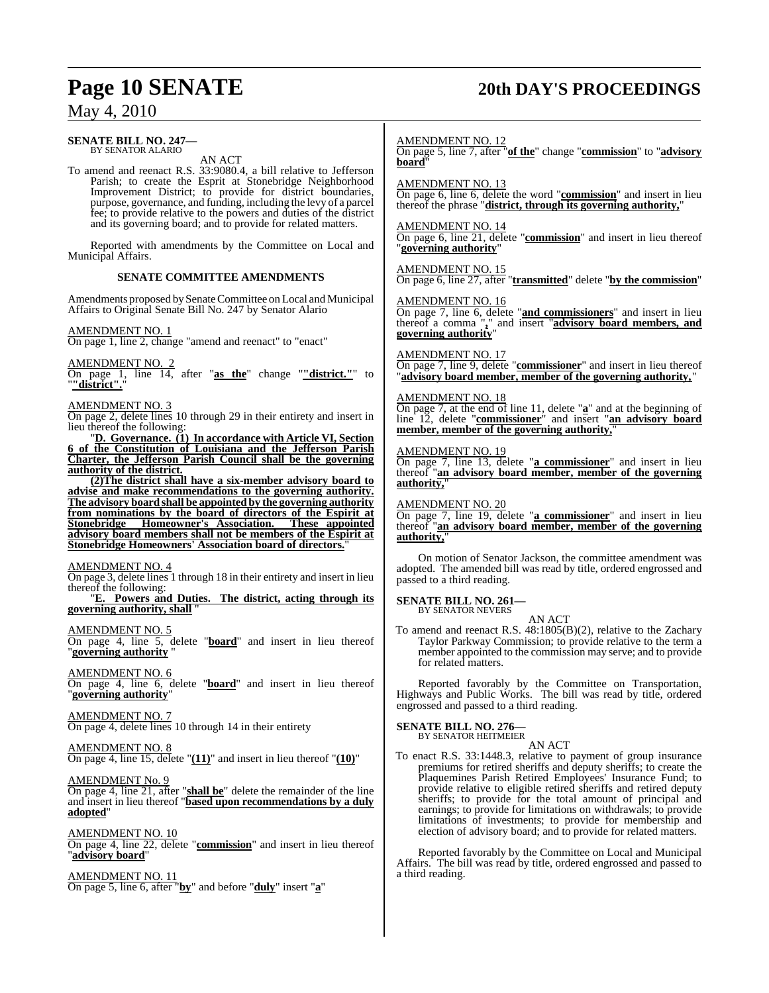# **Page 10 SENATE 20th DAY'S PROCEEDINGS**

### May 4, 2010

#### **SENATE BILL NO. 247—** BY SENATOR ALARIO

AN ACT

To amend and reenact R.S. 33:9080.4, a bill relative to Jefferson Parish; to create the Esprit at Stonebridge Neighborhood Improvement District; to provide for district boundaries, purpose, governance, and funding, including the levy of a parcel fee; to provide relative to the powers and duties of the district and its governing board; and to provide for related matters.

Reported with amendments by the Committee on Local and Municipal Affairs.

#### **SENATE COMMITTEE AMENDMENTS**

Amendments proposed by Senate Committee on Local and Municipal Affairs to Original Senate Bill No. 247 by Senator Alario

#### AMENDMENT NO. 1

On page 1, line 2, change "amend and reenact" to "enact"

#### AMENDMENT NO. 2

On page 1, line 14, after "**as the**" change "**"district."**" to "**"district".**"

#### AMENDMENT NO. 3

On page 2, delete lines 10 through 29 in their entirety and insert in lieu thereof the following:

"**D. Governance. (1) In accordance with Article VI, Section 6 of the Constitution of Louisiana and the Jefferson Parish Charter, the Jefferson Parish Council shall be the governing authority of the district.**

**(2)The district shall have a six-member advisory board to advise and make recommendations to the governing authority. The advisory board shall be appointed by the governing authority from nominations by the board of directors of the Espirit at Stonebridge Homeowner's Association. These appointed advisory board members shall not be members of the Espirit at Stonebridge Homeowners' Association board of directors.**"

#### AMENDMENT NO. 4

On page 3, delete lines 1 through 18 in their entirety and insert in lieu thereof the following:

"**E. Powers and Duties. The district, acting through its governing authority, shall** "

#### AMENDMENT NO. 5

On page 4, line 5, delete "**board**" and insert in lieu thereof "**governing authority** "

### AMENDMENT NO. 6

On page 4, line 6, delete "**board**" and insert in lieu thereof "**governing authority**"

### AMENDMENT NO. 7

On page 4, delete lines 10 through 14 in their entirety

#### AMENDMENT NO. 8

On page 4, line 15, delete "**(11)**" and insert in lieu thereof "**(10)**"

#### AMENDMENT No. 9

On page 4, line 21, after "**shall be**" delete the remainder of the line and insert in lieu thereof "**based upon recommendations by a duly adopted**"

### AMENDMENT NO. 10

On page 4, line 22, delete "**commission**" and insert in lieu thereof "**advisory board**"

AMENDMENT NO. 11 On page 5, line 6, after "**by**" and before "**duly**" insert "**a**"

#### AMENDMENT NO. 12

On page 5, line 7, after "**of the**" change "**commission**" to "**advisory board**"

#### AMENDMENT NO. 13

On page 6, line 6, delete the word "**commission**" and insert in lieu thereof the phrase "**district, through its governing authority,**"

AMENDMENT NO. 14

On page 6, line 21, delete "**commission**" and insert in lieu thereof "**governing authority**"

AMENDMENT NO. 15 On page 6, line 27, after "**transmitted**" delete "**by the commission**"

#### AMENDMENT NO. 16

On page 7, line 6, delete "**and commissioners**" and insert in lieu thereof a comma "**,**" and insert "**advisory board members, and governing authority**"

#### AMENDMENT NO. 17

On page 7, line 9, delete "**commissioner**" and insert in lieu thereof "**advisory board member, member of the governing authority,**"

#### AMENDMENT NO. 18

On page 7, at the end of line 11, delete "**a**" and at the beginning of line 12, delete "**commissioner**" and insert "**an advisory board member, member of the governing authority,**"

### AMENDMENT NO. 19

On page 7, line 13, delete "**a commissioner**" and insert in lieu thereof "**an advisory board member, member of the governing authority,**"

#### AMEND<u>MENT NO. 20</u>

On page 7, line 19, delete "**a commissioner**" and insert in lieu thereof "**an advisory board member, member of the governing authority,**"

On motion of Senator Jackson, the committee amendment was adopted. The amended bill was read by title, ordered engrossed and passed to a third reading.

#### **SENATE BILL NO. 261—**

BY SENATOR NEVERS AN ACT

To amend and reenact R.S. 48:1805(B)(2), relative to the Zachary Taylor Parkway Commission; to provide relative to the term a member appointed to the commission may serve; and to provide for related matters.

Reported favorably by the Committee on Transportation, Highways and Public Works. The bill was read by title, ordered engrossed and passed to a third reading.

# **SENATE BILL NO. 276—** BY SENATOR HEITMEIER

### AN ACT

To enact R.S. 33:1448.3, relative to payment of group insurance premiums for retired sheriffs and deputy sheriffs; to create the Plaquemines Parish Retired Employees' Insurance Fund; to provide relative to eligible retired sheriffs and retired deputy sheriffs; to provide for the total amount of principal and earnings; to provide for limitations on withdrawals; to provide limitations of investments; to provide for membership and election of advisory board; and to provide for related matters.

Reported favorably by the Committee on Local and Municipal Affairs. The bill was read by title, ordered engrossed and passed to a third reading.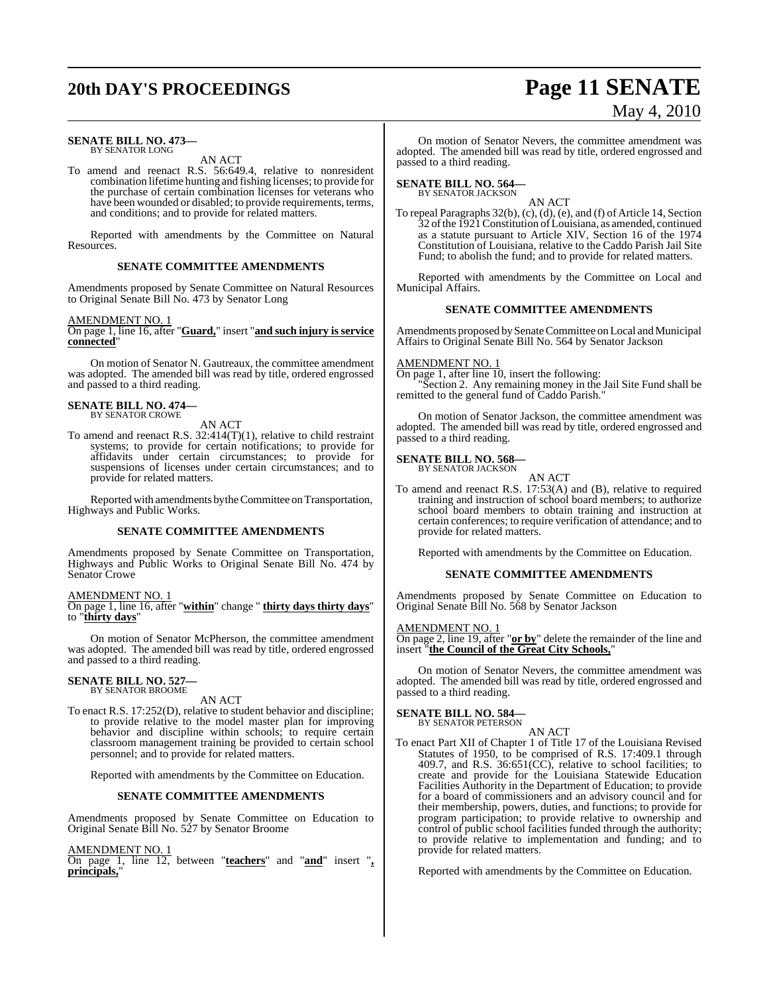#### **SENATE BILL NO. 473—** BY SENATOR LONG

AN ACT

To amend and reenact R.S. 56:649.4, relative to nonresident combination lifetime hunting and fishing licenses; to provide for the purchase of certain combination licenses for veterans who have been wounded or disabled; to provide requirements, terms, and conditions; and to provide for related matters.

Reported with amendments by the Committee on Natural Resources.

#### **SENATE COMMITTEE AMENDMENTS**

Amendments proposed by Senate Committee on Natural Resources to Original Senate Bill No. 473 by Senator Long

#### AMENDMENT NO. 1

On page 1, line 16, after "**Guard,**" insert "**and such injury is service connected**"

On motion of Senator N. Gautreaux, the committee amendment was adopted. The amended bill was read by title, ordered engrossed and passed to a third reading.

### **SENATE BILL NO. 474—** BY SENATOR CROWE

### AN ACT

To amend and reenact R.S. 32:414(T)(1), relative to child restraint systems; to provide for certain notifications; to provide for affidavits under certain circumstances; to provide for suspensions of licenses under certain circumstances; and to provide for related matters.

Reported with amendments by the Committee on Transportation, Highways and Public Works.

#### **SENATE COMMITTEE AMENDMENTS**

Amendments proposed by Senate Committee on Transportation, Highways and Public Works to Original Senate Bill No. 474 by Senator Crowe

#### AMENDMENT NO. 1

On page 1, line 16, after "**within**" change " **thirty days thirty days**" to "**thirty days**"

On motion of Senator McPherson, the committee amendment was adopted. The amended bill was read by title, ordered engrossed and passed to a third reading.

### **SENATE BILL NO. 527—** BY SENATOR BROOME

AN ACT

To enact R.S. 17:252(D), relative to student behavior and discipline; to provide relative to the model master plan for improving behavior and discipline within schools; to require certain classroom management training be provided to certain school personnel; and to provide for related matters.

Reported with amendments by the Committee on Education.

#### **SENATE COMMITTEE AMENDMENTS**

Amendments proposed by Senate Committee on Education to Original Senate Bill No. 527 by Senator Broome

AMENDMENT NO. 1

On page 1, line 12, between "**teachers**" and "**and**" insert "**, principals,**"

On motion of Senator Nevers, the committee amendment was adopted. The amended bill was read by title, ordered engrossed and passed to a third reading.

# **SENATE BILL NO. 564—** BY SENATOR JACKSON

AN ACT

To repeal Paragraphs 32(b), (c), (d), (e), and (f) of Article 14, Section 32 ofthe 1921Constitution ofLouisiana, as amended, continued as a statute pursuant to Article XIV, Section 16 of the 1974 Constitution of Louisiana, relative to the Caddo Parish Jail Site Fund; to abolish the fund; and to provide for related matters.

Reported with amendments by the Committee on Local and Municipal Affairs.

#### **SENATE COMMITTEE AMENDMENTS**

Amendments proposed by Senate Committee on Local and Municipal Affairs to Original Senate Bill No. 564 by Senator Jackson

#### AMENDMENT NO. 1

On page 1, after line 10, insert the following: "Section 2. Any remaining money in the Jail Site Fund shall be remitted to the general fund of Caddo Parish."

On motion of Senator Jackson, the committee amendment was adopted. The amended bill was read by title, ordered engrossed and passed to a third reading.

#### **SENATE BILL NO. 568—**

BY SENATOR JACKSON AN ACT

To amend and reenact R.S. 17:53(A) and (B), relative to required training and instruction of school board members; to authorize school board members to obtain training and instruction at certain conferences; to require verification of attendance; and to provide for related matters.

Reported with amendments by the Committee on Education.

#### **SENATE COMMITTEE AMENDMENTS**

Amendments proposed by Senate Committee on Education to Original Senate Bill No. 568 by Senator Jackson

#### AMENDMENT NO. 1

On page 2, line 19, after "**or by**" delete the remainder of the line and insert "**the Council of the Great City Schools,**"

On motion of Senator Nevers, the committee amendment was adopted. The amended bill was read by title, ordered engrossed and passed to a third reading.

#### **SENATE BILL NO. 584** BY SENATOR PETERSON

AN ACT

To enact Part XII of Chapter 1 of Title 17 of the Louisiana Revised Statutes of 1950, to be comprised of R.S. 17:409.1 through 409.7, and R.S. 36:651(CC), relative to school facilities; to create and provide for the Louisiana Statewide Education Facilities Authority in the Department of Education; to provide for a board of commissioners and an advisory council and for their membership, powers, duties, and functions; to provide for program participation; to provide relative to ownership and control of public school facilities funded through the authority; to provide relative to implementation and funding; and to provide for related matters.

Reported with amendments by the Committee on Education.

# **20th DAY'S PROCEEDINGS Page 11 SENATE** May 4, 2010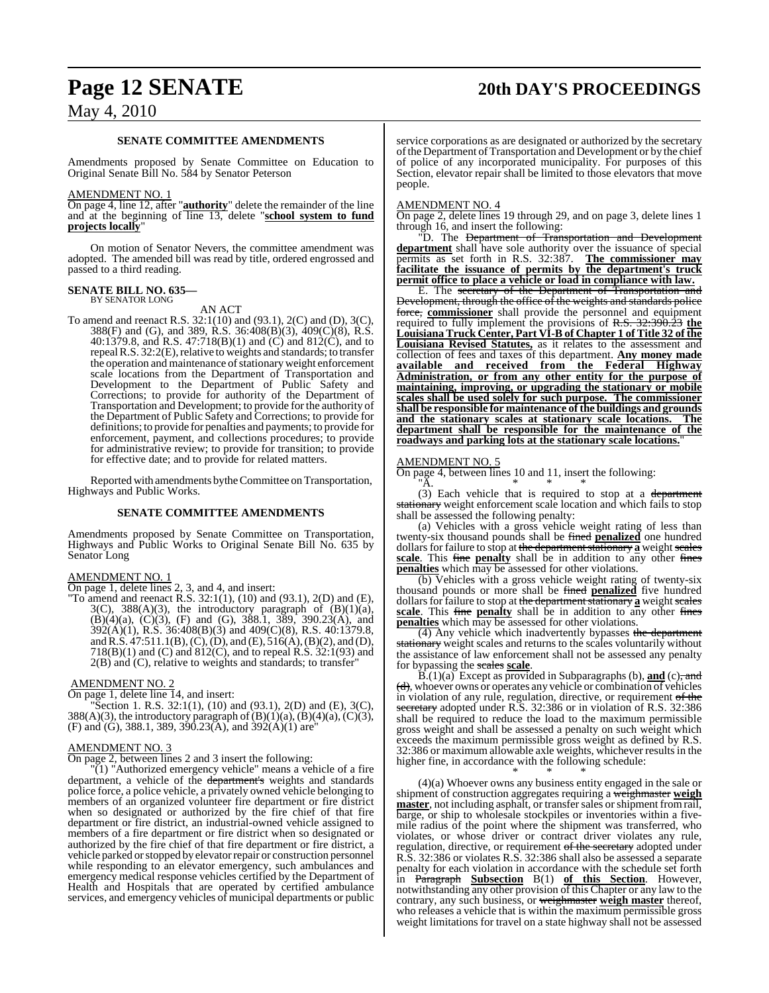# **Page 12 SENATE 20th DAY'S PROCEEDINGS**

### May 4, 2010

#### **SENATE COMMITTEE AMENDMENTS**

Amendments proposed by Senate Committee on Education to Original Senate Bill No. 584 by Senator Peterson

#### AMENDMENT NO. 1

On page 4, line 12, after "**authority**" delete the remainder of the line and at the beginning of line 13, delete "**school system to fund projects locally**"

On motion of Senator Nevers, the committee amendment was adopted. The amended bill was read by title, ordered engrossed and passed to a third reading.

#### **SENATE BILL NO. 635—** BY SENATOR LONG

AN ACT

To amend and reenact R.S. 32:1(10) and (93.1), 2(C) and (D), 3(C), 388(F) and (G), and 389, R.S. 36:408(B)(3), 409(C)(8), R.S. 40:1379.8, and R.S. 47:718(B)(1) and (C) and 812(C), and to repeal R.S. 32:2(E), relative to weights and standards; to transfer the operation and maintenance of stationary weight enforcement scale locations from the Department of Transportation and Development to the Department of Public Safety and Corrections; to provide for authority of the Department of Transportation and Development; to provide for the authority of the Department of Public Safety and Corrections; to provide for definitions; to provide for penalties and payments; to provide for enforcement, payment, and collections procedures; to provide for administrative review; to provide for transition; to provide for effective date; and to provide for related matters.

Reported with amendments by the Committee on Transportation, Highways and Public Works.

#### **SENATE COMMITTEE AMENDMENTS**

Amendments proposed by Senate Committee on Transportation, Highways and Public Works to Original Senate Bill No. 635 by Senator Long

#### AMENDMENT NO. 1

On page 1, delete lines 2, 3, and 4, and insert:

"To amend and reenact R.S.  $32:1(1)$ ,  $(10)$  and  $(93.1)$ ,  $2(D)$  and  $(E)$ ,  $3(C)$ ,  $388(A)(3)$ , the introductory paragraph of  $(B)(1)(a)$ ,  $(B)(4)(a)$ ,  $(C)(3)$ ,  $(F)$  and  $(G)$ , 388.1, 389, 390.23 $(A)$ , and 392(A)(1), R.S. 36:408(B)(3) and 409(C)(8), R.S. 40:1379.8, and R.S.  $47:511.1(B)$ , (C), (D), and (E),  $516(A)$ , (B)(2), and (D), 718(B)(1) and (C) and  $812(C)$ , and to repeal R.S.  $32:1(93)$  and 2(B) and (C), relative to weights and standards; to transfer"

#### AMENDMENT NO. 2

On page 1, delete line  $\overline{1}4$ , and insert:

"Section 1. R.S.  $32:1(1)$ ,  $(10)$  and  $(93.1)$ ,  $2(D)$  and  $(E)$ ,  $3(C)$ , 388(A)(3), the introductory paragraph of  $(B)(1)(a)$ ,  $(B)(4)(a)$ ,  $(C)(3)$ , (F) and (G), 388.1, 389, 390.23(A), and 392(A)(1) are"

#### AMENDMENT NO. 3

On page 2, between lines 2 and 3 insert the following:

"(1) "Authorized emergency vehicle" means a vehicle of a fire department, a vehicle of the department's weights and standards police force, a police vehicle, a privately owned vehicle belonging to members of an organized volunteer fire department or fire district when so designated or authorized by the fire chief of that fire department or fire district, an industrial-owned vehicle assigned to members of a fire department or fire district when so designated or authorized by the fire chief of that fire department or fire district, a vehicle parked or stopped by elevator repair or construction personnel while responding to an elevator emergency, such ambulances and emergency medical response vehicles certified by the Department of Health and Hospitals that are operated by certified ambulance services, and emergency vehicles of municipal departments or public service corporations as are designated or authorized by the secretary of the Department of Transportation and Development or by the chief of police of any incorporated municipality. For purposes of this Section, elevator repair shall be limited to those elevators that move people.

#### AMENDMENT NO. 4

On page 2, delete lines 19 through 29, and on page 3, delete lines 1 through 16, and insert the following:

"D. The <del>Department of Transportation and Development</del> **department** shall have sole authority over the issuance of special permits as set forth in R.S. 32:387. **The commissioner may facilitate the issuance of permits by the department's truck permit office to place a vehicle or load in compliance with law.**

E. The secretary of the Department of Transportation and Development, through the office of the weights and standards police force, **commissioner** shall provide the personnel and equipment required to fully implement the provisions of R.S. 32:390.23 **the Louisiana Truck Center, Part VI-B of Chapter 1 of Title 32 of the Louisiana Revised Statutes,** as it relates to the assessment and collection of fees and taxes of this department. **Any money made available and received from the Federal Highway Administration, or from any other entity for the purpose of maintaining, improving, or upgrading the stationary or mobile scales shall be used solely for such purpose. The commissioner shall be responsible for maintenance of the buildings and grounds and the stationary scales at stationary scale locations. The department shall be responsible for the maintenance of the roadways and parking lots at the stationary scale locations.**"

#### AMENDMENT NO. 5

On page 4, between lines 10 and 11, insert the following: "A. \* \* \*

(3) Each vehicle that is required to stop at a department stationary weight enforcement scale location and which fails to stop shall be assessed the following penalty:

(a) Vehicles with a gross vehicle weight rating of less than twenty-six thousand pounds shall be fined **penalized** one hundred dollars for failure to stop at the department stationary a weight scales **scale**. This fine **penalty** shall be in addition to any other fines **penalties** which may be assessed for other violations.

(b) Vehicles with a gross vehicle weight rating of twenty-six thousand pounds or more shall be fined **penalized** five hundred dollars for failure to stop at the department stationary a weight scales **scale**. This fine **penalty** shall be in addition to any other fines **penalties** which may be assessed for other violations.

(4) Any vehicle which inadvertently bypasses the department stationary weight scales and returns to the scales voluntarily without the assistance of law enforcement shall not be assessed any penalty for bypassing the scales **scale**.

 $B(1)(a)$  Except as provided in Subparagraphs (b), **and** (c), and (d), whoever owns or operates any vehicle or combination of vehicles in violation of any rule, regulation, directive, or requirement of the secretary adopted under R.S. 32:386 or in violation of R.S. 32:386 shall be required to reduce the load to the maximum permissible gross weight and shall be assessed a penalty on such weight which exceeds the maximum permissible gross weight as defined by R.S. 32:386 or maximum allowable axle weights, whichever resultsin the higher fine, in accordance with the following schedule:

\* \* \* (4)(a) Whoever owns any business entity engaged in the sale or shipment of construction aggregates requiring a weighmaster **weigh** master, not including asphalt, or transfer sales or shipment from rail, barge, or ship to wholesale stockpiles or inventories within a fivemile radius of the point where the shipment was transferred, who violates, or whose driver or contract driver violates any rule, regulation, directive, or requirement of the secretary adopted under R.S. 32:386 or violates R.S. 32:386 shall also be assessed a separate penalty for each violation in accordance with the schedule set forth in Paragraph **Subsection** B(1) **of this Section**. However, notwithstanding any other provision of this Chapter or any law to the contrary, any such business, or weighmaster **weigh master** thereof, who releases a vehicle that is within the maximum permissible gross weight limitations for travel on a state highway shall not be assessed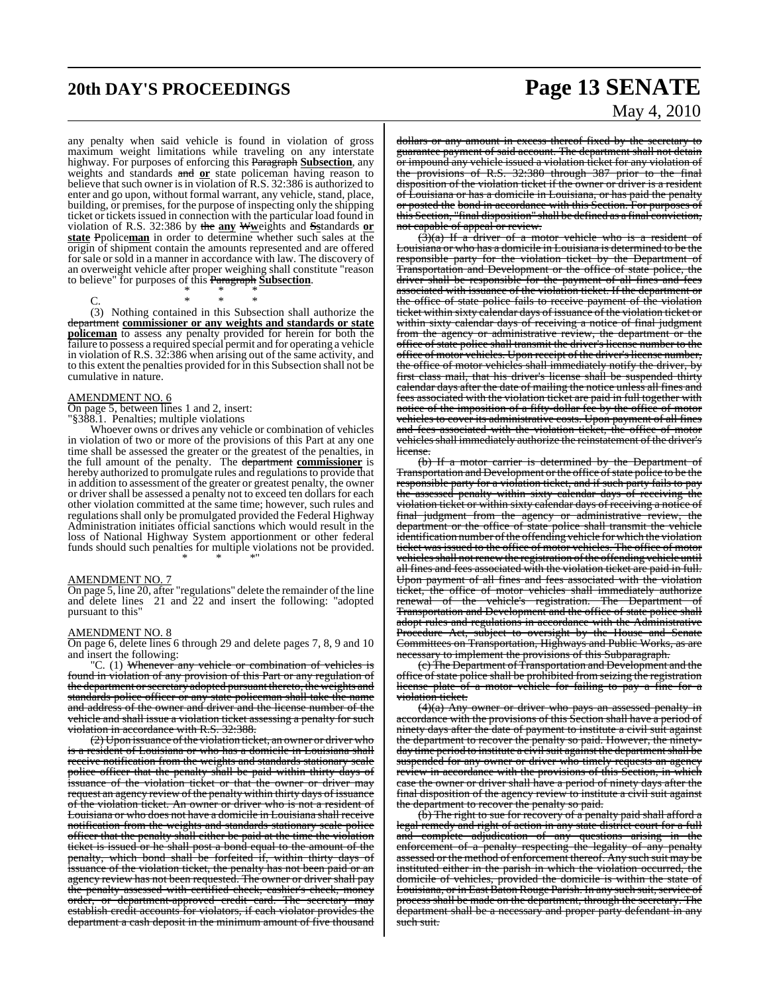#### any penalty when said vehicle is found in violation of gross maximum weight limitations while traveling on any interstate highway. For purposes of enforcing this Paragraph **Subsection**, any weights and standards and **or** state policeman having reason to believe that such owner is in violation of R.S. 32:386 is authorized to enter and go upon, without formal warrant, any vehicle, stand, place, building, or premises, for the purpose of inspecting only the shipping ticket or tickets issued in connection with the particular load found in violation of R.S. 32:386 by the **any** W**w**eights and **Ss**tandards **or state** Ppolice**man** in order to determine whether such sales at the origin of shipment contain the amounts represented and are offered for sale or sold in a manner in accordance with law. The discovery of an overweight vehicle after proper weighing shall constitute "reason to believe" for purposes of this Paragraph **Subsection**.

\* \* \*

C. \* \* \* (3) Nothing contained in this Subsection shall authorize the department **commissioner or any weights and standards or state policeman** to assess any penalty provided for herein for both the failure to possess a required special permit and for operating a vehicle in violation of R.S. 32:386 when arising out of the same activity, and to this extent the penalties provided for in this Subsection shall not be cumulative in nature.

#### AMENDMENT NO. 6

On page 5, between lines 1 and 2, insert: "§388.1. Penalties; multiple violations

Whoever owns or drives any vehicle or combination of vehicles in violation of two or more of the provisions of this Part at any one time shall be assessed the greater or the greatest of the penalties, in the full amount of the penalty. The department **commissioner** is hereby authorized to promulgate rules and regulationsto provide that in addition to assessment of the greater or greatest penalty, the owner or driver shall be assessed a penalty not to exceed ten dollars for each other violation committed at the same time; however, such rules and regulationsshall only be promulgated provided the Federal Highway Administration initiates official sanctions which would result in the loss of National Highway System apportionment or other federal funds should such penalties for multiple violations not be provided. \* \* \*"

#### AMENDMENT NO. 7

On page 5, line 20, after "regulations" delete the remainder of the line and delete lines 21 and 22 and insert the following: "adopted pursuant to this"

#### AMENDMENT NO. 8

On page 6, delete lines 6 through 29 and delete pages 7, 8, 9 and 10 and insert the following:

"C. (1) Whenever any vehicle or combination of vehicles is found in violation of any provision of this Part or any regulation of the department or secretary adopted pursuant thereto, the weights and standards police officer or any state policeman shall take the name and address of the owner and driver and the license number of the vehicle and shall issue a violation ticket assessing a penalty for such violation in accordance with R.S. 32:388.

 $(2)$  Upon issuance of the violation ticket, an owner or driver who resident of Louisiana or who has a domicile in Louisiana shall receive notification from the weights and standards stationary scale police officer that the penalty shall be paid within thirty days of issuance of the violation ticket or that the owner or driver may request an agency review of the penalty within thirty days of issuance of the violation ticket. An owner or driver who is not a resident of Louisiana or who does not have a domicile in Louisiana shall receive notification from the weights and standards stationary scale police officer that the penalty shall either be paid at the time the violation ticket is issued or he shall post a bond equal to the amount of the penalty, which bond shall be forfeited if, within thirty days of issuance of the violation ticket, the penalty has not been paid or an agency review has not been requested. The owner or driver shall pay the penalty assessed with certified check, cashier's check, money order, or department-approved credit card. The secretary may establish credit accounts for violators, if each violator provides the department a cash deposit in the minimum amount of five thousand

# **20th DAY'S PROCEEDINGS Page 13 SENATE** May 4, 2010

dollars or any amount in excess thereof fixed by the secretary to guarantee payment of said account. The department shall not detain or impound any vehicle issued a violation ticket for any violation of the provisions of R.S. 32:380 through 387 prior to the final disposition of the violation ticket if the owner or driver is a resident of Louisiana or has a domicile in Louisiana, or has paid the penalty or posted the bond in accordance with this Section. For purposes of this Section, "final disposition" shall be defined as a final conviction, not capable of appeal or review.

 $\left(\frac{3}{4}\right)$  If a driver of a motor vehicle who is a resident Louisiana or who has a domicile in Louisiana is determined to be the responsible party for the violation ticket by the Department of Transportation and Development or the office of state police, the driver shall be responsible for the payment of all fines and fees associated with issuance of the violation ticket. If the department or the office of state police fails to receive payment of the violation ticket within sixty calendar days of issuance of the violation ticket or within sixty calendar days of receiving a notice of final judgment from the agency or administrative review, the department or the office of state police shall transmit the driver's license number to the office of motor vehicles. Upon receipt of the driver's license number, the office of motor vehicles shall immediately notify the driver, by first class mail, that his driver's license shall be suspended thirty calendar days after the date of mailing the notice unless all fines and fees associated with the violation ticket are paid in full together with notice of the imposition of a fifty-dollar fee by the office of motor vehicles to cover its administrative costs. Upon payment of all fines and fees associated with the violation ticket, the office of motor vehicles shall immediately authorize the reinstatement of the driver's license.

(b) If a motor carrier is determined by the Department of Transportation and Development or the office of state police to be the responsible party for a violation ticket, and if such party fails to pay the assessed penalty within sixty calendar days of receiving the violation ticket or within sixty calendar days of receiving a notice of final judgment from the agency or administrative review, the department or the office of state police shall transmit the vehicle identification number ofthe offending vehicle for which the violation ticket was issued to the office of motor vehicles. The office of motor vehicles shall not renew the registration of the offending vehicle until all fines and fees associated with the violation ticket are paid in full. Upon payment of all fines and fees associated with the violation ticket, the office of motor vehicles shall immediately authorize renewal of the vehicle's registration. The Department of Transportation and Development and the office of state police shall adopt rules and regulations in accordance with the Administrative Procedure Act, subject to oversight by the House and Senate Committees on Transportation, Highways and Public Works, as are necessary to implement the provisions of this Subparagraph.

(c) The Department of Transportation and Development and the office of state police shall be prohibited from seizing the registration license plate of a motor vehicle for failing to pay a fine for a v<del>iolation ticket.</del>

(4)(a) Any owner or driver who pays an assessed penalty in accordance with the provisions of this Section shall have a period of ninety days after the date of payment to institute a civil suit against the department to recover the penalty so paid. However, the ninetyday time period to institute a civil suit against the department shall be suspended for any owner or driver who timely requests an agency review in accordance with the provisions of this Section, in which case the owner or driver shall have a period of ninety days after the final disposition of the agency review to institute a civil suit against the department to recover the penalty so paid.

 $(b)$  The right to sue for recovery of a penalty paid shall afford a legal remedy and right of action in any state district court for a full and complete adjudication of any questions arising in the enforcement of a penalty respecting the legality of any penalty assessed or the method of enforcement thereof. Any such suit may be instituted either in the parish in which the violation occurred, the domicile of vehicles, provided the domicile is within the state of Louisiana, or in East Baton Rouge Parish. In any such suit, service of process shall be made on the department, through the secretary. The department shall be a necessary and proper party defendant in any such suit.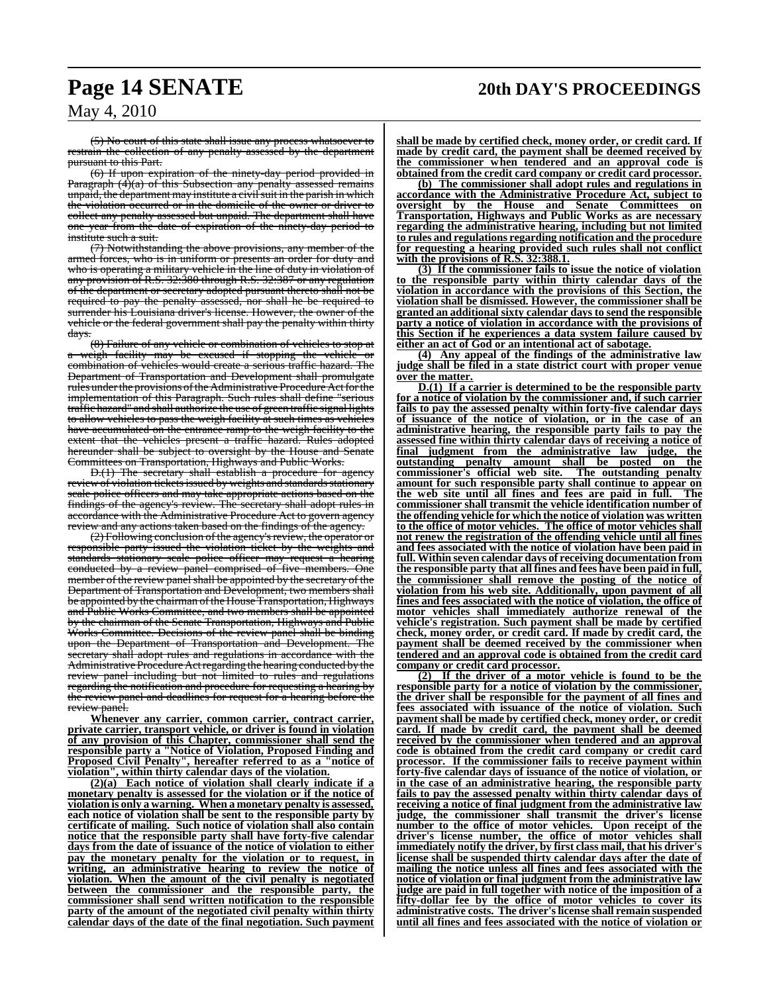## **Page 14 SENATE 20th DAY'S PROCEEDINGS**

May 4, 2010

(5) No court of this state shall issue any process whatsoever to restrain the collection of any penalty assessed by the department pursuant to this Part.

(6) If upon expiration of the ninety-day period provided in Paragraph (4)(a) of this Subsection any penalty assessed remains unpaid, the department may institute a civil suit in the parish in which the violation occurred or in the domicile of the owner or driver to collect any penalty assessed but unpaid. The department shall have one year from the date of expiration of the ninety-day period to institute such a suit.

(7) Notwithstanding the above provisions, any member of the armed forces, who is in uniform or presents an order for duty and who is operating a military vehicle in the line of duty in violation of any provision of R.S. 32:380 through R.S. 32:387 or any regulation of the department or secretary adopted pursuant thereto shall not be required to pay the penalty assessed, nor shall he be required to surrender his Louisiana driver's license. However, the owner of the vehicle or the federal government shall pay the penalty within thirty days.

(8) Failure of any vehicle or combination of vehicles to stop at a weigh facility may be excused if stopping the vehicle or combination of vehicles would create a serious traffic hazard. The Department of Transportation and Development shall promulgate rules under the provisions of the Administrative Procedure Act for the implementation of this Paragraph. Such rules shall define traffic hazard" and shall authorize the use of green traffic signal lights to allow vehicles to pass the weigh facility at such times as vehicles have accumulated on the entrance ramp to the weigh facility to the extent that the vehicles present a traffic hazard. Rules adopted hereunder shall be subject to oversight by the House and Senate Committees on Transportation, Highways and Public Works.

 $D(1)$  The secretary shall establish a procedure for review of violation tickets issued by weights and standards stationary scale police officers and may take appropriate actions based on the findings of the agency's review. The secretary shall adopt rules in accordance with the Administrative Procedure Act to govern agency review and any actions taken based on the findings of the agency.

(2) Following conclusion of the agency's review, the operator or responsible party issued the violation ticket by the weights and standards stationary scale police officer may request a hearing conducted by a review panel comprised of five members. One member of the review panel shall be appointed by the secretary of the Department of Transportation and Development, two members shall be appointed by the chairman of the House Transportation, Highways and Public Works Committee, and two members shall be appointed by the chairman of the Senate Transportation, Highways and Public Works Committee. Decisions of the review panel shall be binding upon the Department of Transportation and Development. The secretary shall adopt rules and regulations in accordance with the Administrative Procedure Act regarding the hearing conducted by the review panel including but not limited to rules and regulations regarding the notification and procedure for requesting a hearing by the review panel and deadlines for request for a hearing before the nanel.

**Whenever any carrier, common carrier, contract carrier, private carrier, transport vehicle, or driver is found in violation of any provision of this Chapter, commissioner shall send the responsible party a "Notice of Violation, Proposed Finding and Proposed Civil Penalty", hereafter referred to as a "notice of violation", within thirty calendar days of the violation.**

**(2)(a) Each notice of violation shall clearly indicate if a monetary penalty is assessed for the violation or if the notice of violation is only a warning. When a monetary penalty is assessed, each notice of violation shall be sent to the responsible party by certificate of mailing. Such notice of violation shall also contain notice that the responsible party shall have forty-five calendar days from the date of issuance of the notice of violation to either pay the monetary penalty for the violation or to request, in writing, an administrative hearing to review the notice of violation. When the amount of the civil penalty is negotiated between the commissioner and the responsible party, the commissioner shall send written notification to the responsible party of the amount of the negotiated civil penalty within thirty calendar days of the date of the final negotiation. Such payment**

**shall be made by certified check, money order, or credit card. If made by credit card, the payment shall be deemed received by the commissioner when tendered and an approval code is obtained from the credit card company or credit card processor.**

**(b) The commissioner shall adopt rules and regulations in accordance with the Administrative Procedure Act, subject to oversight by the House and Senate Committees on Transportation, Highways and Public Works as are necessary regarding the administrative hearing, including but not limited to rules and regulations regarding notification and the procedure for requesting a hearing provided such rules shall not conflict with the provisions of R.S. 32:388.1.**

**(3) If the commissioner fails to issue the notice of violation to the responsible party within thirty calendar days of the violation in accordance with the provisions of this Section, the violation shall be dismissed. However, the commissioner shall be granted an additional sixty calendar days to send the responsible party a notice of violation in accordance with the provisions of this Section if he experiences a data system failure caused by either an act of God or an intentional act of sabotage.**

**(4) Any appeal of the findings of the administrative law judge shall be filed in a state district court with proper venue over the matter.**

**D.(1) If a carrier is determined to be the responsible party for a notice of violation by the commissioner and, if such carrier fails to pay the assessed penalty within forty-five calendar days of issuance of the notice of violation, or in the case of an administrative hearing, the responsible party fails to pay the assessed fine within thirty calendar days of receiving a notice of final judgment from the administrative law judge, the outstanding penalty amount shall be posted on the commissioner's official web site. The outstanding penalty amount for such responsible party shall continue to appear on the web site until all fines and fees are paid in full. The commissioner shall transmit the vehicle identification number of the offending vehicle for which the notice of violation was written to the office of motor vehicles. The office of motor vehicles shall not renew the registration of the offending vehicle until all fines and fees associated with the notice of violation have been paid in full. Within seven calendar days of receiving documentation from the responsible party that all fines and fees have been paid in full, the commissioner shall remove the posting of the notice of violation from his web site. Additionally, upon payment of all fines and fees associated with the notice of violation, the office of motor vehicles shall immediately authorize renewal of the vehicle's registration. Such payment shall be made by certified check, money order, or credit card. If made by credit card, the payment shall be deemed received by the commissioner when tendered and an approval code is obtained from the credit card company or credit card processor.**

**(2) If the driver of a motor vehicle is found to be the responsible party for a notice of violation by the commissioner, the driver shall be responsible for the payment of all fines and fees associated with issuance of the notice of violation. Such payment shall be made by certified check, money order, or credit card. If made by credit card, the payment shall be deemed received by the commissioner when tendered and an approval code is obtained from the credit card company or credit card processor. If the commissioner fails to receive payment within forty-five calendar days of issuance of the notice of violation, or in the case of an administrative hearing, the responsible party fails to pay the assessed penalty within thirty calendar days of receiving a notice of final judgment from the administrative law judge, the commissioner shall transmit the driver's license number to the office of motor vehicles. Upon receipt of the driver's license number, the office of motor vehicles shall immediately notify the driver, by first class mail, that his driver's license shall be suspended thirty calendar days after the date of mailing the notice unless all fines and fees associated with the notice of violation or final judgment from the administrative law judge are paid in full together with notice of the imposition of a fifty-dollar fee by the office of motor vehicles to cover its administrative costs. The driver's license shall remain suspended until all fines and fees associated with the notice of violation or**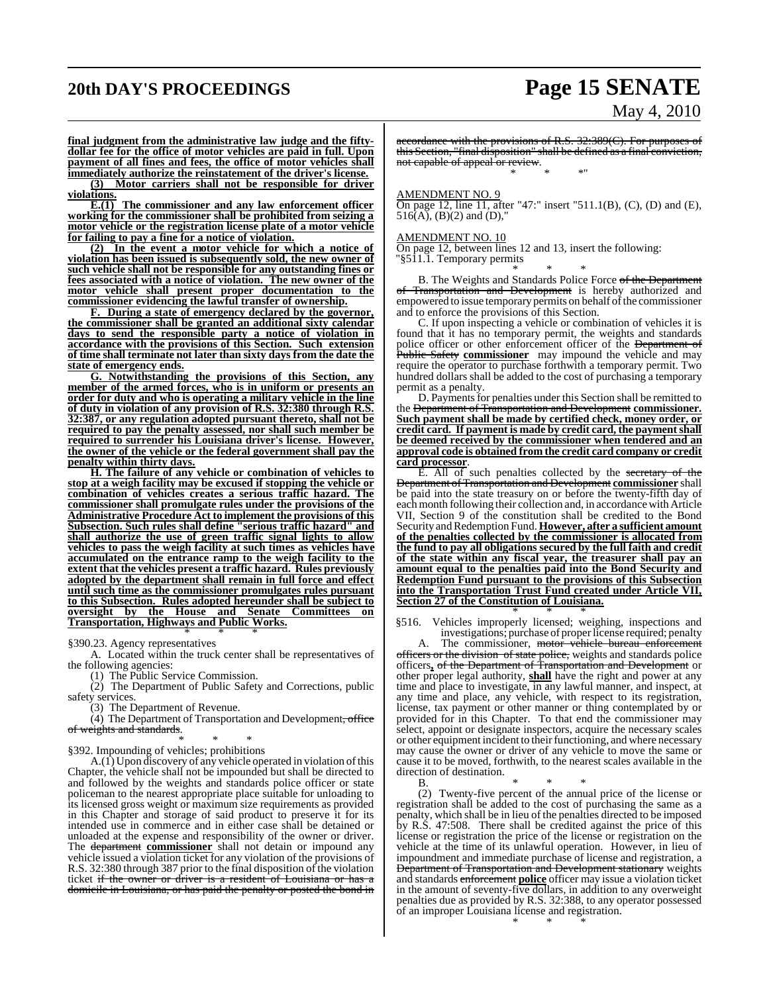# **20th DAY'S PROCEEDINGS Page 15 SENATE**

# May 4, 2010

**final judgment from the administrative law judge and the fiftydollar fee for the office of motor vehicles are paid in full. Upon payment of all fines and fees, the office of motor vehicles shall immediately authorize the reinstatement of the driver's license.**

**(3) Motor carriers shall not be responsible for driver violations.**

**E.(1) The commissioner and any law enforcement officer working for the commissioner shall be prohibited from seizing a motor vehicle or the registration license plate of a motor vehicle for failing to pay a fine for a notice of violation.**

**(2) In the event a motor vehicle for which a notice of violation has been issued is subsequently sold, the new owner of such vehicle shall not be responsible for any outstanding fines or fees associated with a notice of violation. The new owner of the motor vehicle shall present proper documentation to the commissioner evidencing the lawful transfer of ownership.**

**F. During a state of emergency declared by the governor, the commissioner shall be granted an additional sixty calendar days to send the responsible party a notice of violation in accordance with the provisions of this Section. Such extension of time shall terminate not later than sixty days from the date the state of emergency ends.**

**G. Notwithstanding the provisions of this Section, any member of the armed forces, who is in uniform or presents an order for duty and who is operating a military vehicle in the line of duty in violation of any provision of R.S. 32:380 through R.S. 32:387, or any regulation adopted pursuant thereto, shall not be required to pay the penalty assessed, nor shall such member be required to surrender his Louisiana driver's license. However, the owner of the vehicle or the federal government shall pay the penalty within thirty days.**

**H. The failure of any vehicle or combination of vehicles to stop at a weigh facility may be excused if stopping the vehicle or combination of vehicles creates a serious traffic hazard. The commissioner shall promulgate rules under the provisions of the Administrative Procedure Act to implement the provisions of this Subsection. Such rules shall define "serious traffic hazard" and shall authorize the use of green traffic signal lights to allow vehicles to pass the weigh facility at such times as vehicles have accumulated on the entrance ramp to the weigh facility to the extent that the vehicles present a traffic hazard. Rules previously adopted by the department shall remain in full force and effect until such time as the commissioner promulgates rules pursuant to this Subsection. Rules adopted hereunder shall be subject to oversight by the House and Senate Committees on Transportation, Highways and Public Works.**

\* \* \* §390.23. Agency representatives

A. Located within the truck center shall be representatives of the following agencies:

(1) The Public Service Commission.

(2) The Department of Public Safety and Corrections, public safety services.

(3) The Department of Revenue.

(4) The Department of Transportation and Development, office of weights and standards.

#### \* \* \* §392. Impounding of vehicles; prohibitions

A.(1) Upon discovery of any vehicle operated in violation of this Chapter, the vehicle shall not be impounded but shall be directed to and followed by the weights and standards police officer or state policeman to the nearest appropriate place suitable for unloading to its licensed gross weight or maximum size requirements as provided in this Chapter and storage of said product to preserve it for its intended use in commerce and in either case shall be detained or unloaded at the expense and responsibility of the owner or driver. The department commissioner shall not detain or impound any vehicle issued a violation ticket for any violation of the provisions of R.S. 32:380 through 387 prior to the final disposition of the violation ticket if the owner or driver is a resident of Louisiana or has a domicile in Louisiana, or has paid the penalty or posted the bond in

accordance with the provisions of R.S. 32:389(C). For purposes of this Section, "final disposition" shall be defined as a final conviction, not capable of appeal or review. \* \* \*"

#### AMENDMENT NO. 9

On page 12, line 11, after "47:" insert "511.1(B), (C), (D) and (E),  $516(A)$ ,  $(B)(2)$  and  $(D)$ ,"

#### AMENDMENT NO. 10

On page 12, between lines 12 and 13, insert the following: "§511.1. Temporary permits

\* \* \* B. The Weights and Standards Police Force of the Department of Transportation and Development is hereby authorized and empowered to issue temporary permits on behalf of the commissioner and to enforce the provisions of this Section.

C. If upon inspecting a vehicle or combination of vehicles it is found that it has no temporary permit, the weights and standards police officer or other enforcement officer of the Department of Public Safety **commissioner** may impound the vehicle and may require the operator to purchase forthwith a temporary permit. Two hundred dollars shall be added to the cost of purchasing a temporary permit as a penalty.

D. Payments for penalties under this Section shall be remitted to the Department of Transportation and Development **commissioner. Such payment shall be made by certified check, money order, or credit card. If payment is made by credit card, the payment shall be deemed received by the commissioner when tendered and an approval code is obtained from the credit card company or credit card processor**.

E. All of such penalties collected by the secretary of the Department of Transportation and Development **commissioner** shall be paid into the state treasury on or before the twenty-fifth day of each month following their collection and, in accordancewith Article VII, Section 9 of the constitution shall be credited to the Bond Security and Redemption Fund. However, after a sufficient amount **of the penalties collected by the commissioner is allocated from the fund to pay all obligations secured by the full faith and credit of the state within any fiscal year, the treasurer shall pay an amount equal to the penalties paid into the Bond Security and Redemption Fund pursuant to the provisions of this Subsection into the Transportation Trust Fund created under Article VII, Section 27 of the Constitution of Louisiana.**

\* \* \* §516. Vehicles improperly licensed; weighing, inspections and investigations; purchase of proper license required; penalty

A. The commissioner, motor vehicle bureau enforcement officers or the division of state police, weights and standards police officers**,** of the Department of Transportation and Development or other proper legal authority, **shall** have the right and power at any time and place to investigate, in any lawful manner, and inspect, at any time and place, any vehicle, with respect to its registration, license, tax payment or other manner or thing contemplated by or provided for in this Chapter. To that end the commissioner may select, appoint or designate inspectors, acquire the necessary scales or other equipment incident to their functioning, and where necessary may cause the owner or driver of any vehicle to move the same or cause it to be moved, forthwith, to the nearest scales available in the direction of destination.

B. \* \* \* (2) Twenty-five percent of the annual price of the license or registration shall be added to the cost of purchasing the same as a penalty, which shall be in lieu of the penalties directed to be imposed by R.S. 47:508. There shall be credited against the price of this license or registration the price of the license or registration on the vehicle at the time of its unlawful operation. However, in lieu of impoundment and immediate purchase of license and registration, a **Department of Transportation and Development stationary** weights and standards enforcement **police** officer may issue a violation ticket in the amount of seventy-five dollars, in addition to any overweight penalties due as provided by R.S. 32:388, to any operator possessed of an improper Louisiana license and registration.

\* \* \*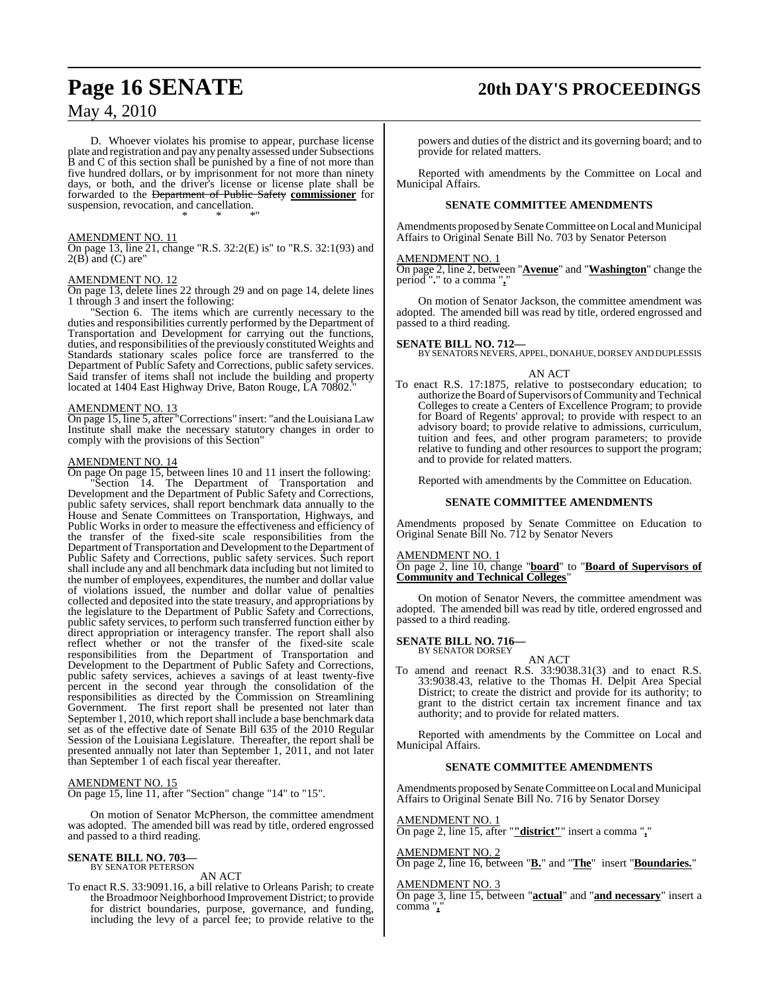D. Whoever violates his promise to appear, purchase license plate and registration and pay any penalty assessed under Subsections B and C of this section shall be punished by a fine of not more than five hundred dollars, or by imprisonment for not more than ninety days, or both, and the driver's license or license plate shall be forwarded to the Department of Public Safety **commissioner** for suspension, revocation, and cancellation. \* \* \*"

#### AMENDMENT NO. 11

On page 13, line 21, change "R.S. 32:2(E) is" to "R.S. 32:1(93) and  $2(B)$  and  $(C)$  are"

#### AMENDMENT NO. 12

On page 13, delete lines 22 through 29 and on page 14, delete lines 1 through 3 and insert the following:

"Section 6. The items which are currently necessary to the duties and responsibilities currently performed by the Department of Transportation and Development for carrying out the functions, duties, and responsibilities of the previously constituted Weights and Standards stationary scales police force are transferred to the Department of Public Safety and Corrections, public safety services. Said transfer of items shall not include the building and property located at 1404 East Highway Drive, Baton Rouge, LA 70802.

#### AMENDMENT NO. 13

On page 15, line 5, after "Corrections" insert: "and the Louisiana Law Institute shall make the necessary statutory changes in order to comply with the provisions of this Section"

#### AMENDMENT NO. 14

On page On page 15, between lines 10 and 11 insert the following: "Section 14. The Department of Transportation and Development and the Department of Public Safety and Corrections, public safety services, shall report benchmark data annually to the House and Senate Committees on Transportation, Highways, and Public Works in order to measure the effectiveness and efficiency of the transfer of the fixed-site scale responsibilities from the Department of Transportation and Development to the Department of Public Safety and Corrections, public safety services. Such report shall include any and all benchmark data including but not limited to the number of employees, expenditures, the number and dollar value of violations issued, the number and dollar value of penalties collected and deposited into the state treasury, and appropriations by the legislature to the Department of Public Safety and Corrections, public safety services, to perform such transferred function either by direct appropriation or interagency transfer. The report shall also reflect whether or not the transfer of the fixed-site scale responsibilities from the Department of Transportation and Development to the Department of Public Safety and Corrections, public safety services, achieves a savings of at least twenty-five percent in the second year through the consolidation of the responsibilities as directed by the Commission on Streamlining Government. The first report shall be presented not later than September 1, 2010, which report shall include a base benchmark data set as of the effective date of Senate Bill 635 of the 2010 Regular Session of the Louisiana Legislature. Thereafter, the report shall be presented annually not later than September 1, 2011, and not later than September 1 of each fiscal year thereafter.

#### AMENDMENT NO. 15

On page 15, line 11, after "Section" change "14" to "15".

On motion of Senator McPherson, the committee amendment was adopted. The amended bill was read by title, ordered engrossed and passed to a third reading.

#### **SENATE BILL NO. 703—** BY SENATOR PETERSON

AN ACT

To enact R.S. 33:9091.16, a bill relative to Orleans Parish; to create the Broadmoor Neighborhood Improvement District; to provide for district boundaries, purpose, governance, and funding, including the levy of a parcel fee; to provide relative to the

# **Page 16 SENATE 20th DAY'S PROCEEDINGS**

powers and duties of the district and its governing board; and to provide for related matters.

Reported with amendments by the Committee on Local and Municipal Affairs.

#### **SENATE COMMITTEE AMENDMENTS**

Amendments proposed by Senate Committee on Local and Municipal Affairs to Original Senate Bill No. 703 by Senator Peterson

#### AMENDMENT NO. 1

On page 2, line 2, between "**Avenue**" and "**Washington**" change the period "**.**" to a comma "**,**"

On motion of Senator Jackson, the committee amendment was adopted. The amended bill was read by title, ordered engrossed and passed to a third reading.

#### **SENATE BILL NO. 712—**

BY SENATORS NEVERS, APPEL, DONAHUE, DORSEY AND DUPLESSIS

#### AN ACT

To enact R.S. 17:1875, relative to postsecondary education; to authorize the Board of Supervisors of Community and Technical Colleges to create a Centers of Excellence Program; to provide for Board of Regents' approval; to provide with respect to an advisory board; to provide relative to admissions, curriculum, tuition and fees, and other program parameters; to provide relative to funding and other resources to support the program; and to provide for related matters.

Reported with amendments by the Committee on Education.

#### **SENATE COMMITTEE AMENDMENTS**

Amendments proposed by Senate Committee on Education to Original Senate Bill No. 712 by Senator Nevers

#### AMENDMENT NO. 1

On page 2, line 10, change "**board**" to "**Board of Supervisors of Community and Technical Colleges**"

On motion of Senator Nevers, the committee amendment was adopted. The amended bill was read by title, ordered engrossed and passed to a third reading.

#### **SENATE BILL NO. 716—**

BY SENATOR DORSEY AN ACT

To amend and reenact R.S. 33:9038.31(3) and to enact R.S. 33:9038.43, relative to the Thomas H. Delpit Area Special District; to create the district and provide for its authority; to grant to the district certain tax increment finance and tax authority; and to provide for related matters.

Reported with amendments by the Committee on Local and Municipal Affairs.

#### **SENATE COMMITTEE AMENDMENTS**

Amendments proposed by Senate Committee on Local and Municipal Affairs to Original Senate Bill No. 716 by Senator Dorsey

#### AMENDMENT NO. 1

On page 2, line 15, after "**"district"**" insert a comma "**,**"

#### AMENDMENT NO. 2

On page 2, line 16, between "**B.**" and "**The**" insert "**Boundaries.**"

#### AMENDMENT NO. 3

On page 3, line 15, between "**actual**" and "**and necessary**" insert a comma "**,**"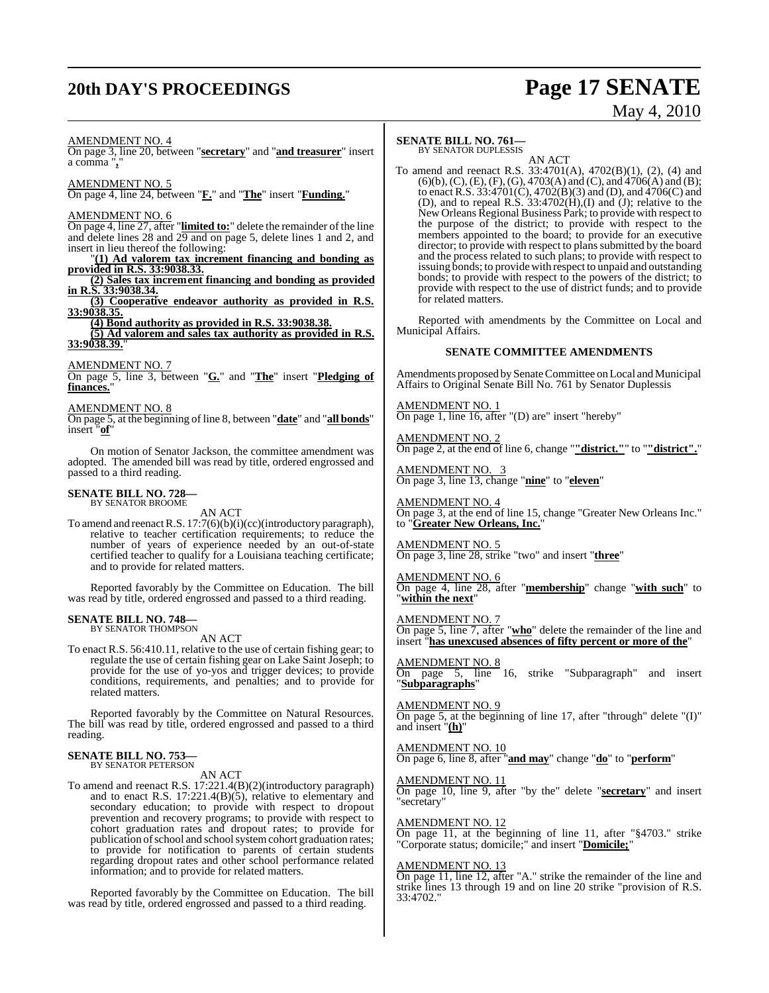# **20th DAY'S PROCEEDINGS Page 17 SENATE**

# May 4, 2010

AMENDMENT NO. 4

On page 3, line 20, between "**secretary**" and "**and treasurer**" insert a comma "**,**"

AMENDMENT NO. 5

On page 4, line 24, between "**F.**" and "**The**" insert "**Funding.**"

#### AMENDMENT NO. 6

On page 4, line 27, after "**limited to:**" delete the remainder of the line and delete lines 28 and 29 and on page 5, delete lines 1 and 2, and insert in lieu thereof the following:

"**(1) Ad valorem tax increment financing and bonding as provided in R.S. 33:9038.33.**

**(2) Sales tax increment financing and bonding as provided in R.S. 33:9038.34.**

**(3) Cooperative endeavor authority as provided in R.S. 33:9038.35.**

**(4) Bond authority as provided in R.S. 33:9038.38.**

**(5) Ad valorem and sales tax authority as provided in R.S. 33:9038.39.**"

#### AMENDMENT NO. 7

On page 5, line 3, between "**G.**" and "**The**" insert "**Pledging of** finances.

#### AMENDMENT NO. 8

On page 5, at the beginning of line 8, between "**date**" and "**all bonds**" insert "**of**"

On motion of Senator Jackson, the committee amendment was adopted. The amended bill was read by title, ordered engrossed and passed to a third reading.

### **SENATE BILL NO. 728—** BY SENATOR BROOME

AN ACT To amend and reenact R.S. 17:7(6)(b)(i)(cc)(introductory paragraph), relative to teacher certification requirements; to reduce the number of years of experience needed by an out-of-state certified teacher to qualify for a Louisiana teaching certificate; and to provide for related matters.

Reported favorably by the Committee on Education. The bill was read by title, ordered engrossed and passed to a third reading.

#### **SENATE BILL NO. 748—** BY SENATOR THOMPSON

AN ACT

To enact R.S. 56:410.11, relative to the use of certain fishing gear; to regulate the use of certain fishing gear on Lake Saint Joseph; to provide for the use of yo-yos and trigger devices; to provide conditions, requirements, and penalties; and to provide for related matters.

Reported favorably by the Committee on Natural Resources. The bill was read by title, ordered engrossed and passed to a third reading.

#### **SENATE BILL NO. 753—** BY SENATOR PETERSON

AN ACT

To amend and reenact R.S. 17:221.4(B)(2)(introductory paragraph) and to enact R.S. 17:221.4(B)(5), relative to elementary and secondary education; to provide with respect to dropout prevention and recovery programs; to provide with respect to cohort graduation rates and dropout rates; to provide for publication of school and school system cohort graduation rates; to provide for notification to parents of certain students regarding dropout rates and other school performance related information; and to provide for related matters.

Reported favorably by the Committee on Education. The bill was read by title, ordered engrossed and passed to a third reading.

#### **SENATE BILL NO. 761—** BY SENATOR DUPLESSIS

AN ACT To amend and reenact R.S. 33:4701(A), 4702(B)(1), (2), (4) and  $(6)(b)$ , (C), (E), (F), (G), 4703(A) and (C), and 4706(A) and (B); to enact R.S. 33:4701(C), 4702(B)(3) and (D), and 4706(C) and (D), and to repeal R.S.  $33:4702(H)$ , (I) and (J); relative to the New Orleans Regional Business Park; to provide with respect to the purpose of the district; to provide with respect to the members appointed to the board; to provide for an executive director; to provide with respect to plans submitted by the board and the process related to such plans; to provide with respect to issuing bonds; to provide with respect to unpaid and outstanding bonds; to provide with respect to the powers of the district; to provide with respect to the use of district funds; and to provide for related matters.

Reported with amendments by the Committee on Local and Municipal Affairs.

#### **SENATE COMMITTEE AMENDMENTS**

Amendments proposed by Senate Committee on Local and Municipal Affairs to Original Senate Bill No. 761 by Senator Duplessis

AMENDMENT NO. 1 On page 1, line 16, after "(D) are" insert "hereby"

AMENDMENT NO. 2 On page 2, at the end of line 6, change "**"district."**" to "**"district".**"

AMENDMENT NO. 3 On page 3, line 13, change "**nine**" to "**eleven**"

AMENDMENT NO. 4 On page 3, at the end of line 15, change "Greater New Orleans Inc." to "**Greater New Orleans, Inc.**"

#### AMENDMENT NO. 5

On page 3, line 28, strike "two" and insert "**three**"

AMENDMENT NO. 6

On page 4, line 28, after "**membership**" change "**with such**" to "**within the next**"

#### AMENDMENT NO. 7

On page 5, line 7, after "**who**" delete the remainder of the line and insert "**has unexcused absences of fifty percent or more of the**"

AMENDMENT NO. 8

On page 5, line 16, strike "Subparagraph" and insert "**Subparagraphs**"

#### AMENDMENT NO. 9 On page 5, at the beginning of line 17, after "through" delete "(I)" and insert "**(h)**"

AMENDMENT NO. 10 On page 6, line 8, after "**and may**" change "**do**" to "**perform**"

#### AMENDMENT NO. 11

On page 10, line 9, after "by the" delete "**secretary**" and insert "secretary"

#### AMENDMENT NO. 12

On page 11, at the beginning of line 11, after "§4703." strike "Corporate status; domicile;" and insert "**Domicile;**"

#### AMENDMENT NO. 13

On page 11, line 12, after "A." strike the remainder of the line and strike lines 13 through 19 and on line 20 strike "provision of R.S. 33:4702."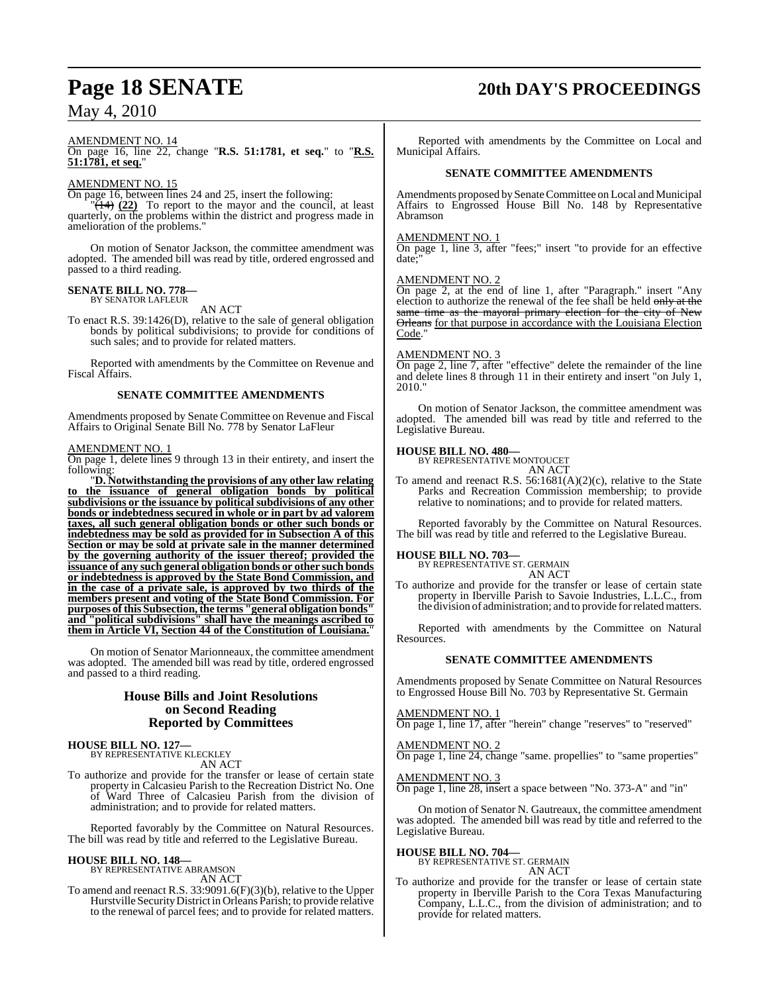#### AMENDMENT NO. 14

On page 16, line 22, change "**R.S. 51:1781, et seq.**" to "**R.S. 51:1781, et seq.**"

#### AMENDMENT NO. 15

On page 16, between lines 24 and 25, insert the following:

 $\sqrt{14}$   $(22)$  To report to the mayor and the council, at least quarterly, on the problems within the district and progress made in amelioration of the problems."

On motion of Senator Jackson, the committee amendment was adopted. The amended bill was read by title, ordered engrossed and passed to a third reading.

#### **SENATE BILL NO. 778—** BY SENATOR LAFLEUR

AN ACT

To enact R.S. 39:1426(D), relative to the sale of general obligation bonds by political subdivisions; to provide for conditions of such sales; and to provide for related matters.

Reported with amendments by the Committee on Revenue and Fiscal Affairs.

#### **SENATE COMMITTEE AMENDMENTS**

Amendments proposed by Senate Committee on Revenue and Fiscal Affairs to Original Senate Bill No. 778 by Senator LaFleur

#### AMENDMENT NO. 1

On page 1, delete lines 9 through 13 in their entirety, and insert the following:

"**D. Notwithstanding the provisions of any other law relating to the issuance of general obligation bonds by political subdivisions or the issuance by political subdivisions of any other bonds or indebtedness secured in whole or in part by ad valorem taxes, all such general obligation bonds or other such bonds or indebtedness may be sold as provided for in Subsection A of this Section or may be sold at private sale in the manner determined by the governing authority of the issuer thereof; provided the issuance of any such general obligation bonds or other such bonds or indebtedness is approved by the State Bond Commission, and in the case of a private sale, is approved by two thirds of the members present and voting of the State Bond Commission. For purposes of this Subsection,the terms "general obligation bonds" and "political subdivisions" shall have the meanings ascribed to them in Article VI, Section 44 of the Constitution of Louisiana.**"

On motion of Senator Marionneaux, the committee amendment was adopted. The amended bill was read by title, ordered engrossed and passed to a third reading.

### **House Bills and Joint Resolutions on Second Reading Reported by Committees**

**HOUSE BILL NO. 127—** BY REPRESENTATIVE KLECKLEY

AN ACT

To authorize and provide for the transfer or lease of certain state property in Calcasieu Parish to the Recreation District No. One of Ward Three of Calcasieu Parish from the division of administration; and to provide for related matters.

Reported favorably by the Committee on Natural Resources. The bill was read by title and referred to the Legislative Bureau.

#### **HOUSE BILL NO. 148—**

BY REPRESENTATIVE ABRAMSON AN ACT

To amend and reenact R.S. 33:9091.6(F)(3)(b), relative to the Upper Hurstville SecurityDistrict in Orleans Parish; to provide relative to the renewal of parcel fees; and to provide for related matters.

# **Page 18 SENATE 20th DAY'S PROCEEDINGS**

Reported with amendments by the Committee on Local and Municipal Affairs.

#### **SENATE COMMITTEE AMENDMENTS**

Amendments proposed by Senate Committee on Local and Municipal Affairs to Engrossed House Bill No. 148 by Representative Abramson

#### AMENDMENT NO. 1

On page 1, line 3, after "fees;" insert "to provide for an effective date:

#### AMENDMENT NO. 2

On page 2, at the end of line 1, after "Paragraph." insert "Any election to authorize the renewal of the fee shall be held only at the same time as the mayoral primary election for the city of New Orleans for that purpose in accordance with the Louisiana Election Code.

#### AMENDMENT NO. 3

On page 2, line 7, after "effective" delete the remainder of the line and delete lines 8 through 11 in their entirety and insert "on July 1, 2010."

On motion of Senator Jackson, the committee amendment was adopted. The amended bill was read by title and referred to the Legislative Bureau.

### **HOUSE BILL NO. 480—** BY REPRESENTATIVE MONTOUCET

AN ACT

To amend and reenact R.S. 56:1681(A)(2)(c), relative to the State Parks and Recreation Commission membership; to provide relative to nominations; and to provide for related matters.

Reported favorably by the Committee on Natural Resources. The bill was read by title and referred to the Legislative Bureau.

#### **HOUSE BILL NO. 703—**

BY REPRESENTATIVE ST. GERMAIN AN ACT

To authorize and provide for the transfer or lease of certain state property in Iberville Parish to Savoie Industries, L.L.C., from the division of administration; and to provide forrelatedmatters.

Reported with amendments by the Committee on Natural Resources.

#### **SENATE COMMITTEE AMENDMENTS**

Amendments proposed by Senate Committee on Natural Resources to Engrossed House Bill No. 703 by Representative St. Germain

#### AMENDMENT NO. 1

On page 1, line 17, after "herein" change "reserves" to "reserved"

#### AMENDMENT NO. 2

On page 1, line 24, change "same. propellies" to "same properties"

#### AMENDMENT NO. 3

On page 1, line 28, insert a space between "No. 373-A" and "in"

On motion of Senator N. Gautreaux, the committee amendment was adopted. The amended bill was read by title and referred to the Legislative Bureau.

**HOUSE BILL NO. 704—** BY REPRESENTATIVE ST. GERMAIN AN ACT

To authorize and provide for the transfer or lease of certain state property in Iberville Parish to the Cora Texas Manufacturing Company, L.L.C., from the division of administration; and to provide for related matters.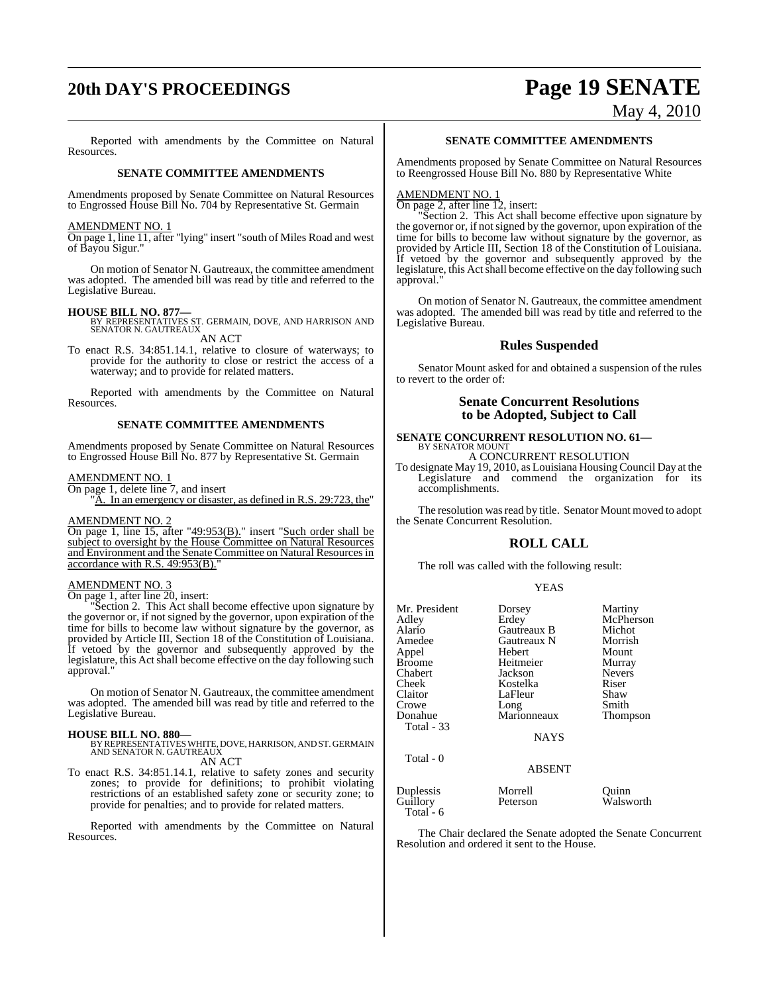# **20th DAY'S PROCEEDINGS Page 19 SENATE**

# May 4, 2010

Reported with amendments by the Committee on Natural Resources.

#### **SENATE COMMITTEE AMENDMENTS**

Amendments proposed by Senate Committee on Natural Resources to Engrossed House Bill No. 704 by Representative St. Germain

#### AMENDMENT NO. 1

On page 1, line 11, after "lying" insert "south of Miles Road and west of Bayou Sigur."

On motion of Senator N. Gautreaux, the committee amendment was adopted. The amended bill was read by title and referred to the Legislative Bureau.

**HOUSE BILL NO. 877—**<br>BY REPRESENTATIVES ST. GERMAIN, DOVE, AND HARRISON AND SENATOR N. GAUTREAUX AN ACT

To enact R.S. 34:851.14.1, relative to closure of waterways; to provide for the authority to close or restrict the access of a waterway; and to provide for related matters.

Reported with amendments by the Committee on Natural Resources.

#### **SENATE COMMITTEE AMENDMENTS**

Amendments proposed by Senate Committee on Natural Resources to Engrossed House Bill No. 877 by Representative St. Germain

#### AMENDMENT NO. 1

On page 1, delete line 7, and insert

A. In an emergency or disaster, as defined in R.S. 29:723, the"

#### AMENDMENT NO. 2

On page 1, line 15, after "49:953(B)." insert "Such order shall be subject to oversight by the House Committee on Natural Resources and Environment and the Senate Committee on Natural Resources in accordance with R.S. 49:953(B).

#### AMENDMENT NO. 3

On page 1, after line 20, insert:

"Section 2. This Act shall become effective upon signature by the governor or, if not signed by the governor, upon expiration of the time for bills to become law without signature by the governor, as provided by Article III, Section 18 of the Constitution of Louisiana. If vetoed by the governor and subsequently approved by the legislature, this Act shall become effective on the day following such approval."

On motion of Senator N. Gautreaux, the committee amendment was adopted. The amended bill was read by title and referred to the Legislative Bureau.

**HOUSE BILL NO. 880—** BY REPRESENTATIVES WHITE, DOVE, HARRISON, AND ST. GERMAIN AND SENATOR N. GAUTREAUX

AN ACT

To enact R.S. 34:851.14.1, relative to safety zones and security zones; to provide for definitions; to prohibit violating restrictions of an established safety zone or security zone; to provide for penalties; and to provide for related matters.

Reported with amendments by the Committee on Natural Resources.

#### **SENATE COMMITTEE AMENDMENTS**

Amendments proposed by Senate Committee on Natural Resources to Reengrossed House Bill No. 880 by Representative White

#### AMENDMENT NO. 1

On page 2, after line 12, insert:

"Section 2. This Act shall become effective upon signature by the governor or, if not signed by the governor, upon expiration of the time for bills to become law without signature by the governor, as provided by Article III, Section 18 of the Constitution of Louisiana. If vetoed by the governor and subsequently approved by the legislature, this Act shall become effective on the day following such approval."

On motion of Senator N. Gautreaux, the committee amendment was adopted. The amended bill was read by title and referred to the Legislative Bureau.

#### **Rules Suspended**

Senator Mount asked for and obtained a suspension of the rules to revert to the order of:

#### **Senate Concurrent Resolutions to be Adopted, Subject to Call**

### **SENATE CONCURRENT RESOLUTION NO. 61––**<br>BY SENATOR MOUNT

A CONCURRENT RESOLUTION

To designate May 19, 2010, as Louisiana Housing Council Day at the Legislature and commend the organization for its accomplishments.

The resolution was read by title. Senator Mount moved to adopt the Senate Concurrent Resolution.

#### **ROLL CALL**

The roll was called with the following result:

#### YEAS

| Mr. President         | Dorsey        | Martiny       |
|-----------------------|---------------|---------------|
| Adley                 | Erdey         | McPherson     |
| Alario                | Gautreaux B   | Michot        |
| Amedee                | Gautreaux N   | Morrish       |
| Appel                 | Hebert        | Mount         |
| <b>Broome</b>         | Heitmeier     | Murray        |
| Chabert               | Jackson       | <b>Nevers</b> |
| Cheek                 | Kostelka      | Riser         |
| Claitor               | LaFleur       | Shaw          |
| Crowe                 | Long          | Smith         |
| Donahue               | Marionneaux   | Thompson      |
| Total - 33            |               |               |
|                       | <b>NAYS</b>   |               |
| Total - 0             |               |               |
|                       | <b>ABSENT</b> |               |
| Duplessis             | Morrell       | Quinn         |
| Guillory<br>Total - 6 | Peterson      | Walsworth     |

The Chair declared the Senate adopted the Senate Concurrent Resolution and ordered it sent to the House.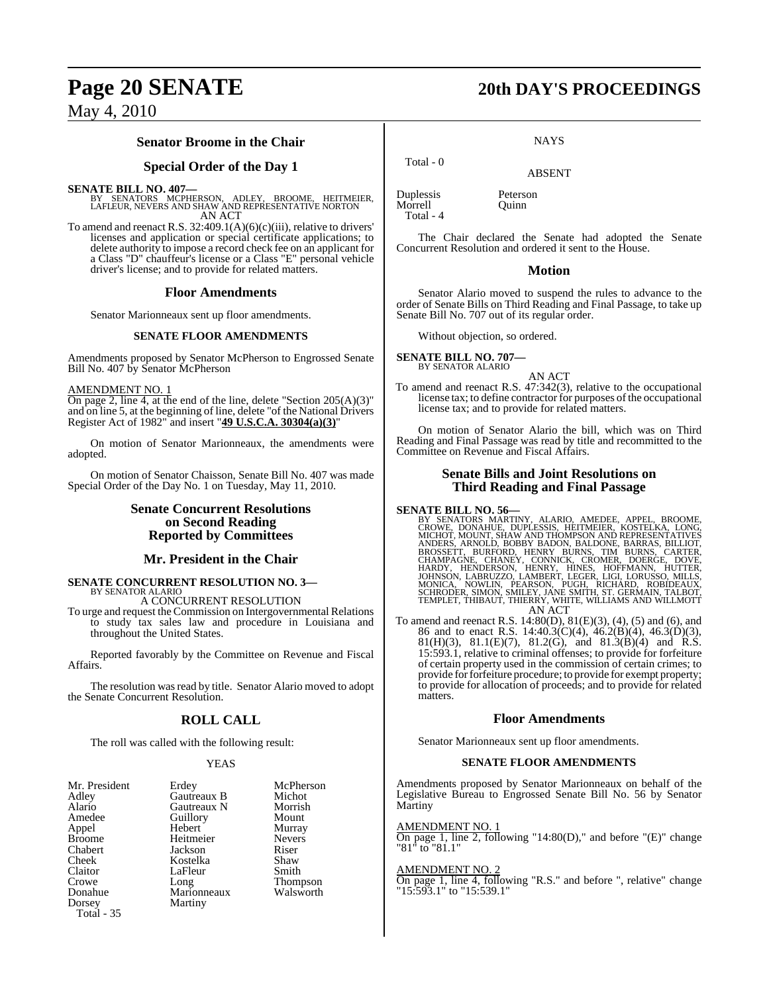#### **Senator Broome in the Chair**

#### **Special Order of the Day 1**

#### **SENATE BILL NO. 407—**

BY SENATORS MCPHERSON, ADLEY, BROOME, HEITMEIER, LAFLEUR, NEVERS AND SHAW AND REPRESENTATIVE NORTON AN ACT

To amend and reenact R.S. 32:409.1(A)(6)(c)(iii), relative to drivers' licenses and application or special certificate applications; to delete authority to impose a record check fee on an applicant for a Class "D" chauffeur's license or a Class "E" personal vehicle driver's license; and to provide for related matters.

#### **Floor Amendments**

Senator Marionneaux sent up floor amendments.

#### **SENATE FLOOR AMENDMENTS**

Amendments proposed by Senator McPherson to Engrossed Senate Bill No. 407 by Senator McPherson

#### AMENDMENT NO. 1

On page 2, line 4, at the end of the line, delete "Section 205(A)(3)" and on line 5, at the beginning of line, delete "of the National Drivers Register Act of 1982" and insert "**49 U.S.C.A. 30304(a)(3)**"

On motion of Senator Marionneaux, the amendments were adopted.

On motion of Senator Chaisson, Senate Bill No. 407 was made Special Order of the Day No. 1 on Tuesday, May 11, 2010.

### **Senate Concurrent Resolutions on Second Reading Reported by Committees**

#### **Mr. President in the Chair**

#### **SENATE CONCURRENT RESOLUTION NO. 3—** BY SENATOR ALARIO

A CONCURRENT RESOLUTION

To urge and request the Commission on Intergovernmental Relations to study tax sales law and procedure in Louisiana and throughout the United States.

Reported favorably by the Committee on Revenue and Fiscal Affairs.

The resolution was read by title. Senator Alario moved to adopt the Senate Concurrent Resolution.

### **ROLL CALL**

The roll was called with the following result:

#### YEAS

| Mr. President | Erdey       | McPherson     |
|---------------|-------------|---------------|
| Adley         | Gautreaux B | Michot        |
| Alario        | Gautreaux N | Morrish       |
| Amedee        | Guillory    | Mount         |
| Appel         | Hebert      | Murray        |
| <b>Broome</b> | Heitmeier   | <b>Nevers</b> |
| Chabert       | Jackson     | Riser         |
| Cheek         | Kostelka    | Shaw          |
| Claitor       | LaFleur     | Smith         |
| Crowe         | Long        | Thompson      |
| Donahue       | Marionneaux | Walsworth     |
| Dorsey        | Martiny     |               |
| Total - 35    |             |               |

## **Page 20 SENATE 20th DAY'S PROCEEDINGS**

**NAYS** 

ABSENT

Morrell Total - 4

Total - 0

Duplessis Peterson

The Chair declared the Senate had adopted the Senate Concurrent Resolution and ordered it sent to the House.

#### **Motion**

Senator Alario moved to suspend the rules to advance to the order of Senate Bills on Third Reading and Final Passage, to take up Senate Bill No. 707 out of its regular order.

Without objection, so ordered.

**SENATE BILL NO. 707—** BY SENATOR ALARIO

AN ACT

To amend and reenact R.S. 47:342(3), relative to the occupational license tax; to define contractor for purposes of the occupational license tax; and to provide for related matters.

On motion of Senator Alario the bill, which was on Third Reading and Final Passage was read by title and recommitted to the Committee on Revenue and Fiscal Affairs.

#### **Senate Bills and Joint Resolutions on Third Reading and Final Passage**

SENATE BILL NO. 56—<br>
BY SENATORS MARTINY, ALARIO, AMEDEE, APPEL, BROOME, CROWE, DONAHUE, DUPLESSIS, HEITMEIER, KOSTELKA, LONG,<br>
CROWE, DONAHUE, DUPLESSIS, HEITMEIER, KOSTELKA, LONG,<br>
MICHOT, MOUNT, SHAW AND THOMPSON AND RE

To amend and reenact R.S. 14:80(D), 81(E)(3), (4), (5) and (6), and 86 and to enact R.S. 14:40.3(C)(4), 46.2(B)(4), 46.3(D)(3), 81(H)(3), 81.1(E)(7), 81.2(G), and 81.3(B)(4) and R.S. 15:593.1, relative to criminal offenses; to provide for forfeiture of certain property used in the commission of certain crimes; to provide for forfeiture procedure; to provide for exempt property; to provide for allocation of proceeds; and to provide for related matters.

#### **Floor Amendments**

Senator Marionneaux sent up floor amendments.

#### **SENATE FLOOR AMENDMENTS**

Amendments proposed by Senator Marionneaux on behalf of the Legislative Bureau to Engrossed Senate Bill No. 56 by Senator Martiny

#### AMENDMENT NO. 1

On page 1, line 2, following "14:80(D)," and before "(E)" change "81" to "81.1"

#### AMENDMENT NO. 2

On page 1, line 4, following "R.S." and before ", relative" change "15:593.1" to "15:539.1"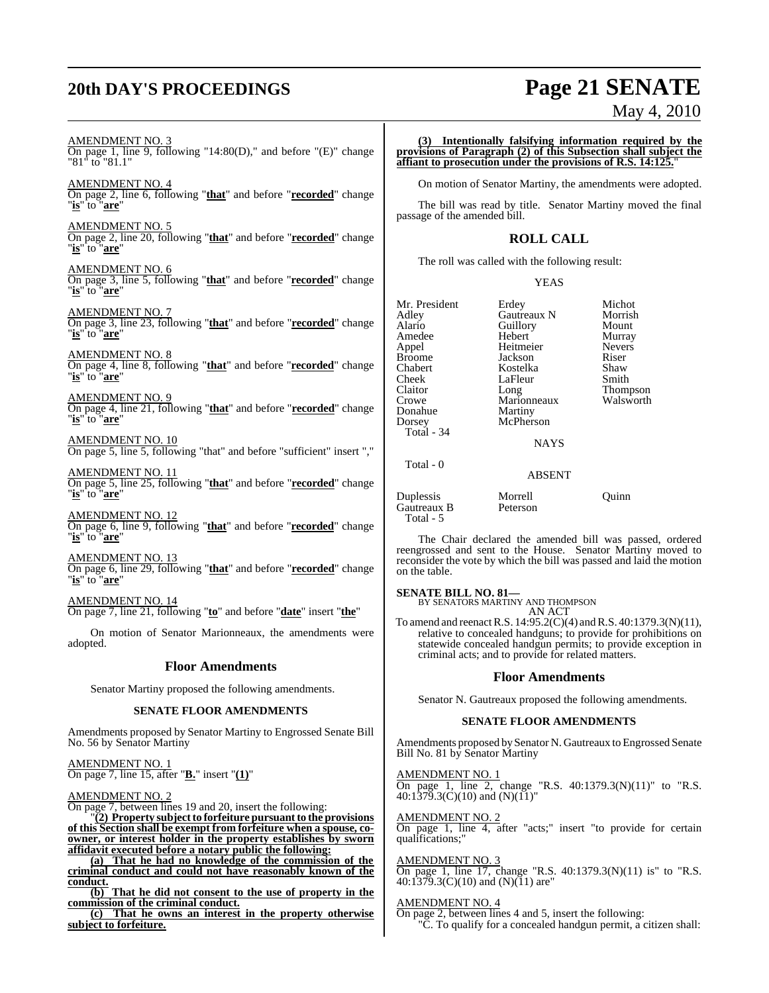# **20th DAY'S PROCEEDINGS Page 21 SENATE**

May 4, 2010

AMENDMENT NO. 3 On page 1, line 9, following "14:80(D)," and before "(E)" change "81" to "81.1" AMENDMENT NO. 4

On page 2, line 6, following "**that**" and before "**recorded**" change "**is**" to "**are**"

AMENDMENT NO. 5 On page 2, line 20, following "**that**" and before "**recorded**" change "**is**" to "**are**"

AMENDMENT NO. 6 On page 3, line 5, following "**that**" and before "**recorded**" change "**is**" to "**are**"

AMENDMENT NO. 7 On page 3, line 23, following "**that**" and before "**recorded**" change "**is**" to "**are**"

AMENDMENT NO. 8 On page 4, line 8, following "**that**" and before "**recorded**" change "**is**" to "**are**"

AMENDMENT NO. 9 On page 4, line 21, following "**that**" and before "**recorded**" change "**is**" to "**are**"

AMENDMENT NO. 10 On page 5, line 5, following "that" and before "sufficient" insert ","

AMENDMENT NO. 11 On page 5, line 25, following "**that**" and before "**recorded**" change "**is**" to "**are**"

AMENDMENT NO. 12 On page 6, line 9, following "**that**" and before "**recorded**" change "**is**" to "**are**"

AMENDMENT NO. 13 On page 6, line 29, following "**that**" and before "**recorded**" change "**is**" to "**are**"

AMENDMENT NO. 14 On page 7, line 21, following "**to**" and before "**date**" insert "**the**"

On motion of Senator Marionneaux, the amendments were adopted.

#### **Floor Amendments**

Senator Martiny proposed the following amendments.

#### **SENATE FLOOR AMENDMENTS**

Amendments proposed by Senator Martiny to Engrossed Senate Bill No. 56 by Senator Martiny

AMENDMENT NO. 1 On page 7, line 15, after "**B.**" insert "**(1)**"

AMENDMENT NO. 2

On page 7, between lines 19 and 20, insert the following:

"**(2) Property subject to forfeiture pursuant to the provisions of this Section shall be exempt from forfeiture when a spouse, coowner, or interest holder in the property establishes by sworn affidavit executed before a notary public the following:**

**(a) That he had no knowledge of the commission of the criminal conduct and could not have reasonably known of the conduct.**

**(b) That he did not consent to the use of property in the commission of the criminal conduct.**

**(c) That he owns an interest in the property otherwise subject to forfeiture.**

**(3) Intentionally falsifying information required by the provisions of Paragraph (2) of this Subsection shall subject the affiant to prosecution under the provisions of R.S. 14:125.**"

On motion of Senator Martiny, the amendments were adopted.

The bill was read by title. Senator Martiny moved the final passage of the amended bill.

### **ROLL CALL**

The roll was called with the following result:

YEAS

| Mr. President<br>Adlev<br>Alario<br>Amedee<br>Appel<br>Broome<br>Chabert<br>Cheek<br>Claitor<br>Crowe<br>Donahue<br>Dorsey<br>Total - 34<br>Total - 0 | Erdey<br>Gautreaux N<br>Guillory<br>Hebert<br>Heitmeier<br>Jackson<br>Kostelka<br>LaFleur<br>Long<br>Marionneaux<br>Martiny<br>McPherson<br><b>NAYS</b> | Michot<br>Morrish<br>Mount<br>Murray<br><b>Nevers</b><br>Riser<br>Shaw<br>Smith<br><b>Thompson</b><br>Walsworth |
|-------------------------------------------------------------------------------------------------------------------------------------------------------|---------------------------------------------------------------------------------------------------------------------------------------------------------|-----------------------------------------------------------------------------------------------------------------|
|                                                                                                                                                       | <b>ABSENT</b>                                                                                                                                           |                                                                                                                 |
| - -                                                                                                                                                   | $\sim$ $\sim$                                                                                                                                           |                                                                                                                 |

Duplessis Morrell Quinn Gautreaux B Total - 5

The Chair declared the amended bill was passed, ordered reengrossed and sent to the House. Senator Martiny moved to reconsider the vote by which the bill was passed and laid the motion on the table.

#### **SENATE BILL NO. 81—**

BY SENATORS MARTINY AND THOMPSON AN ACT

To amend and reenactR.S. 14:95.2(C)(4) andR.S. 40:1379.3(N)(11), relative to concealed handguns; to provide for prohibitions on statewide concealed handgun permits; to provide exception in criminal acts; and to provide for related matters.

#### **Floor Amendments**

Senator N. Gautreaux proposed the following amendments.

#### **SENATE FLOOR AMENDMENTS**

Amendments proposed by Senator N. Gautreaux to Engrossed Senate Bill No. 81 by Senator Martiny

AMENDMENT NO. 1 On page 1, line 2, change "R.S.  $40:1379.3(N)(11)$ " to "R.S. 40:1379.3(C)(10) and (N)(11)"

AMENDMENT NO. 2 On page 1, line 4, after "acts;" insert "to provide for certain qualifications;"

**AMENDMENT NO.** On page 1, line 17, change "R.S. 40:1379.3(N)(11) is" to "R.S.  $40:1379.3(C)(10)$  and  $(N)(11)$  are"

#### AMENDMENT NO. 4

On page 2, between lines 4 and 5, insert the following: "C. To qualify for a concealed handgun permit, a citizen shall: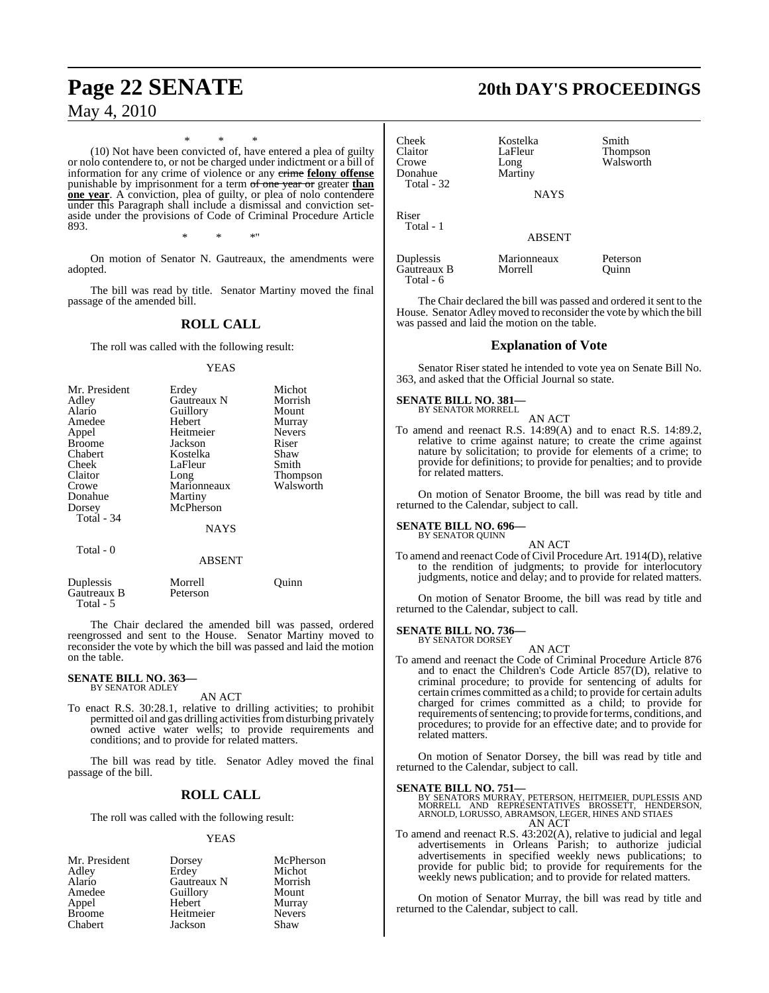\* \* \* (10) Not have been convicted of, have entered a plea of guilty or nolo contendere to, or not be charged under indictment or a bill of information for any crime of violence or any crime **felony offense** punishable by imprisonment for a term of one year or greater **than one year**. A conviction, plea of guilty, or plea of nolo contendere under this Paragraph shall include a dismissal and conviction setaside under the provisions of Code of Criminal Procedure Article 893. \* \* \*"

On motion of Senator N. Gautreaux, the amendments were adopted.

The bill was read by title. Senator Martiny moved the final passage of the amended bill.

### **ROLL CALL**

The roll was called with the following result:

#### YEAS

| Mr. President | Erdey       | Michot          |
|---------------|-------------|-----------------|
| Adley         | Gautreaux N | Morrish         |
| Alario        | Guillory    | Mount           |
| Amedee        | Hebert      | Murray          |
| Appel         | Heitmeier   | <b>Nevers</b>   |
| <b>Broome</b> | Jackson     | Riser           |
| Chabert       | Kostelka    | Shaw            |
| Cheek         | LaFleur     | Smith           |
| Claitor       | Long        | <b>Thompson</b> |
| Crowe         | Marionneaux | Walsworth       |
| Donahue       | Martiny     |                 |
| Dorsey        | McPherson   |                 |
| Total - 34    |             |                 |
|               | <b>NAYS</b> |                 |
|               |             |                 |

Total - 0

#### ABSENT

| Duplessis   | Morrell  | Ouinn |
|-------------|----------|-------|
| Gautreaux B | Peterson |       |
| Total - 5   |          |       |

The Chair declared the amended bill was passed, ordered reengrossed and sent to the House. Senator Martiny moved to reconsider the vote by which the bill was passed and laid the motion on the table.

#### **SENATE BILL NO. 363—** BY SENATOR ADLEY

AN ACT

To enact R.S. 30:28.1, relative to drilling activities; to prohibit permitted oil and gas drilling activities from disturbing privately owned active water wells; to provide requirements and conditions; and to provide for related matters.

The bill was read by title. Senator Adley moved the final passage of the bill.

### **ROLL CALL**

The roll was called with the following result:

#### YEAS

Mr. President Dorsey McPherson<br>Adley Erdey Michot Adley Erdey Michot<br>Alario Gautreaux N Morrish Alario Gautreaux N Morrish Guillory Mount<br>
Hebert Murray Appel Hebert Murray<br>Broome Heitmeier Nevers Broome Heitmeier Never<br>Chabert Lackson Shaw **Jackson** 

# **Page 22 SENATE 20th DAY'S PROCEEDINGS**

| Cheek<br>Claitor<br>Crowe<br>Donahue<br>Total - 32 | Kostelka<br>LaFleur<br>Long<br>Martiny<br>NAYS | Smith<br><b>Thompson</b><br>Walsworth |
|----------------------------------------------------|------------------------------------------------|---------------------------------------|
| Riser<br>Total - 1                                 | <b>ABSENT</b>                                  |                                       |
| Duplessis<br>Gautreaux B<br>Total - 6              | Marionneaux<br>Morrell                         | Peterson<br>Ouinn                     |

The Chair declared the bill was passed and ordered it sent to the House. Senator Adley moved to reconsider the vote by which the bill was passed and laid the motion on the table.

### **Explanation of Vote**

Senator Riser stated he intended to vote yea on Senate Bill No. 363, and asked that the Official Journal so state.

#### **SENATE BILL NO. 381—** BY SENATOR MORRELL

AN ACT To amend and reenact R.S. 14:89(A) and to enact R.S. 14:89.2, relative to crime against nature; to create the crime against nature by solicitation; to provide for elements of a crime; to provide for definitions; to provide for penalties; and to provide for related matters.

On motion of Senator Broome, the bill was read by title and returned to the Calendar, subject to call.

#### **SENATE BILL NO. 696—** BY SENATOR QUINN

AN ACT

To amend and reenact Code of Civil Procedure Art. 1914(D), relative to the rendition of judgments; to provide for interlocutory judgments, notice and delay; and to provide for related matters.

On motion of Senator Broome, the bill was read by title and returned to the Calendar, subject to call.

#### **SENATE BILL NO. 736—** BY SENATOR DORSEY

AN ACT

To amend and reenact the Code of Criminal Procedure Article 876 and to enact the Children's Code Article 857(D), relative to criminal procedure; to provide for sentencing of adults for certain crimes committed as a child; to provide for certain adults charged for crimes committed as a child; to provide for requirements of sentencing; to provide for terms, conditions, and procedures; to provide for an effective date; and to provide for related matters.

On motion of Senator Dorsey, the bill was read by title and returned to the Calendar, subject to call.

**SENATE BILL NO. 751—**<br>BY SENATORS MURRAY, PETERSON, HEITMEIER, DUPLESSIS AND<br>MORRELL AND REPRESENTATIVES BROSSETT, HENDERSON, ARNOLD, LORUSSO, ABRAMSON, LEGER, HINES AND STIAES AN ACT

To amend and reenact R.S. 43:202(A), relative to judicial and legal advertisements in Orleans Parish; to authorize judicial advertisements in specified weekly news publications; to provide for public bid; to provide for requirements for the weekly news publication; and to provide for related matters.

On motion of Senator Murray, the bill was read by title and returned to the Calendar, subject to call.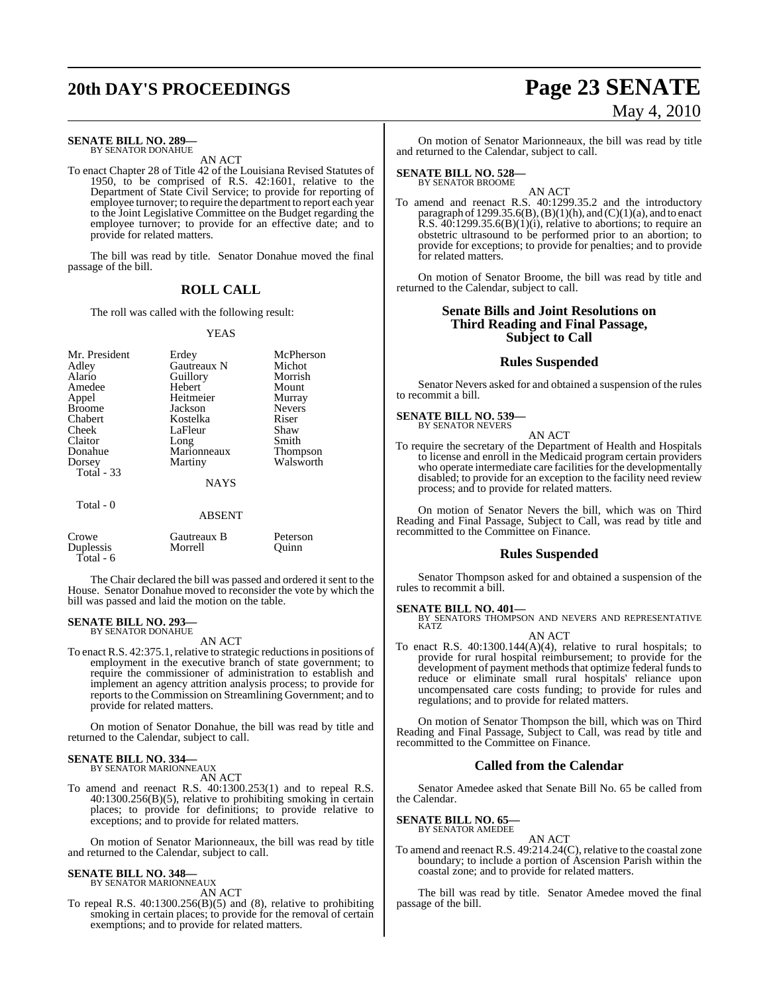# **20th DAY'S PROCEEDINGS Page 23 SENATE**

#### **SENATE BILL NO. 289—**

BY SENATOR DONAHUE AN ACT

To enact Chapter 28 of Title 42 of the Louisiana Revised Statutes of 1950, to be comprised of R.S. 42:1601, relative to the Department of State Civil Service; to provide for reporting of employee turnover; to require the department to report each year to the Joint Legislative Committee on the Budget regarding the employee turnover; to provide for an effective date; and to provide for related matters.

The bill was read by title. Senator Donahue moved the final passage of the bill.

#### **ROLL CALL**

The roll was called with the following result:

#### YEAS

| Mr. President     | Erdey         | McPherson     |
|-------------------|---------------|---------------|
| Adley             | Gautreaux N   | Michot        |
| Alario            | Guillory      | Morrish       |
| Amedee            | Hebert        | Mount         |
| Appel             | Heitmeier     | Murray        |
| <b>Broome</b>     | Jackson       | <b>Nevers</b> |
| Chabert           | Kostelka      | Riser         |
| Cheek             | LaFleur       | Shaw          |
| Claitor           | Long          | Smith         |
| Donahue           | Marionneaux   | Thompson      |
| Dorsey            | Martiny       | Walsworth     |
| <b>Total - 33</b> |               |               |
|                   | <b>NAYS</b>   |               |
| Total - 0         |               |               |
|                   | <b>ABSENT</b> |               |
| Crowe             | Gautreaux B   | Peterson      |
| Duplessis         | Morrell       | ∪uınn         |
| Total - 6         |               |               |

The Chair declared the bill was passed and ordered it sent to the House. Senator Donahue moved to reconsider the vote by which the bill was passed and laid the motion on the table.

#### **SENATE BILL NO. 293** BY SENATOR DONAHUE

AN ACT

To enact R.S. 42:375.1, relative to strategic reductionsin positions of employment in the executive branch of state government; to require the commissioner of administration to establish and implement an agency attrition analysis process; to provide for reports to the Commission on Streamlining Government; and to provide for related matters.

On motion of Senator Donahue, the bill was read by title and returned to the Calendar, subject to call.

#### **SENATE BILL NO. 334—** BY SENATOR MARIONNEAUX

AN ACT

To amend and reenact R.S. 40:1300.253(1) and to repeal R.S. 40:1300.256(B)(5), relative to prohibiting smoking in certain places; to provide for definitions; to provide relative to exceptions; and to provide for related matters.

On motion of Senator Marionneaux, the bill was read by title and returned to the Calendar, subject to call.

#### **SENATE BILL NO. 348—** BY SENATOR MARIONNEAUX

AN ACT

To repeal R.S.  $40:1300.256(B)(5)$  and  $(8)$ , relative to prohibiting smoking in certain places; to provide for the removal of certain exemptions; and to provide for related matters.

# May 4, 2010

On motion of Senator Marionneaux, the bill was read by title and returned to the Calendar, subject to call.

### **SENATE BILL NO. 528—** BY SENATOR BROOME

AN ACT To amend and reenact R.S. 40:1299.35.2 and the introductory paragraph of  $1299.35.6(B)$ ,  $(B)(1)(h)$ , and  $(C)(1)(a)$ , and to enact R.S.  $40:1299.35.6(B)(1)(i)$ , relative to abortions; to require an obstetric ultrasound to be performed prior to an abortion; to provide for exceptions; to provide for penalties; and to provide for related matters.

On motion of Senator Broome, the bill was read by title and returned to the Calendar, subject to call.

### **Senate Bills and Joint Resolutions on Third Reading and Final Passage, Subject to Call**

#### **Rules Suspended**

Senator Nevers asked for and obtained a suspension of the rules to recommit a bill.

#### **SENATE BILL NO. 539—** BY SENATOR NEVERS

AN ACT

To require the secretary of the Department of Health and Hospitals to license and enroll in the Medicaid program certain providers who operate intermediate care facilities for the developmentally disabled; to provide for an exception to the facility need review process; and to provide for related matters.

On motion of Senator Nevers the bill, which was on Third Reading and Final Passage, Subject to Call, was read by title and recommitted to the Committee on Finance.

#### **Rules Suspended**

Senator Thompson asked for and obtained a suspension of the rules to recommit a bill.

**SENATE BILL NO. 401—**<br>BY SENATORS THOMPSON AND NEVERS AND REPRESENTATIVE<br>KATZ

AN ACT

To enact R.S. 40:1300.144(A)(4), relative to rural hospitals; to provide for rural hospital reimbursement; to provide for the development of payment methods that optimize federal funds to reduce or eliminate small rural hospitals' reliance upon uncompensated care costs funding; to provide for rules and regulations; and to provide for related matters.

On motion of Senator Thompson the bill, which was on Third Reading and Final Passage, Subject to Call, was read by title and recommitted to the Committee on Finance.

#### **Called from the Calendar**

Senator Amedee asked that Senate Bill No. 65 be called from the Calendar.

#### **SENATE BILL NO. 65—** BY SENATOR AMEDEE

AN ACT To amend and reenact R.S. 49:214.24(C), relative to the coastal zone boundary; to include a portion of Ascension Parish within the coastal zone; and to provide for related matters.

The bill was read by title. Senator Amedee moved the final passage of the bill.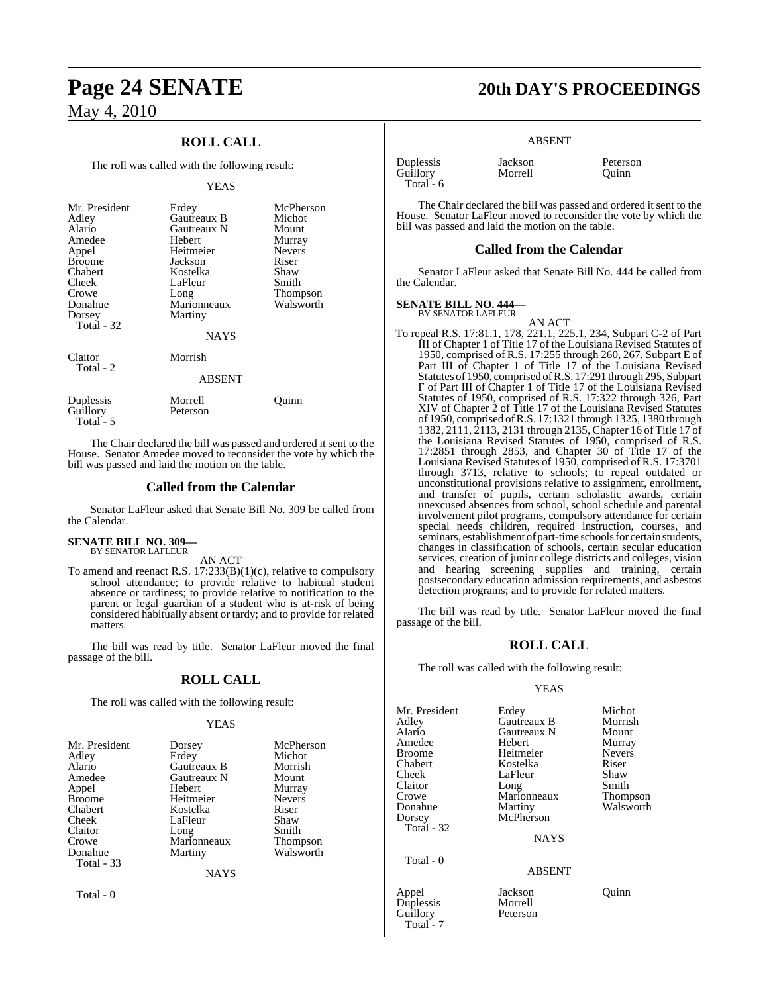### **ROLL CALL**

The roll was called with the following result:

#### YEAS

| Mr. President<br>Adley<br>Alario<br>Amedee<br>Appel<br><b>Broome</b><br>Chabert<br>Cheek<br>Crowe<br>Donahue<br>Dorsey<br>Total - 32 | Erdey<br>Gautreaux B<br>Gautreaux N<br>Hebert<br>Heitmeier<br>Jackson<br>Kostelka<br>LaFleur<br>Long<br>Marionneaux<br>Martiny<br>NAYS | McPherson<br>Michot<br>Mount<br>Murray<br><b>Nevers</b><br>Riser<br>Shaw<br>Smith<br>Thompson<br>Walsworth |
|--------------------------------------------------------------------------------------------------------------------------------------|----------------------------------------------------------------------------------------------------------------------------------------|------------------------------------------------------------------------------------------------------------|
| Claitor<br>Total - 2                                                                                                                 | Morrish<br><b>ABSENT</b>                                                                                                               |                                                                                                            |
| Duplessis<br>Guillory<br>$Total - 5$                                                                                                 | Morrell<br>Peterson                                                                                                                    | Ouınn                                                                                                      |

The Chair declared the bill was passed and ordered it sent to the House. Senator Amedee moved to reconsider the vote by which the bill was passed and laid the motion on the table.

#### **Called from the Calendar**

Senator LaFleur asked that Senate Bill No. 309 be called from the Calendar.

#### **SENATE BILL NO. 309—** BY SENATOR LAFLEUR

AN ACT

To amend and reenact R.S. 17:233(B)(1)(c), relative to compulsory school attendance; to provide relative to habitual student absence or tardiness; to provide relative to notification to the parent or legal guardian of a student who is at-risk of being considered habitually absent or tardy; and to provide for related matters.

The bill was read by title. Senator LaFleur moved the final passage of the bill.

#### **ROLL CALL**

The roll was called with the following result:

#### YEAS

| Mr. President          | Dorsey      | McPherson               |
|------------------------|-------------|-------------------------|
| Adley                  | Erdey       | Michot                  |
| Alario                 | Gautreaux B | Morrish                 |
| Amedee                 | Gautreaux N | Mount                   |
|                        | Hebert      |                         |
| Appel<br><b>Broome</b> | Heitmeier   | Murray<br><b>Nevers</b> |
| Chabert                | Kostelka    | Riser                   |
|                        |             |                         |
| Cheek                  | LaFleur     | Shaw                    |
| Claitor                | Long        | Smith                   |
| Crowe                  | Marionneaux | Thompson                |
| Donahue                | Martiny     | Walsworth               |
| Total - 33             |             |                         |
|                        | <b>NAYS</b> |                         |
| Total - 0              |             |                         |

## **Page 24 SENATE 20th DAY'S PROCEEDINGS**

#### ABSENT

| Duplessis   | Jackson | Peterson |
|-------------|---------|----------|
| Guillory    | Morrell | Ouinn    |
| Total - $6$ |         |          |

The Chair declared the bill was passed and ordered it sent to the House. Senator LaFleur moved to reconsider the vote by which the bill was passed and laid the motion on the table.

#### **Called from the Calendar**

Senator LaFleur asked that Senate Bill No. 444 be called from the Calendar.

#### **SENATE BILL NO. 444—**

BY SENATOR LAFLEUR

AN ACT To repeal R.S. 17:81.1, 178, 221.1, 225.1, 234, Subpart C-2 of Part III of Chapter 1 of Title 17 of the Louisiana Revised Statutes of 1950, comprised of R.S. 17:255 through 260, 267, Subpart E of Part III of Chapter 1 of Title 17 of the Louisiana Revised Statutes of 1950, comprised of R.S. 17:291 through 295, Subpart F of Part III of Chapter 1 of Title 17 of the Louisiana Revised Statutes of 1950, comprised of R.S. 17:322 through 326, Part XIV of Chapter 2 of Title 17 of the Louisiana Revised Statutes of 1950, comprised ofR.S. 17:1321 through 1325, 1380 through 1382, 2111, 2113, 2131 through 2135, Chapter 16 of Title 17 of the Louisiana Revised Statutes of 1950, comprised of R.S. 17:2851 through 2853, and Chapter 30 of Title 17 of the Louisiana Revised Statutes of 1950, comprised of R.S. 17:3701 through 3713, relative to schools; to repeal outdated or unconstitutional provisions relative to assignment, enrollment, and transfer of pupils, certain scholastic awards, certain unexcused absences from school, school schedule and parental involvement pilot programs, compulsory attendance for certain special needs children, required instruction, courses, and seminars, establishment of part-time schools for certain students, changes in classification of schools, certain secular education services, creation of junior college districts and colleges, vision and hearing screening supplies and training, certain postsecondary education admission requirements, and asbestos detection programs; and to provide for related matters.

The bill was read by title. Senator LaFleur moved the final passage of the bill.

#### **ROLL CALL**

The roll was called with the following result:

#### YEAS

| Mr. President<br>Adley<br>Alario<br>Amedee     | Erdey<br>Gautreaux B<br>Gautreaux N<br>Hebert          | Michot<br>Morrish<br>Mount             |
|------------------------------------------------|--------------------------------------------------------|----------------------------------------|
| <b>Broome</b><br>Chabert                       | Heitmeier<br>Kostelka                                  | Murray<br><b>Nevers</b><br>Riser       |
| Cheek<br>Claitor<br>Crowe<br>Donahue<br>Dorsey | LaFleur<br>Long<br>Marionneaux<br>Martiny<br>McPherson | Shaw<br>Smith<br>Thompson<br>Walsworth |
| Total - 32                                     | <b>NAYS</b>                                            |                                        |
| Total - 0                                      | <b>ABSENT</b>                                          |                                        |
| Appel<br>Duplessis<br>Guillory                 | Jackson<br>Morrell<br>Peterson                         | Ouınn                                  |

Total<sup>-</sup>-7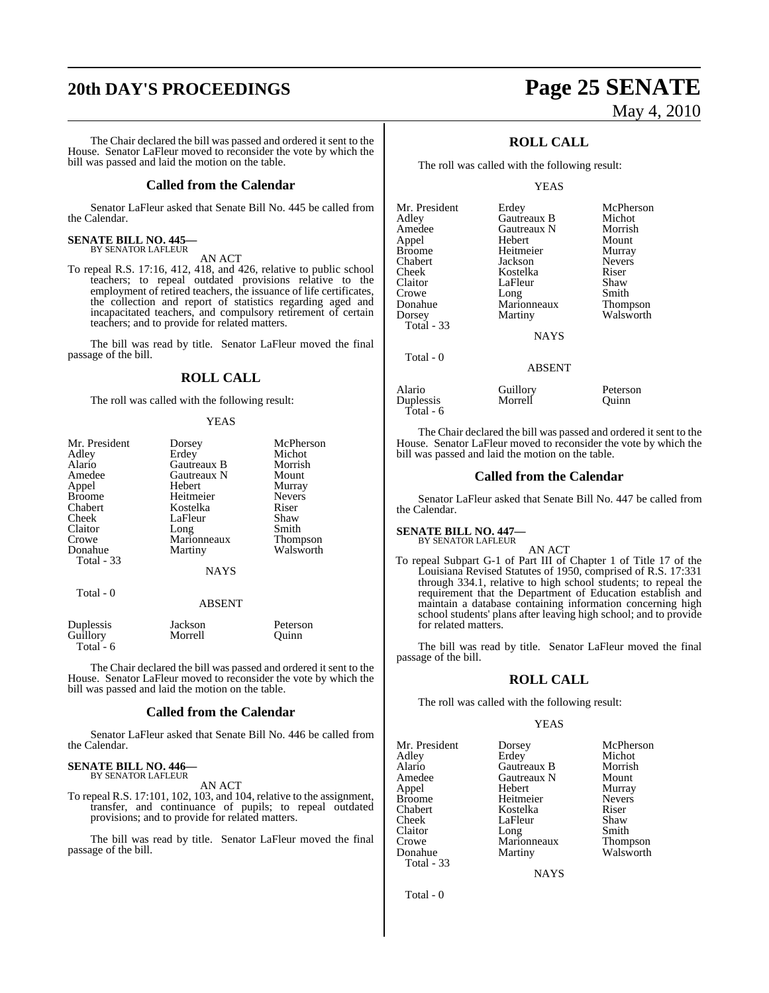# **20th DAY'S PROCEEDINGS Page 25 SENATE**

The Chair declared the bill was passed and ordered it sent to the House. Senator LaFleur moved to reconsider the vote by which the bill was passed and laid the motion on the table.

#### **Called from the Calendar**

Senator LaFleur asked that Senate Bill No. 445 be called from the Calendar.

### **SENATE BILL NO. 445—** BY SENATOR LAFLEUR

AN ACT

To repeal R.S. 17:16, 412, 418, and 426, relative to public school teachers; to repeal outdated provisions relative to the employment of retired teachers, the issuance of life certificates, the collection and report of statistics regarding aged and incapacitated teachers, and compulsory retirement of certain teachers; and to provide for related matters.

The bill was read by title. Senator LaFleur moved the final passage of the bill.

### **ROLL CALL**

The roll was called with the following result:

#### YEAS

| Mr. President | Dorsey      | McPherson     |
|---------------|-------------|---------------|
| Adley         | Erdey       | Michot        |
| Alario        | Gautreaux B | Morrish       |
| Amedee        | Gautreaux N | Mount         |
| Appel         | Hebert      | Murray        |
| <b>Broome</b> | Heitmeier   | <b>Nevers</b> |
| Chabert       | Kostelka    | Riser         |
| Cheek         | LaFleur     | Shaw          |
| Claitor       | Long        | Smith         |
| Crowe         | Marionneaux | Thompson      |
| Donahue       | Martiny     | Walsworth     |
| Total - 33    |             |               |
|               | <b>NAYS</b> |               |
| Total - 0     |             |               |
|               | ABSENT      |               |
| Duplessis     | Jackson     | Peterson      |
| Guillory      | Morrell     | Ouinn         |

Total - 6

The Chair declared the bill was passed and ordered it sent to the House. Senator LaFleur moved to reconsider the vote by which the bill was passed and laid the motion on the table.

#### **Called from the Calendar**

Senator LaFleur asked that Senate Bill No. 446 be called from the Calendar.

#### **SENATE BILL NO. 446—** BY SENATOR LAFLEUR

AN ACT

To repeal R.S. 17:101, 102, 103, and 104, relative to the assignment, transfer, and continuance of pupils; to repeal outdated provisions; and to provide for related matters.

The bill was read by title. Senator LaFleur moved the final passage of the bill.

# May 4, 2010

### **ROLL CALL**

The roll was called with the following result:

YEAS

| Mr. President | Erdey         | McPherson     |
|---------------|---------------|---------------|
| Adley         | Gautreaux B   | Michot        |
| Amedee        | Gautreaux N   | Morrish       |
| Appel         | Hebert        | Mount         |
| <b>Broome</b> | Heitmeier     | Murray        |
| Chabert       | Jackson       | <b>Nevers</b> |
| Cheek         | Kostelka      | Riser         |
| Claitor       | LaFleur       | Shaw          |
| Crowe         | Long          | Smith         |
| Donahue       | Marionneaux   | Thompson      |
| Dorsey        | Martiny       | Walsworth     |
| Total - 33    |               |               |
|               | <b>NAYS</b>   |               |
| Total - 0     |               |               |
|               | <b>ABSENT</b> |               |
| Alario        | Guillory      | Peterson      |
| Duplessis     | Morrell       | Ouinn         |

The Chair declared the bill was passed and ordered it sent to the House. Senator LaFleur moved to reconsider the vote by which the bill was passed and laid the motion on the table.

#### **Called from the Calendar**

Senator LaFleur asked that Senate Bill No. 447 be called from the Calendar.

#### **SENATE BILL NO. 447—** BY SENATOR LAFLEUR

Total - 6

AN ACT

To repeal Subpart G-1 of Part III of Chapter 1 of Title 17 of the Louisiana Revised Statutes of 1950, comprised of R.S. 17:331 through 334.1, relative to high school students; to repeal the requirement that the Department of Education establish and maintain a database containing information concerning high school students' plans after leaving high school; and to provide for related matters.

The bill was read by title. Senator LaFleur moved the final passage of the bill.

#### **ROLL CALL**

The roll was called with the following result:

#### YEAS

Mr. President Dorsey McPherson<br>Adley Erdey Michot Adley Erdey Michot Alario Gautreaux B Morrish Amedee Gautreaux N<br>Appel Hebert Broome Heitmeier Never<br>
Chabert Kostelka Riser Chabert Kostelka Riser Cheek LaFleur Shaw<br>Claitor Long Smith Claitor Long Smith Crowe Marionneaux Thompson Donahue Martiny Walsworth Total - 33

Murray<br>Nevers

NAYS

Total - 0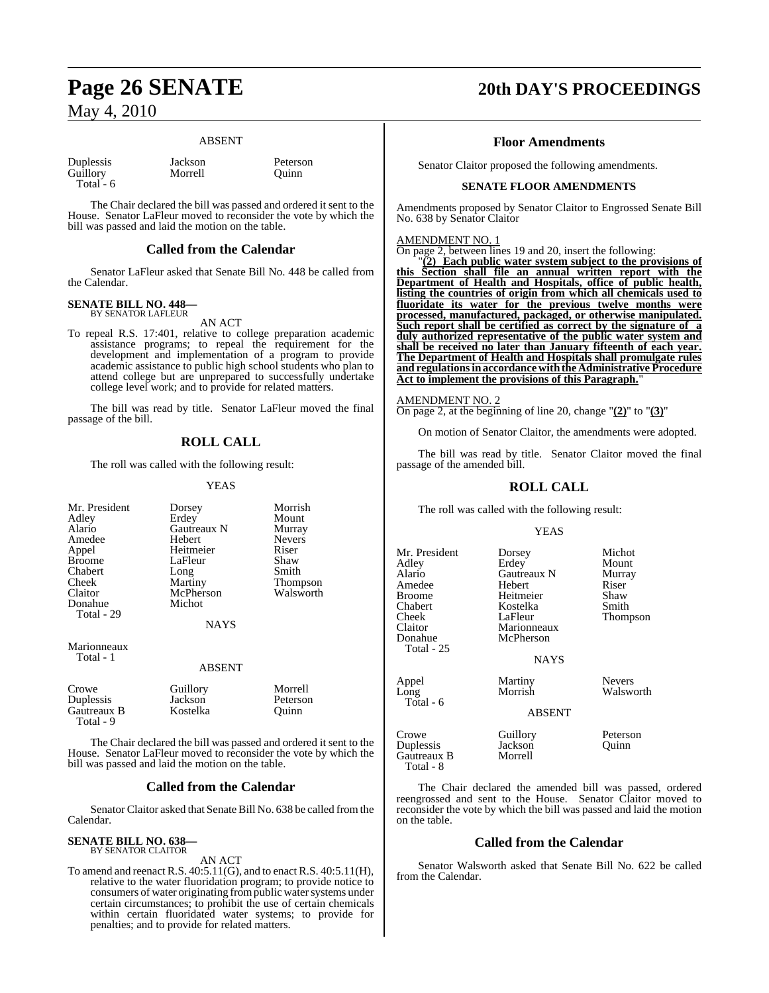#### ABSENT

Morrell

| Duplessis |  |
|-----------|--|
| Guillory  |  |
| Total - 6 |  |

Jackson Peterson<br>Morrell Quinn

The Chair declared the bill was passed and ordered it sent to the House. Senator LaFleur moved to reconsider the vote by which the bill was passed and laid the motion on the table.

#### **Called from the Calendar**

Senator LaFleur asked that Senate Bill No. 448 be called from the Calendar.

#### **SENATE BILL NO. 448—** BY SENATOR LAFLEUR

AN ACT

To repeal R.S. 17:401, relative to college preparation academic assistance programs; to repeal the requirement for the development and implementation of a program to provide academic assistance to public high school students who plan to attend college but are unprepared to successfully undertake college level work; and to provide for related matters.

The bill was read by title. Senator LaFleur moved the final passage of the bill.

### **ROLL CALL**

The roll was called with the following result:

#### YEAS

| Mr. President<br>Adley<br>Alario<br>Amedee<br>Appel<br><b>Broome</b><br>Chabert<br>Cheek<br>Claitor<br>Donahue<br>Total - 29 | Dorsey<br>Erdey<br>Gautreaux N<br>Hebert<br>Heitmeier<br>LaFleur<br>Long<br>Martiny<br>McPherson<br>Michot<br><b>NAYS</b> | Morrish<br>Mount<br>Murray<br><b>Nevers</b><br>Riser<br>Shaw<br>Smith<br>Thompson<br>Walsworth |
|------------------------------------------------------------------------------------------------------------------------------|---------------------------------------------------------------------------------------------------------------------------|------------------------------------------------------------------------------------------------|
| Marionneaux<br>Total - 1                                                                                                     | <b>ABSENT</b>                                                                                                             |                                                                                                |
| Crowe<br>Duplessis<br>Gautreaux B<br>Total - 9                                                                               | Guillory<br>Jackson<br>Kostelka                                                                                           | Morrell<br>Peterson<br>Ouinn                                                                   |

The Chair declared the bill was passed and ordered it sent to the House. Senator LaFleur moved to reconsider the vote by which the bill was passed and laid the motion on the table.

#### **Called from the Calendar**

Senator Claitor asked that Senate Bill No. 638 be called from the Calendar.

### **SENATE BILL NO. 638—** BY SENATOR CLAITOR

AN ACT

To amend and reenact R.S. 40:5.11(G), and to enact R.S. 40:5.11(H), relative to the water fluoridation program; to provide notice to consumers of water originating from public water systems under certain circumstances; to prohibit the use of certain chemicals within certain fluoridated water systems; to provide for penalties; and to provide for related matters.

## **Page 26 SENATE 20th DAY'S PROCEEDINGS**

### **Floor Amendments**

Senator Claitor proposed the following amendments.

#### **SENATE FLOOR AMENDMENTS**

Amendments proposed by Senator Claitor to Engrossed Senate Bill No. 638 by Senator Claitor

#### AMENDMENT NO. 1

On page 2, between lines 19 and 20, insert the following:

"**(2) Each public water system subject to the provisions of this Section shall file an annual written report with the Department of Health and Hospitals, office of public health, listing the countries of origin from which all chemicals used to fluoridate its water for the previous twelve months were processed, manufactured, packaged, or otherwise manipulated. Such report shall be certified as correct by the signature of a duly authorized representative of the public water system and shall be received no later than January fifteenth of each year. The Department of Health and Hospitals shall promulgate rules and regulationsinaccordancewiththeAdministrative Procedure Act to implement the provisions of this Paragraph.**"

#### AMENDMENT NO. 2

On page 2, at the beginning of line 20, change "**(2)**" to "**(3)**"

On motion of Senator Claitor, the amendments were adopted.

The bill was read by title. Senator Claitor moved the final passage of the amended bill.

### **ROLL CALL**

The roll was called with the following result:

#### YEAS

Mr. President Dorsey Michot Adley Erdey Mount **A** Gautreaux N Murracy Murracy N Amedee Hebert Riser<br>Broome Heitmeier Shaw Broome Heitmeier Shaw<br>Chabert Kostelka Smith Chabert Kostelka<br>Cheek LaFleur Cheek LaFleur Thompson Claitor Marionneaux<br>
Donahue McPherson McPherson Total - 25 NAYS Appel Martiny Nevers<br>
Long Morrish Walsw Walsworth Total - 6 ABSENT Crowe Guillory Peterson<br>
Duplessis Jackson Quinn

Duplessis Jackson Quinn Gautreaux B Total - 8

The Chair declared the amended bill was passed, ordered reengrossed and sent to the House. Senator Claitor moved to reconsider the vote by which the bill was passed and laid the motion on the table.

#### **Called from the Calendar**

Senator Walsworth asked that Senate Bill No. 622 be called from the Calendar.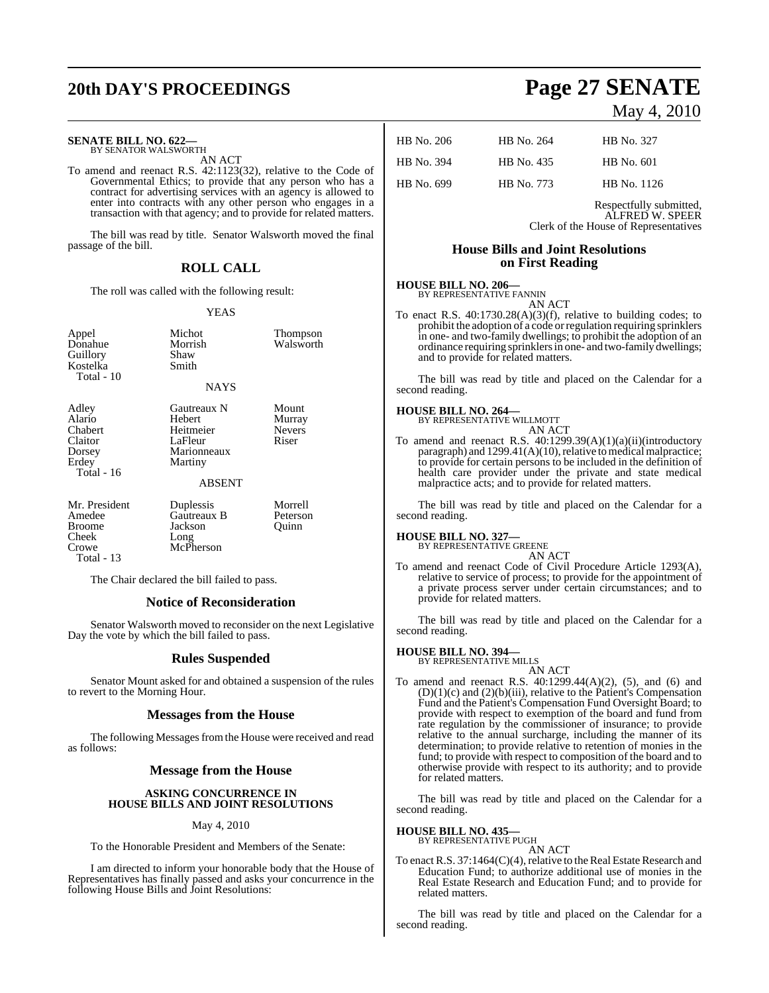# **20th DAY'S PROCEEDINGS Page 27 SENATE**

#### **SENATE BILL NO. 622—**

BY SENATOR WALSWORTH AN ACT

To amend and reenact R.S. 42:1123(32), relative to the Code of Governmental Ethics; to provide that any person who has a contract for advertising services with an agency is allowed to enter into contracts with any other person who engages in a transaction with that agency; and to provide for related matters.

The bill was read by title. Senator Walsworth moved the final passage of the bill.

### **ROLL CALL**

The roll was called with the following result:

#### YEAS

| Appel<br>Donahue<br>Guillory<br>Kostelka<br>Total - 10                   | Michot<br>Morrish<br>Shaw<br>Smith<br><b>NAYS</b>                                               | Thompson<br>Walsworth                     |
|--------------------------------------------------------------------------|-------------------------------------------------------------------------------------------------|-------------------------------------------|
| Adley<br>Alario<br>Chabert<br>Claitor<br>Dorsey<br>Erdey<br>Total - $16$ | Gautreaux N<br><b>Hebert</b><br>Heitmeier<br>LaFleur<br>Marionneaux<br>Martiny<br><b>ABSENT</b> | Mount<br>Murray<br><b>Nevers</b><br>Riser |
| Mr. President<br>Amedee<br><b>Broome</b><br>Cheek<br>Crowe<br>Total - 13 | Duplessis<br>Gautreaux B<br>Jackson<br>Long<br>McPherson                                        | Morrell<br>Peterson<br>Quinn              |

The Chair declared the bill failed to pass.

#### **Notice of Reconsideration**

Senator Walsworth moved to reconsider on the next Legislative Day the vote by which the bill failed to pass.

#### **Rules Suspended**

Senator Mount asked for and obtained a suspension of the rules to revert to the Morning Hour.

#### **Messages from the House**

The following Messages from the House were received and read as follows:

#### **Message from the House**

#### **ASKING CONCURRENCE IN HOUSE BILLS AND JOINT RESOLUTIONS**

#### May 4, 2010

To the Honorable President and Members of the Senate:

I am directed to inform your honorable body that the House of Representatives has finally passed and asks your concurrence in the following House Bills and Joint Resolutions:

### May 4, 2010

| HB No. 206 | HB No. 264 | HB No. 327  |
|------------|------------|-------------|
| HB No. 394 | HB No. 435 | HB No. 601  |
| HB No. 699 | HB No. 773 | HB No. 1126 |

Respectfully submitted, ALFRED W. SPEER Clerk of the House of Representatives

### **House Bills and Joint Resolutions on First Reading**

### **HOUSE BILL NO. 206—** BY REPRESENTATIVE FANNIN

AN ACT

To enact R.S. 40:1730.28(A)(3)(f), relative to building codes; to prohibit the adoption of a code orregulation requiring sprinklers in one- and two-family dwellings; to prohibit the adoption of an ordinance requiring sprinklersin one- and two-family dwellings; and to provide for related matters.

The bill was read by title and placed on the Calendar for a second reading.

## **HOUSE BILL NO. 264—** BY REPRESENTATIVE WILLMOTT

AN ACT

To amend and reenact R.S.  $40:1299.39(A)(1)(a)(ii)(introducing$ paragraph) and  $1299.41(A)(10)$ , relative to medical malpractice; to provide for certain persons to be included in the definition of health care provider under the private and state medical malpractice acts; and to provide for related matters.

The bill was read by title and placed on the Calendar for a second reading.

#### **HOUSE BILL NO. 327—**

BY REPRESENTATIVE GREENE

AN ACT

To amend and reenact Code of Civil Procedure Article 1293(A), relative to service of process; to provide for the appointment of a private process server under certain circumstances; and to provide for related matters.

The bill was read by title and placed on the Calendar for a second reading.

#### **HOUSE BILL NO. 394—** BY REPRESENTATIVE MILLS

AN ACT

To amend and reenact R.S. 40:1299.44(A)(2), (5), and (6) and (D)(1)(c) and (2)(b)(iii), relative to the Patient's Compensation Fund and the Patient's Compensation Fund Oversight Board; to provide with respect to exemption of the board and fund from rate regulation by the commissioner of insurance; to provide relative to the annual surcharge, including the manner of its determination; to provide relative to retention of monies in the fund; to provide with respect to composition of the board and to otherwise provide with respect to its authority; and to provide for related matters.

The bill was read by title and placed on the Calendar for a second reading.

#### **HOUSE BILL NO. 435—**

BY REPRESENTATIVE PUGH

AN ACT To enact R.S. 37:1464(C)(4), relative to the Real Estate Research and Education Fund; to authorize additional use of monies in the Real Estate Research and Education Fund; and to provide for related matters.

The bill was read by title and placed on the Calendar for a second reading.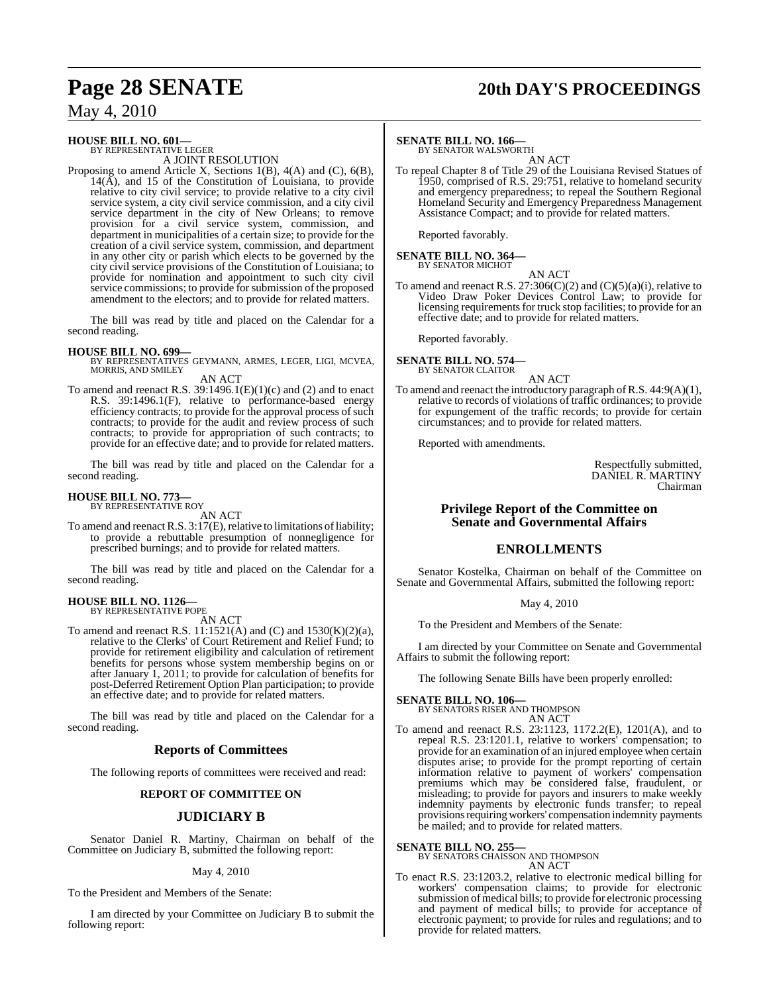# **Page 28 SENATE 20th DAY'S PROCEEDINGS**

### May 4, 2010

#### **HOUSE BILL NO. 601—** BY REPRESENTATIVE LEGER

A JOINT RESOLUTION

Proposing to amend Article X, Sections 1(B), 4(A) and (C), 6(B),  $14(\overrightarrow{A})$ , and 15 of the Constitution of Louisiana, to provide relative to city civil service; to provide relative to a city civil service system, a city civil service commission, and a city civil service department in the city of New Orleans; to remove provision for a civil service system, commission, and department in municipalities of a certain size; to provide for the creation of a civil service system, commission, and department in any other city or parish which elects to be governed by the city civil service provisions of the Constitution of Louisiana; to provide for nomination and appointment to such city civil service commissions; to provide for submission of the proposed amendment to the electors; and to provide for related matters.

The bill was read by title and placed on the Calendar for a second reading.

**HOUSE BILL NO. 699—** BY REPRESENTATIVES GEYMANN, ARMES, LEGER, LIGI, MCVEA, MORRIS, AND SMILEY

AN ACT

To amend and reenact R.S.  $39:1496.1(E)(1)(c)$  and (2) and to enact R.S. 39:1496.1(F), relative to performance-based energy efficiency contracts; to provide for the approval process of such contracts; to provide for the audit and review process of such contracts; to provide for appropriation of such contracts; to provide for an effective date; and to provide for related matters.

The bill was read by title and placed on the Calendar for a second reading.

### **HOUSE BILL NO. 773—** BY REPRESENTATIVE ROY

AN ACT

To amend and reenact R.S.  $3:17(E)$ , relative to limitations of liability; to provide a rebuttable presumption of nonnegligence for prescribed burnings; and to provide for related matters.

The bill was read by title and placed on the Calendar for a second reading.

### **HOUSE BILL NO. 1126—** BY REPRESENTATIVE POPE

AN ACT

To amend and reenact R.S. 11:1521(A) and (C) and 1530(K)(2)(a), relative to the Clerks' of Court Retirement and Relief Fund; to provide for retirement eligibility and calculation of retirement benefits for persons whose system membership begins on or after January 1, 2011; to provide for calculation of benefits for post-Deferred Retirement Option Plan participation; to provide an effective date; and to provide for related matters.

The bill was read by title and placed on the Calendar for a second reading.

#### **Reports of Committees**

The following reports of committees were received and read:

#### **REPORT OF COMMITTEE ON**

#### **JUDICIARY B**

Senator Daniel R. Martiny, Chairman on behalf of the Committee on Judiciary B, submitted the following report:

May 4, 2010

To the President and Members of the Senate:

I am directed by your Committee on Judiciary B to submit the following report:

### **SENATE BILL NO. 166—** BY SENATOR WALSWORTH

AN ACT To repeal Chapter 8 of Title 29 of the Louisiana Revised Statues of 1950, comprised of R.S. 29:751, relative to homeland security and emergency preparedness; to repeal the Southern Regional Homeland Security and Emergency Preparedness Management Assistance Compact; and to provide for related matters.

Reported favorably.

# **SENATE BILL NO. 364—** BY SENATOR MICHOT

AN ACT To amend and reenact R.S. 27:306(C)(2) and (C)(5)(a)(i), relative to Video Draw Poker Devices Control Law; to provide for licensing requirements for truck stop facilities; to provide for an effective date; and to provide for related matters.

Reported favorably.

#### **SENATE BILL NO. 574—** BY SENATOR CLAITOR

AN ACT

To amend and reenact the introductory paragraph of R.S. 44:9(A)(1), relative to records of violations of traffic ordinances; to provide for expungement of the traffic records; to provide for certain circumstances; and to provide for related matters.

Reported with amendments.

Respectfully submitted, DANIEL R. MARTINY Chairman

#### **Privilege Report of the Committee on Senate and Governmental Affairs**

#### **ENROLLMENTS**

Senator Kostelka, Chairman on behalf of the Committee on Senate and Governmental Affairs, submitted the following report:

May 4, 2010

To the President and Members of the Senate:

I am directed by your Committee on Senate and Governmental Affairs to submit the following report:

The following Senate Bills have been properly enrolled:

### **SENATE BILL NO. 106—** BY SENATORS RISER AND THOMPSON AN ACT

To amend and reenact R.S. 23:1123, 1172.2(E), 1201(A), and to repeal R.S. 23:1201.1, relative to workers' compensation; to provide for an examination of an injured employee when certain disputes arise; to provide for the prompt reporting of certain information relative to payment of workers' compensation premiums which may be considered false, fraudulent, or misleading; to provide for payors and insurers to make weekly indemnity payments by electronic funds transfer; to repeal provisions requiring workers' compensation indemnity payments be mailed; and to provide for related matters.

#### **SENATE BILL NO. 255**

BY SENATORS CHAISSON AND THOMPSON AN ACT

To enact R.S. 23:1203.2, relative to electronic medical billing for workers' compensation claims; to provide for electronic submission of medical bills; to provide for electronic processing and payment of medical bills; to provide for acceptance of electronic payment; to provide for rules and regulations; and to provide for related matters.